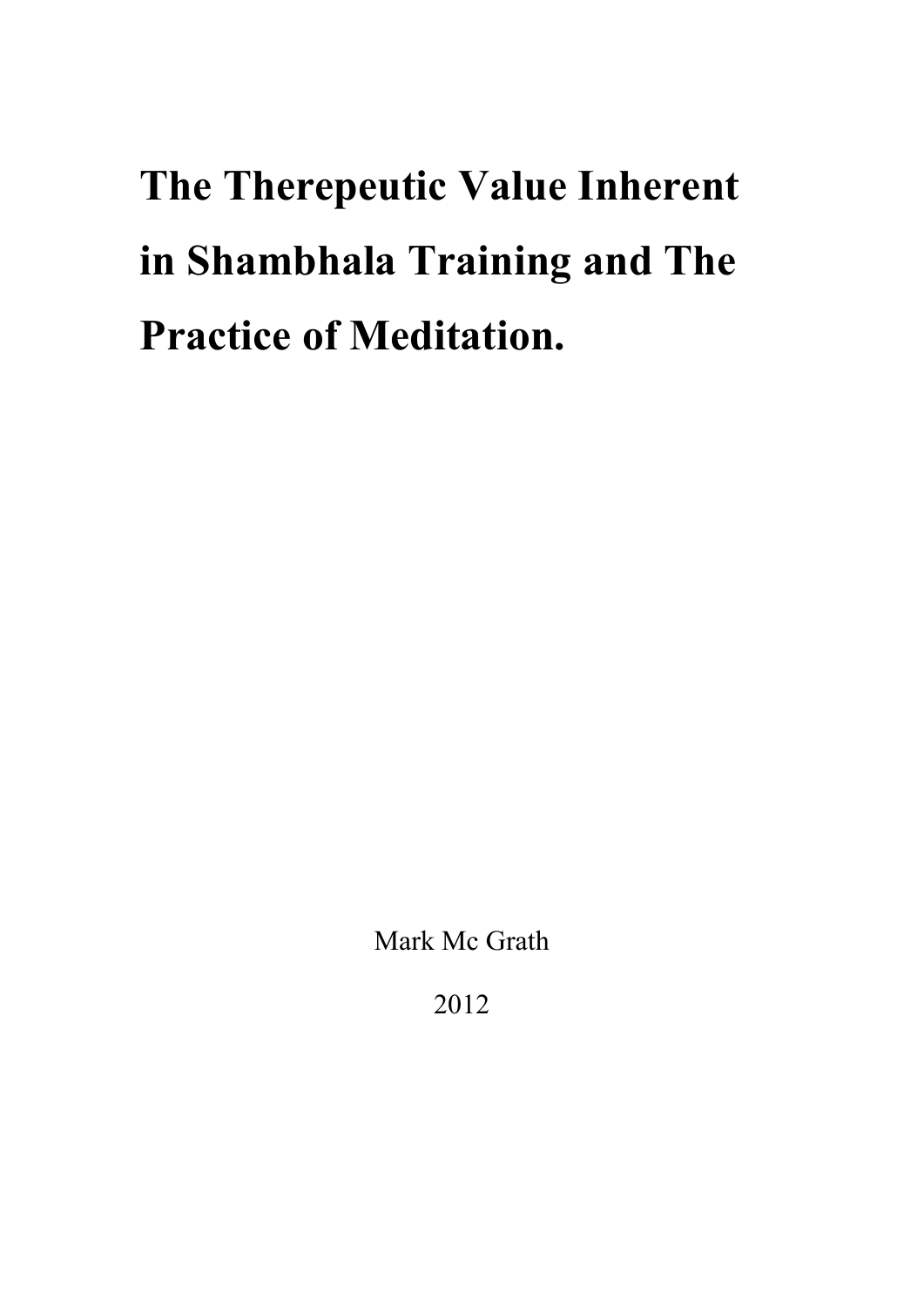**The Therepeutic Value Inherent in Shambhala Training and The Practice of Meditation.**

Mark Mc Grath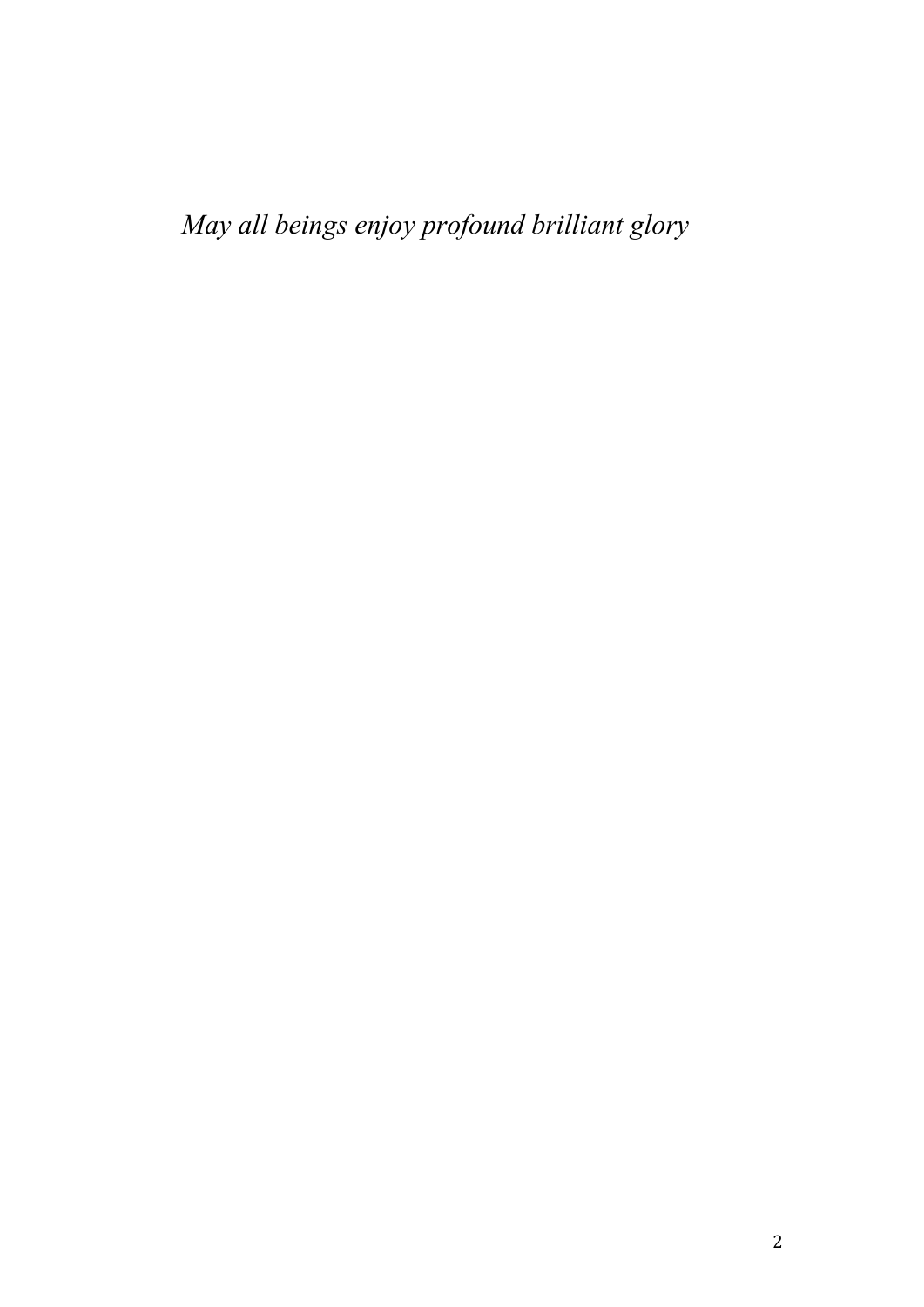*May all beings enjoy profound brilliant glory*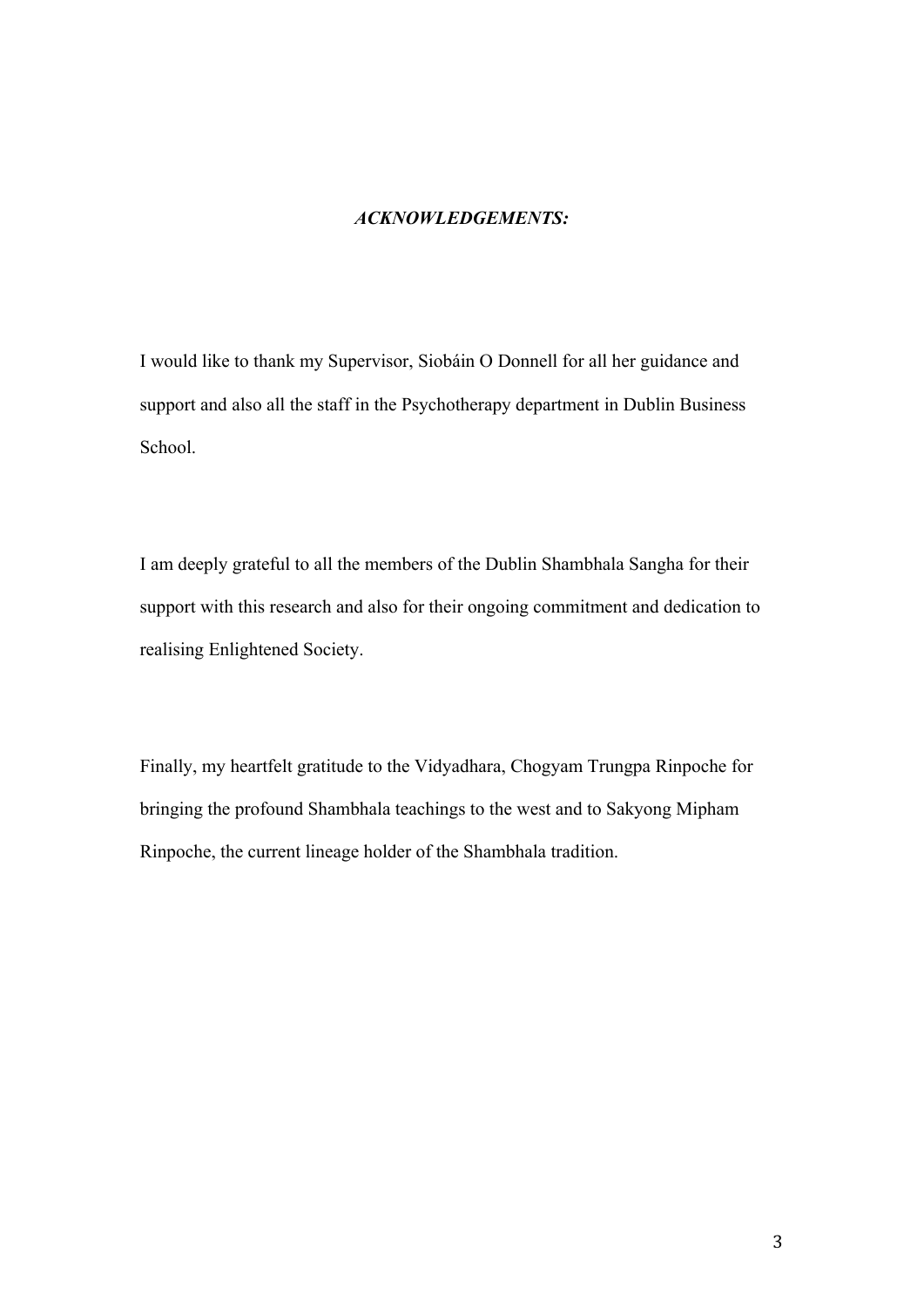#### *ACKNOWLEDGEMENTS:*

I would like to thank my Supervisor, Siobáin O Donnell for all her guidance and support and also all the staff in the Psychotherapy department in Dublin Business School.

I am deeply grateful to all the members of the Dublin Shambhala Sangha for their support with this research and also for their ongoing commitment and dedication to realising Enlightened Society.

Finally, my heartfelt gratitude to the Vidyadhara, Chogyam Trungpa Rinpoche for bringing the profound Shambhala teachings to the west and to Sakyong Mipham Rinpoche, the current lineage holder of the Shambhala tradition.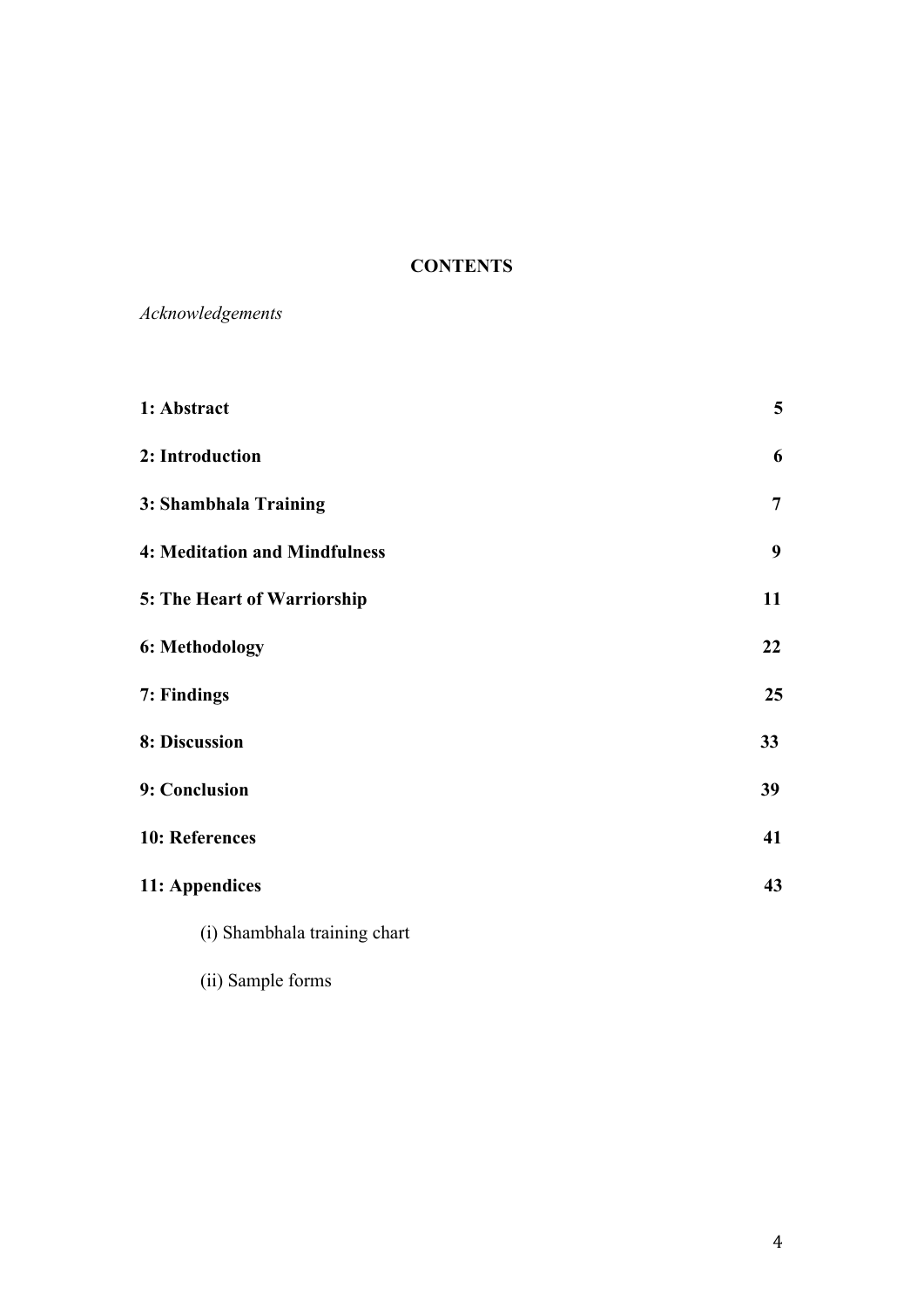## **CONTENTS**

*Acknowledgements*

| 1: Abstract                          | 5              |
|--------------------------------------|----------------|
| 2: Introduction                      | 6              |
| 3: Shambhala Training                | $\overline{7}$ |
| <b>4: Meditation and Mindfulness</b> | 9              |
| 5: The Heart of Warriorship          | 11             |
| 6: Methodology                       | 22             |
| 7: Findings                          | 25             |
| 8: Discussion                        | 33             |
| 9: Conclusion                        | 39             |
| 10: References                       | 41             |
| 11: Appendices                       | 43             |
| (i) Shambhala training chart         |                |

(ii) Sample forms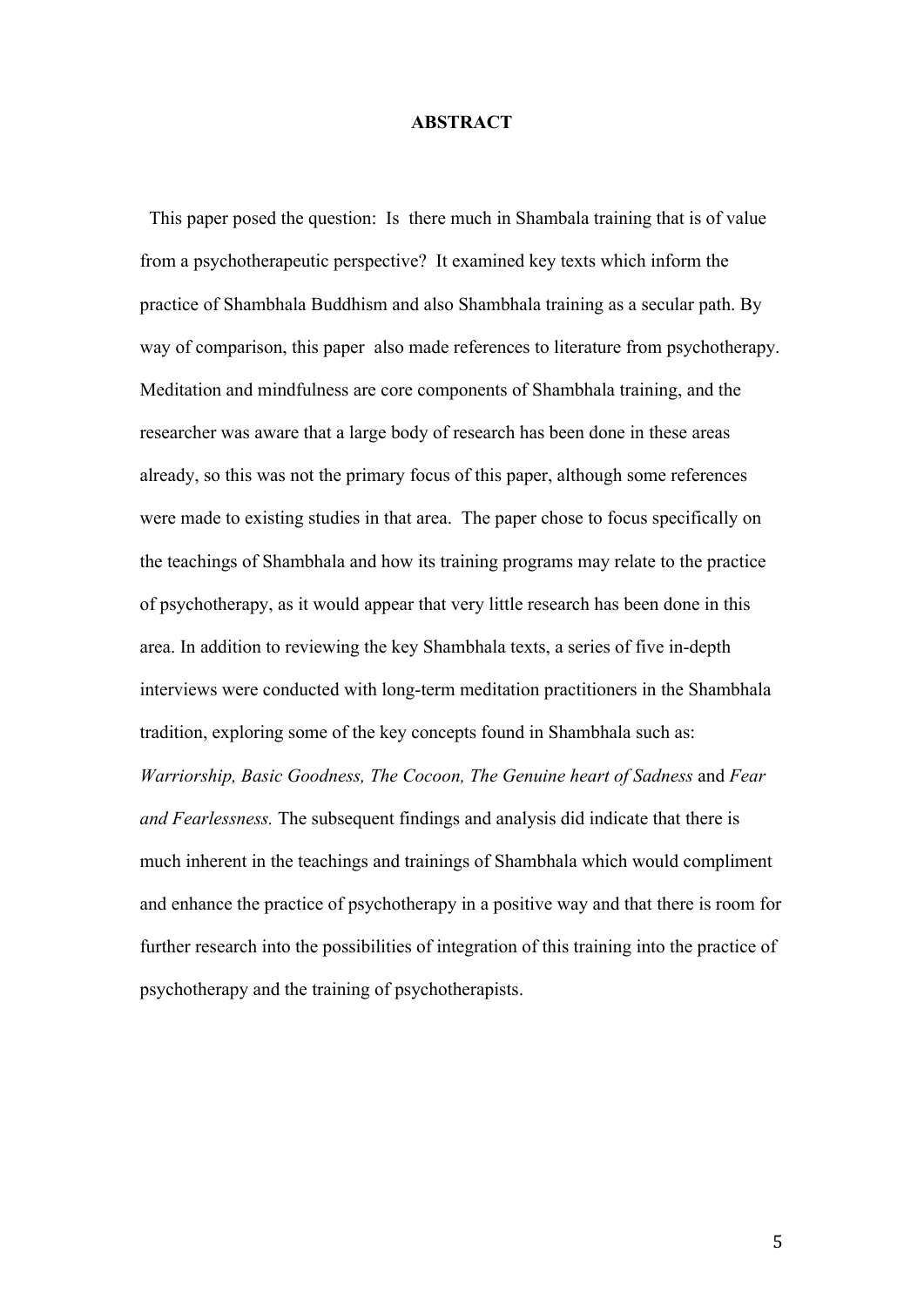#### **ABSTRACT**

 This paper posed the question: Is there much in Shambala training that is of value from a psychotherapeutic perspective? It examined key texts which inform the practice of Shambhala Buddhism and also Shambhala training as a secular path. By way of comparison, this paper also made references to literature from psychotherapy. Meditation and mindfulness are core components of Shambhala training, and the researcher was aware that a large body of research has been done in these areas already, so this was not the primary focus of this paper, although some references were made to existing studies in that area. The paper chose to focus specifically on the teachings of Shambhala and how its training programs may relate to the practice of psychotherapy, as it would appear that very little research has been done in this area. In addition to reviewing the key Shambhala texts, a series of five in-depth interviews were conducted with long-term meditation practitioners in the Shambhala tradition, exploring some of the key concepts found in Shambhala such as: *Warriorship, Basic Goodness, The Cocoon, The Genuine heart of Sadness* and *Fear and Fearlessness.* The subsequent findings and analysis did indicate that there is much inherent in the teachings and trainings of Shambhala which would compliment and enhance the practice of psychotherapy in a positive way and that there is room for further research into the possibilities of integration of this training into the practice of psychotherapy and the training of psychotherapists.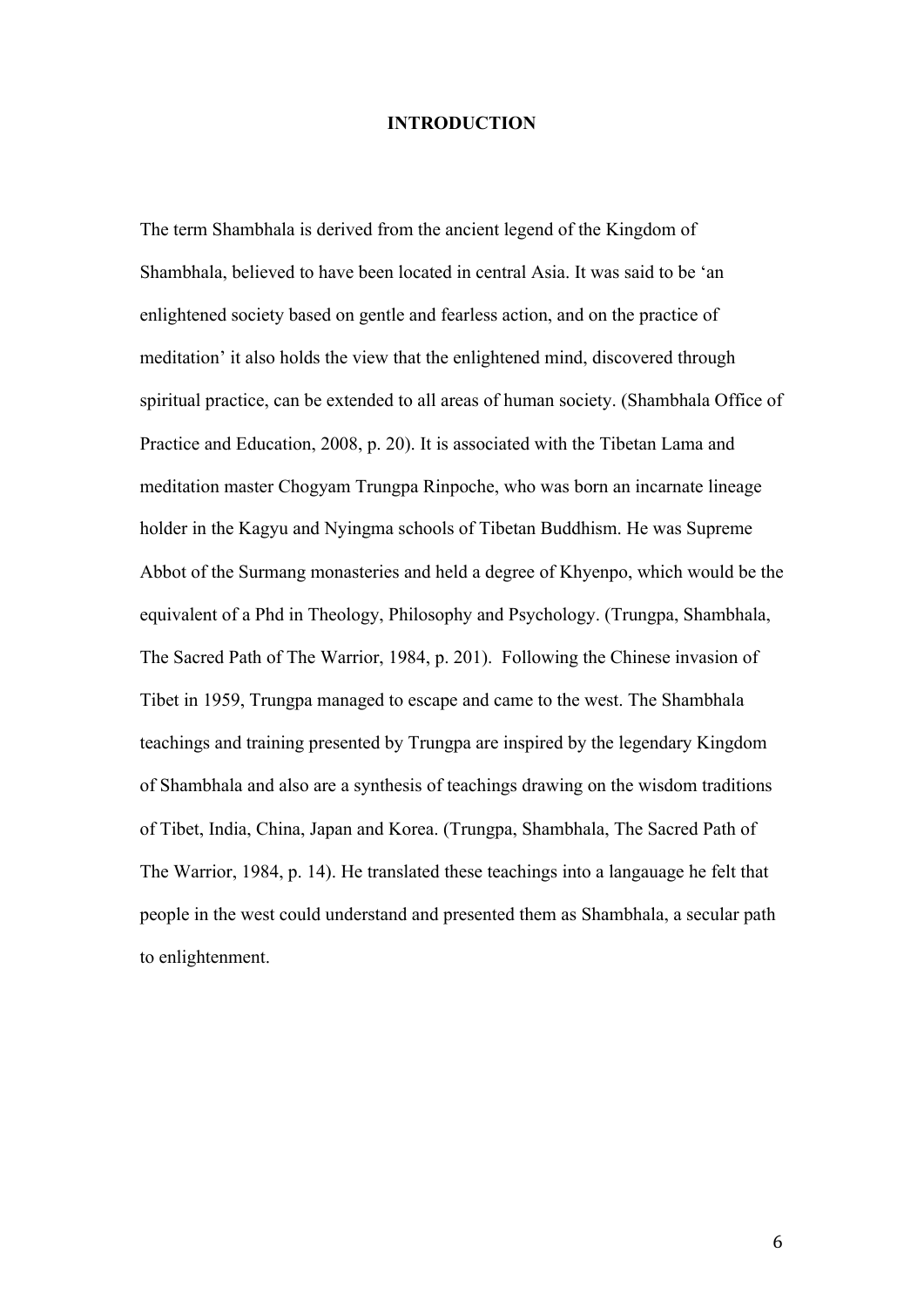#### **INTRODUCTION**

The term Shambhala is derived from the ancient legend of the Kingdom of Shambhala, believed to have been located in central Asia. It was said to be 'an enlightened society based on gentle and fearless action, and on the practice of meditation' it also holds the view that the enlightened mind, discovered through spiritual practice, can be extended to all areas of human society. (Shambhala Office of Practice and Education, 2008, p. 20). It is associated with the Tibetan Lama and meditation master Chogyam Trungpa Rinpoche, who was born an incarnate lineage holder in the Kagyu and Nyingma schools of Tibetan Buddhism. He was Supreme Abbot of the Surmang monasteries and held a degree of Khyenpo, which would be the equivalent of a Phd in Theology, Philosophy and Psychology. (Trungpa, Shambhala, The Sacred Path of The Warrior, 1984, p. 201). Following the Chinese invasion of Tibet in 1959, Trungpa managed to escape and came to the west. The Shambhala teachings and training presented by Trungpa are inspired by the legendary Kingdom of Shambhala and also are a synthesis of teachings drawing on the wisdom traditions of Tibet, India, China, Japan and Korea. (Trungpa, Shambhala, The Sacred Path of The Warrior, 1984, p. 14). He translated these teachings into a langauage he felt that people in the west could understand and presented them as Shambhala, a secular path to enlightenment.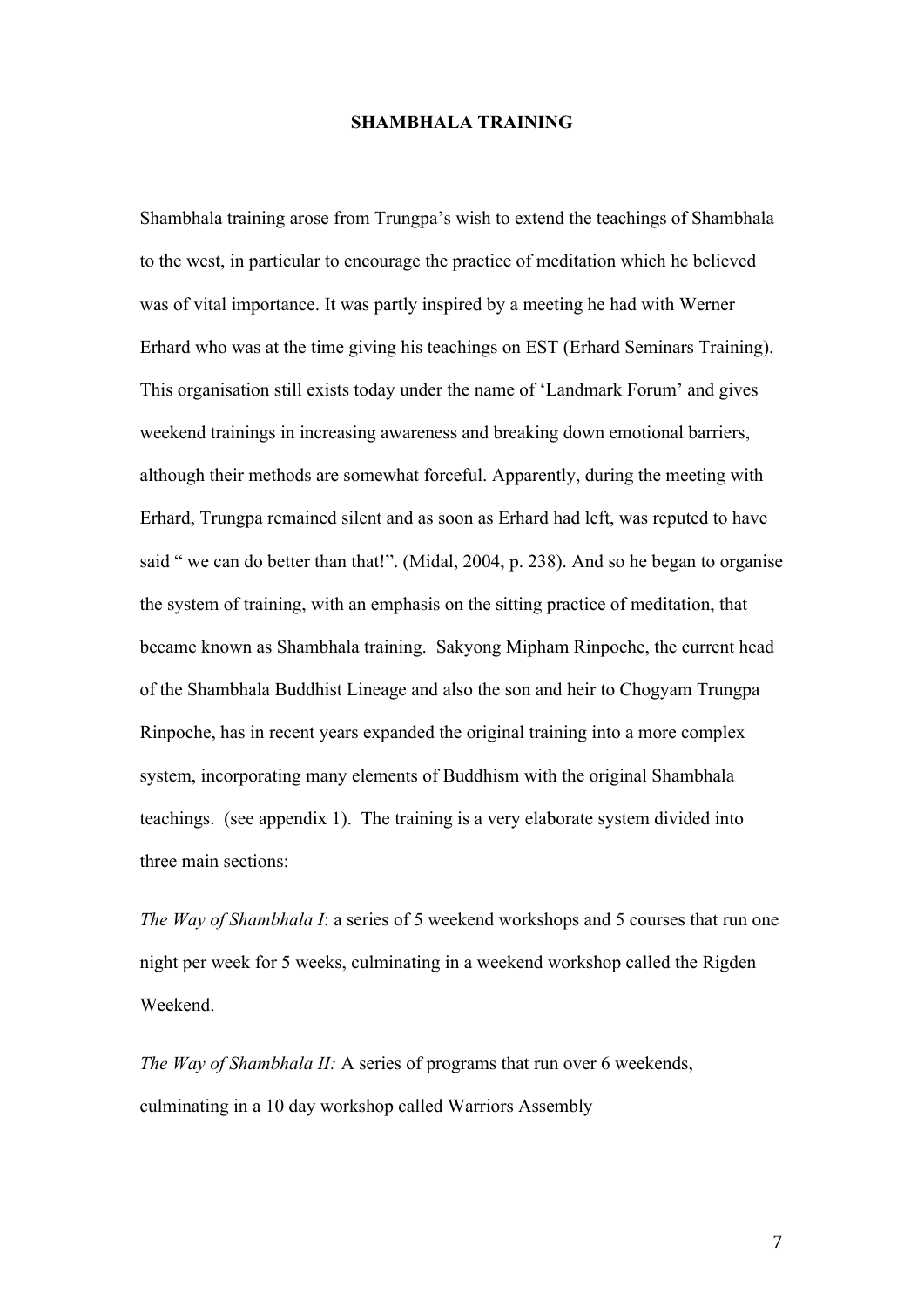#### **SHAMBHALA TRAINING**

Shambhala training arose from Trungpa's wish to extend the teachings of Shambhala to the west, in particular to encourage the practice of meditation which he believed was of vital importance. It was partly inspired by a meeting he had with Werner Erhard who was at the time giving his teachings on EST (Erhard Seminars Training). This organisation still exists today under the name of 'Landmark Forum' and gives weekend trainings in increasing awareness and breaking down emotional barriers, although their methods are somewhat forceful. Apparently, during the meeting with Erhard, Trungpa remained silent and as soon as Erhard had left, was reputed to have said " we can do better than that!". (Midal, 2004, p. 238). And so he began to organise the system of training, with an emphasis on the sitting practice of meditation, that became known as Shambhala training. Sakyong Mipham Rinpoche, the current head of the Shambhala Buddhist Lineage and also the son and heir to Chogyam Trungpa Rinpoche, has in recent years expanded the original training into a more complex system, incorporating many elements of Buddhism with the original Shambhala teachings. (see appendix 1). The training is a very elaborate system divided into three main sections:

*The Way of Shambhala I*: a series of 5 weekend workshops and 5 courses that run one night per week for 5 weeks, culminating in a weekend workshop called the Rigden Weekend.

*The Way of Shambhala II:* A series of programs that run over 6 weekends, culminating in a 10 day workshop called Warriors Assembly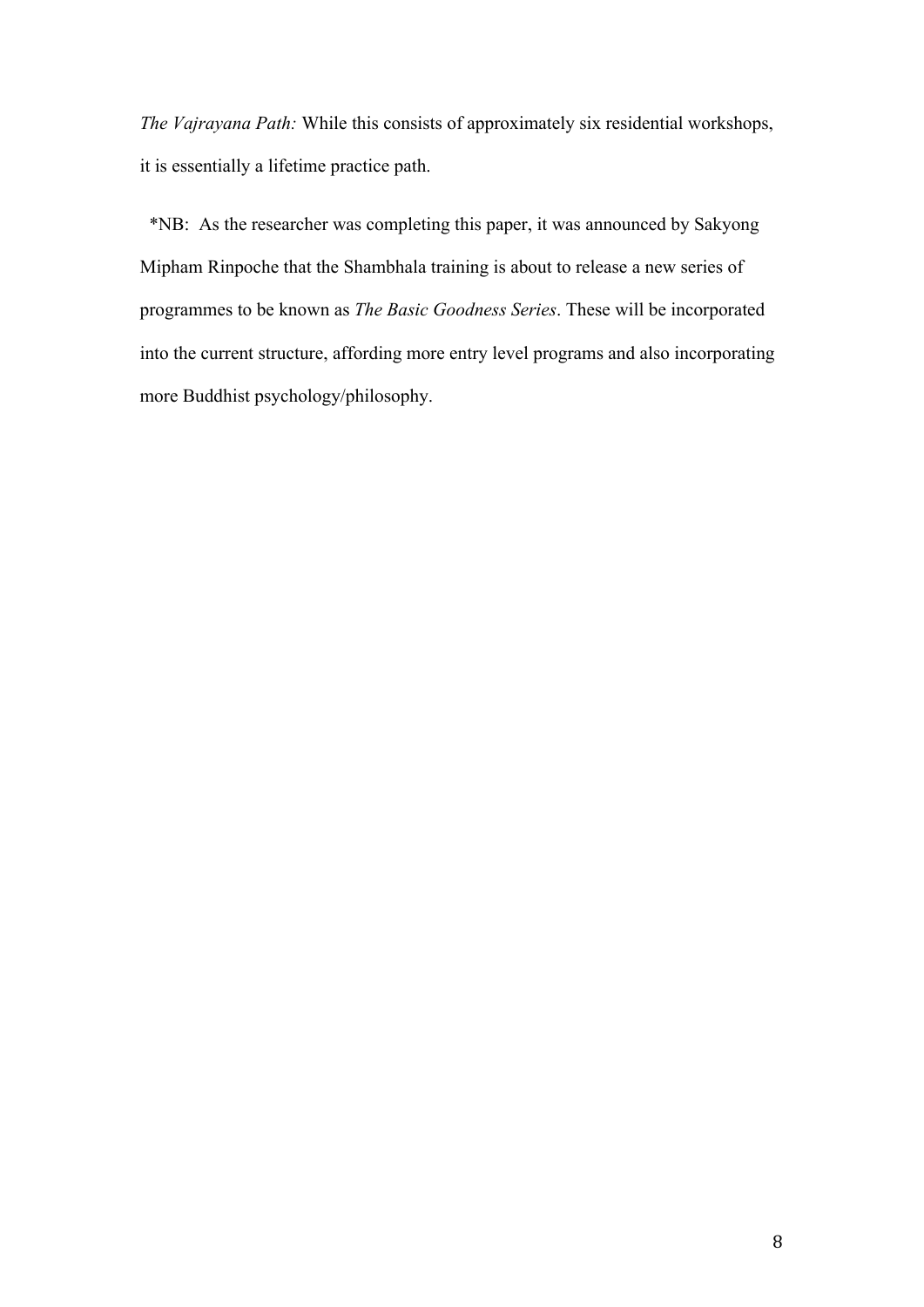*The Vajrayana Path:* While this consists of approximately six residential workshops, it is essentially a lifetime practice path.

 \*NB: As the researcher was completing this paper, it was announced by Sakyong Mipham Rinpoche that the Shambhala training is about to release a new series of programmes to be known as *The Basic Goodness Series*. These will be incorporated into the current structure, affording more entry level programs and also incorporating more Buddhist psychology/philosophy.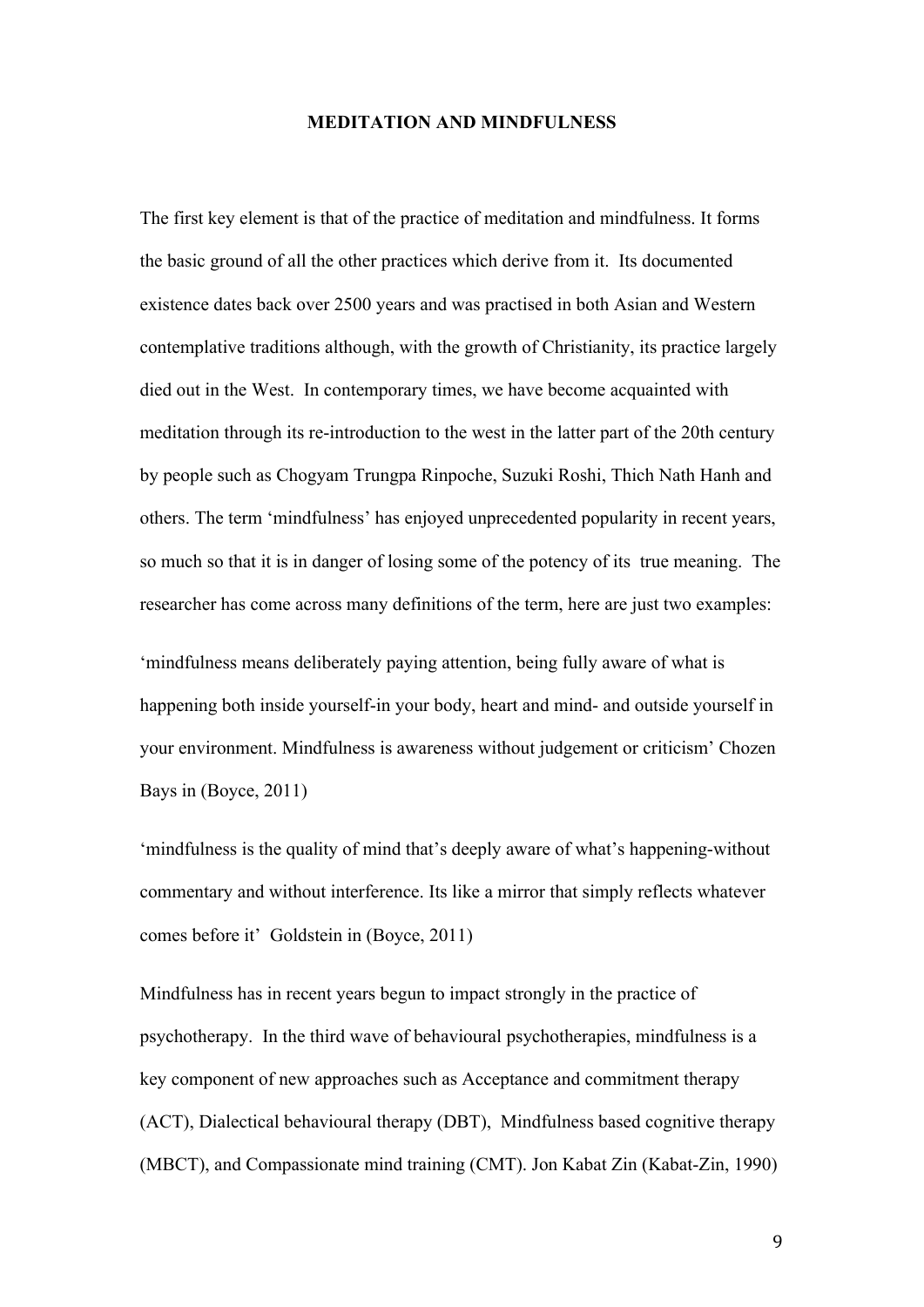#### **MEDITATION AND MINDFULNESS**

The first key element is that of the practice of meditation and mindfulness. It forms the basic ground of all the other practices which derive from it. Its documented existence dates back over 2500 years and was practised in both Asian and Western contemplative traditions although, with the growth of Christianity, its practice largely died out in the West. In contemporary times, we have become acquainted with meditation through its re-introduction to the west in the latter part of the 20th century by people such as Chogyam Trungpa Rinpoche, Suzuki Roshi, Thich Nath Hanh and others. The term 'mindfulness' has enjoyed unprecedented popularity in recent years, so much so that it is in danger of losing some of the potency of its true meaning. The researcher has come across many definitions of the term, here are just two examples:

'mindfulness means deliberately paying attention, being fully aware of what is happening both inside yourself-in your body, heart and mind- and outside yourself in your environment. Mindfulness is awareness without judgement or criticism' Chozen Bays in (Boyce, 2011)

'mindfulness is the quality of mind that's deeply aware of what's happening-without commentary and without interference. Its like a mirror that simply reflects whatever comes before it' Goldstein in (Boyce, 2011)

Mindfulness has in recent years begun to impact strongly in the practice of psychotherapy. In the third wave of behavioural psychotherapies, mindfulness is a key component of new approaches such as Acceptance and commitment therapy (ACT), Dialectical behavioural therapy (DBT), Mindfulness based cognitive therapy (MBCT), and Compassionate mind training (CMT). Jon Kabat Zin (Kabat-Zin, 1990)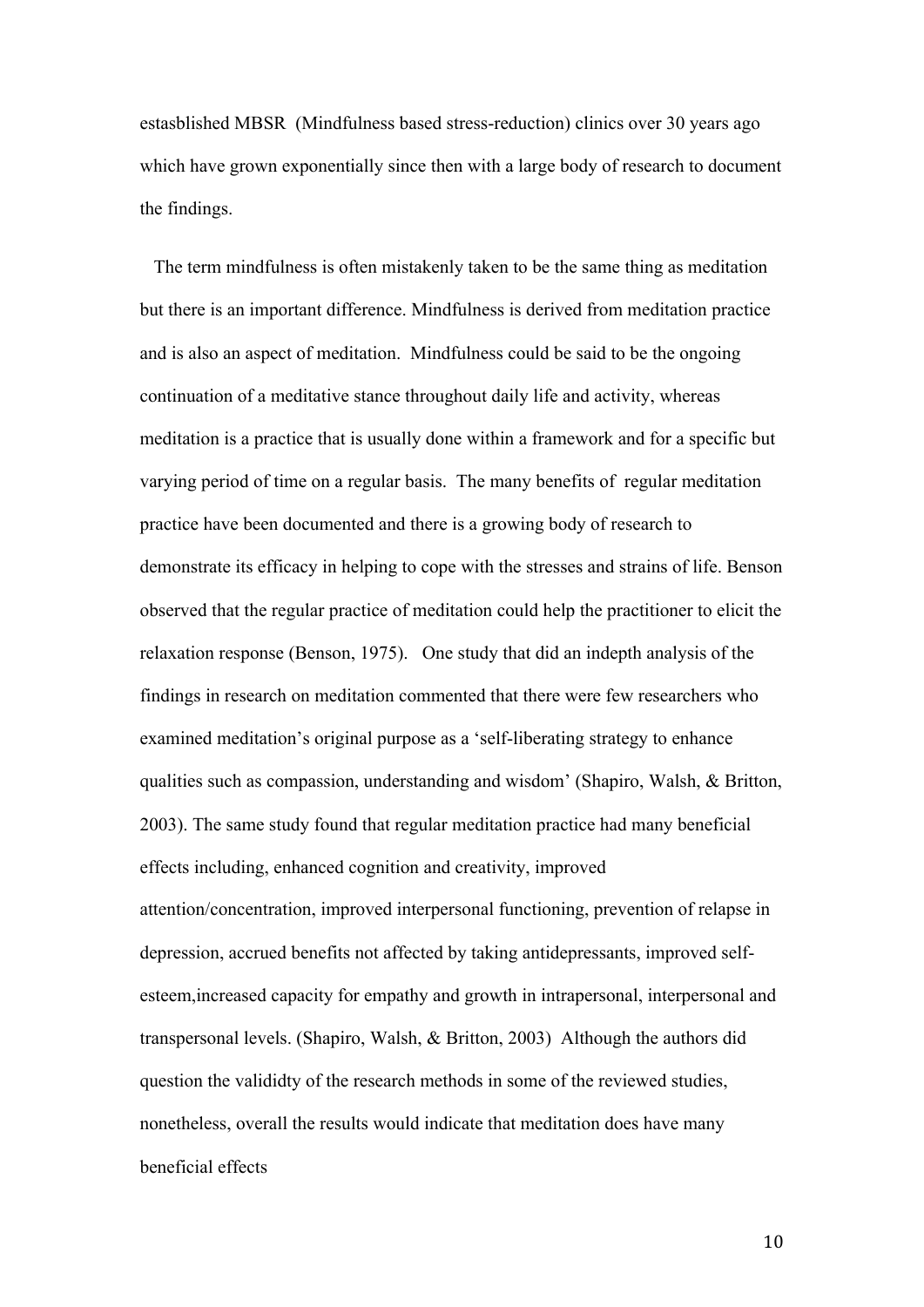estasblished MBSR (Mindfulness based stress-reduction) clinics over 30 years ago which have grown exponentially since then with a large body of research to document the findings.

 The term mindfulness is often mistakenly taken to be the same thing as meditation but there is an important difference. Mindfulness is derived from meditation practice and is also an aspect of meditation. Mindfulness could be said to be the ongoing continuation of a meditative stance throughout daily life and activity, whereas meditation is a practice that is usually done within a framework and for a specific but varying period of time on a regular basis. The many benefits of regular meditation practice have been documented and there is a growing body of research to demonstrate its efficacy in helping to cope with the stresses and strains of life. Benson observed that the regular practice of meditation could help the practitioner to elicit the relaxation response (Benson, 1975). One study that did an indepth analysis of the findings in research on meditation commented that there were few researchers who examined meditation's original purpose as a 'self-liberating strategy to enhance qualities such as compassion, understanding and wisdom' (Shapiro, Walsh, & Britton, 2003). The same study found that regular meditation practice had many beneficial effects including, enhanced cognition and creativity, improved attention/concentration, improved interpersonal functioning, prevention of relapse in depression, accrued benefits not affected by taking antidepressants, improved selfesteem,increased capacity for empathy and growth in intrapersonal, interpersonal and transpersonal levels. (Shapiro, Walsh, & Britton, 2003) Although the authors did question the valididty of the research methods in some of the reviewed studies, nonetheless, overall the results would indicate that meditation does have many beneficial effects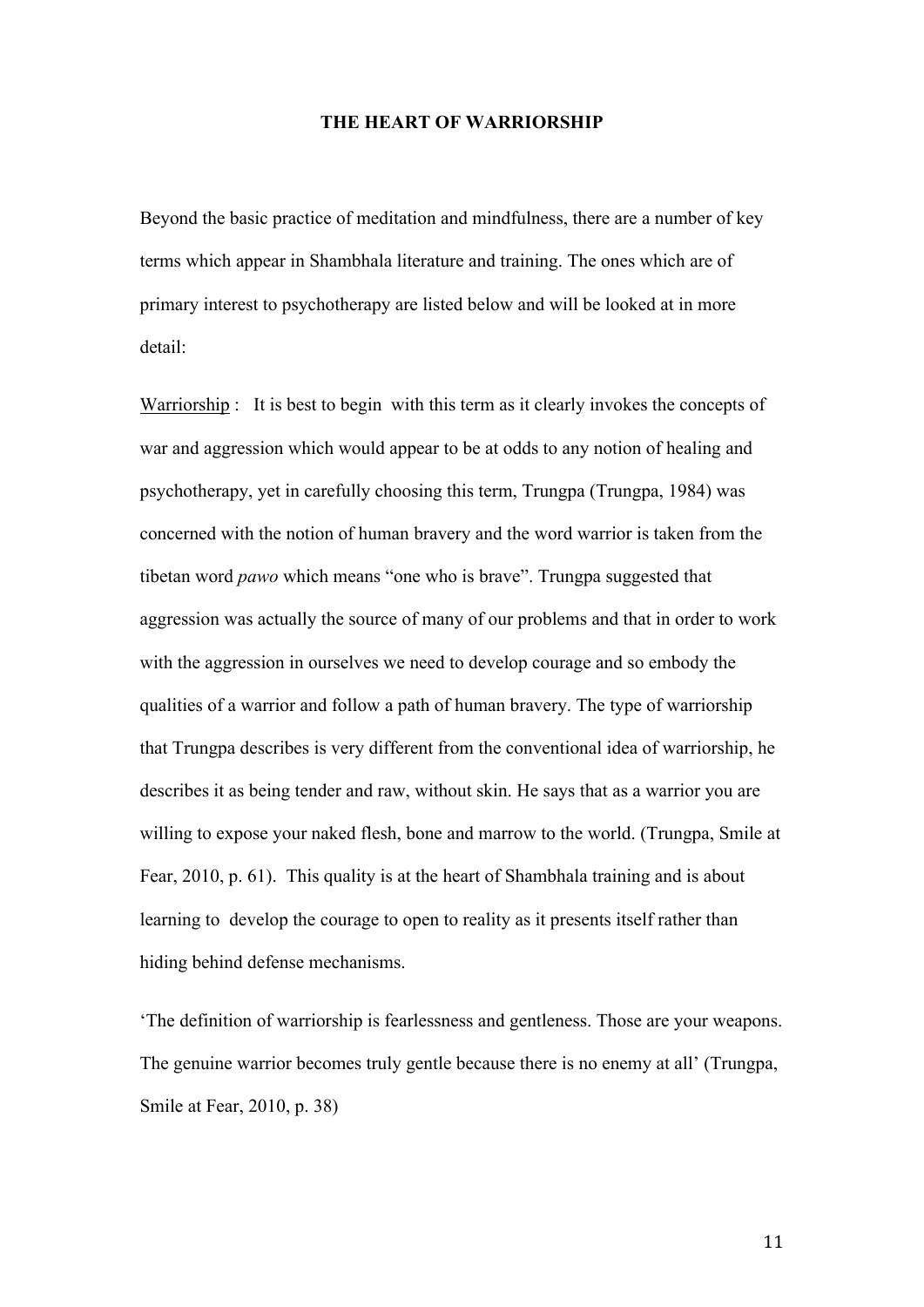#### **THE HEART OF WARRIORSHIP**

Beyond the basic practice of meditation and mindfulness, there are a number of key terms which appear in Shambhala literature and training. The ones which are of primary interest to psychotherapy are listed below and will be looked at in more detail:

Warriorship : It is best to begin with this term as it clearly invokes the concepts of war and aggression which would appear to be at odds to any notion of healing and psychotherapy, yet in carefully choosing this term, Trungpa (Trungpa, 1984) was concerned with the notion of human bravery and the word warrior is taken from the tibetan word *pawo* which means "one who is brave". Trungpa suggested that aggression was actually the source of many of our problems and that in order to work with the aggression in ourselves we need to develop courage and so embody the qualities of a warrior and follow a path of human bravery. The type of warriorship that Trungpa describes is very different from the conventional idea of warriorship, he describes it as being tender and raw, without skin. He says that as a warrior you are willing to expose your naked flesh, bone and marrow to the world. (Trungpa, Smile at Fear, 2010, p. 61). This quality is at the heart of Shambhala training and is about learning to develop the courage to open to reality as it presents itself rather than hiding behind defense mechanisms.

'The definition of warriorship is fearlessness and gentleness. Those are your weapons. The genuine warrior becomes truly gentle because there is no enemy at all' (Trungpa, Smile at Fear, 2010, p. 38)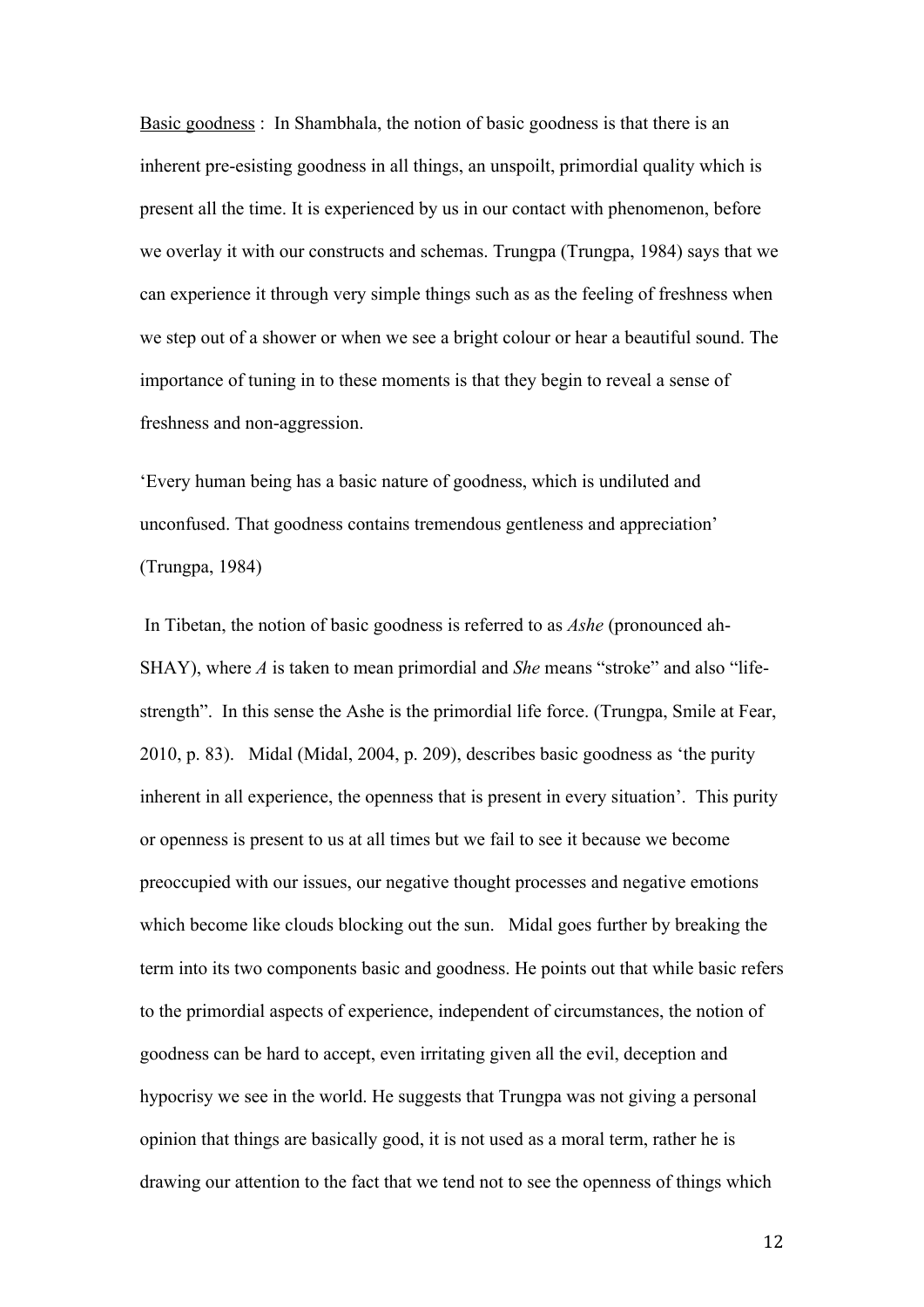Basic goodness : In Shambhala, the notion of basic goodness is that there is an inherent pre-esisting goodness in all things, an unspoilt, primordial quality which is present all the time. It is experienced by us in our contact with phenomenon, before we overlay it with our constructs and schemas. Trungpa (Trungpa, 1984) says that we can experience it through very simple things such as as the feeling of freshness when we step out of a shower or when we see a bright colour or hear a beautiful sound. The importance of tuning in to these moments is that they begin to reveal a sense of freshness and non-aggression.

'Every human being has a basic nature of goodness, which is undiluted and unconfused. That goodness contains tremendous gentleness and appreciation' (Trungpa, 1984)

 In Tibetan, the notion of basic goodness is referred to as *Ashe* (pronounced ah-SHAY), where *A* is taken to mean primordial and *She* means "stroke" and also "lifestrength". In this sense the Ashe is the primordial life force. (Trungpa, Smile at Fear, 2010, p. 83). Midal (Midal, 2004, p. 209), describes basic goodness as 'the purity inherent in all experience, the openness that is present in every situation'. This purity or openness is present to us at all times but we fail to see it because we become preoccupied with our issues, our negative thought processes and negative emotions which become like clouds blocking out the sun. Midal goes further by breaking the term into its two components basic and goodness. He points out that while basic refers to the primordial aspects of experience, independent of circumstances, the notion of goodness can be hard to accept, even irritating given all the evil, deception and hypocrisy we see in the world. He suggests that Trungpa was not giving a personal opinion that things are basically good, it is not used as a moral term, rather he is drawing our attention to the fact that we tend not to see the openness of things which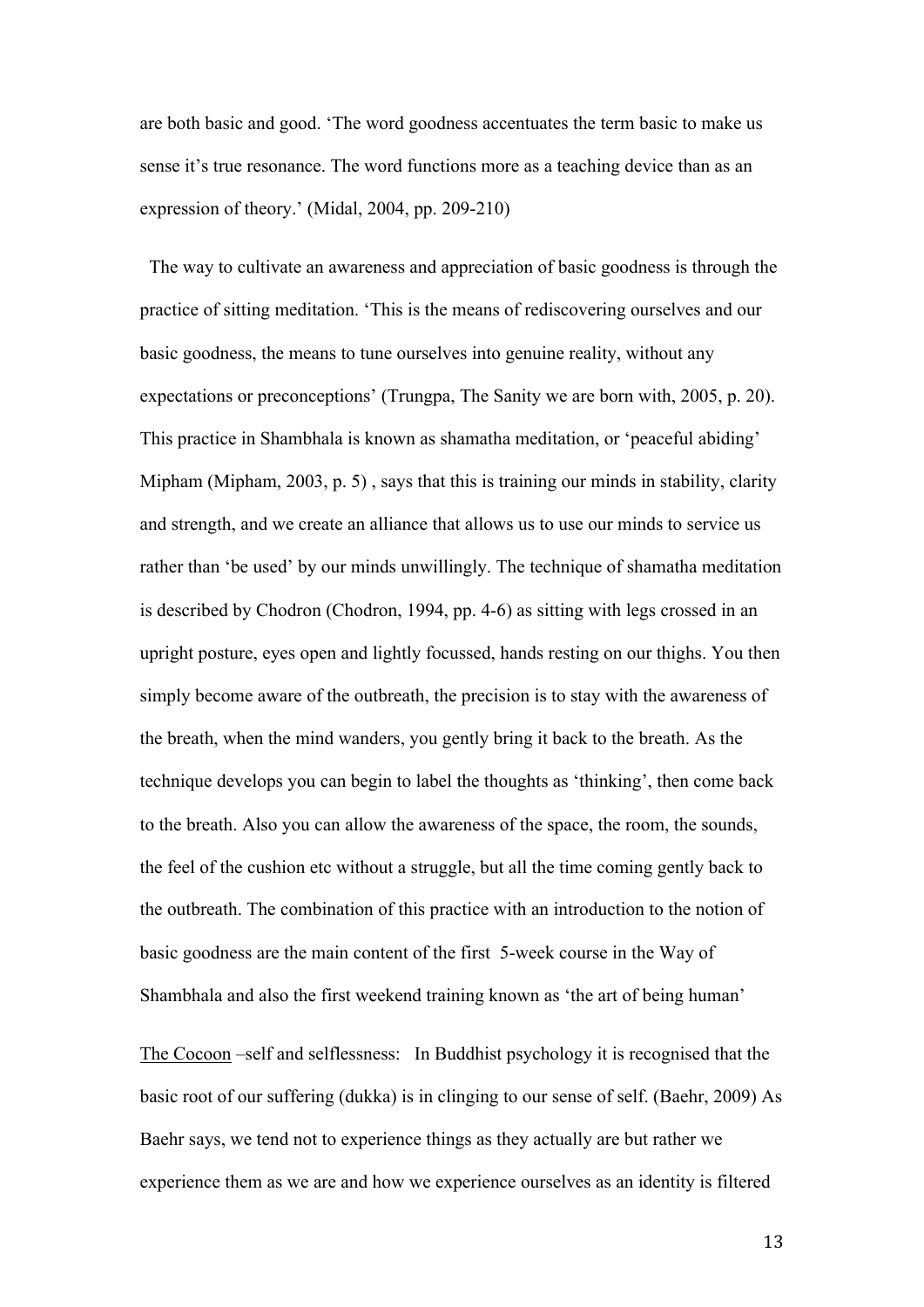are both basic and good. 'The word goodness accentuates the term basic to make us sense it's true resonance. The word functions more as a teaching device than as an expression of theory.' (Midal, 2004, pp. 209-210)

 The way to cultivate an awareness and appreciation of basic goodness is through the practice of sitting meditation. 'This is the means of rediscovering ourselves and our basic goodness, the means to tune ourselves into genuine reality, without any expectations or preconceptions' (Trungpa, The Sanity we are born with, 2005, p. 20). This practice in Shambhala is known as shamatha meditation, or 'peaceful abiding' Mipham (Mipham, 2003, p. 5) , says that this is training our minds in stability, clarity and strength, and we create an alliance that allows us to use our minds to service us rather than 'be used' by our minds unwillingly. The technique of shamatha meditation is described by Chodron (Chodron, 1994, pp. 4-6) as sitting with legs crossed in an upright posture, eyes open and lightly focussed, hands resting on our thighs. You then simply become aware of the outbreath, the precision is to stay with the awareness of the breath, when the mind wanders, you gently bring it back to the breath. As the technique develops you can begin to label the thoughts as 'thinking', then come back to the breath. Also you can allow the awareness of the space, the room, the sounds, the feel of the cushion etc without a struggle, but all the time coming gently back to the outbreath. The combination of this practice with an introduction to the notion of basic goodness are the main content of the first 5-week course in the Way of Shambhala and also the first weekend training known as 'the art of being human'

The Cocoon –self and selflessness: In Buddhist psychology it is recognised that the basic root of our suffering (dukka) is in clinging to our sense of self. (Baehr, 2009) As Baehr says, we tend not to experience things as they actually are but rather we experience them as we are and how we experience ourselves as an identity is filtered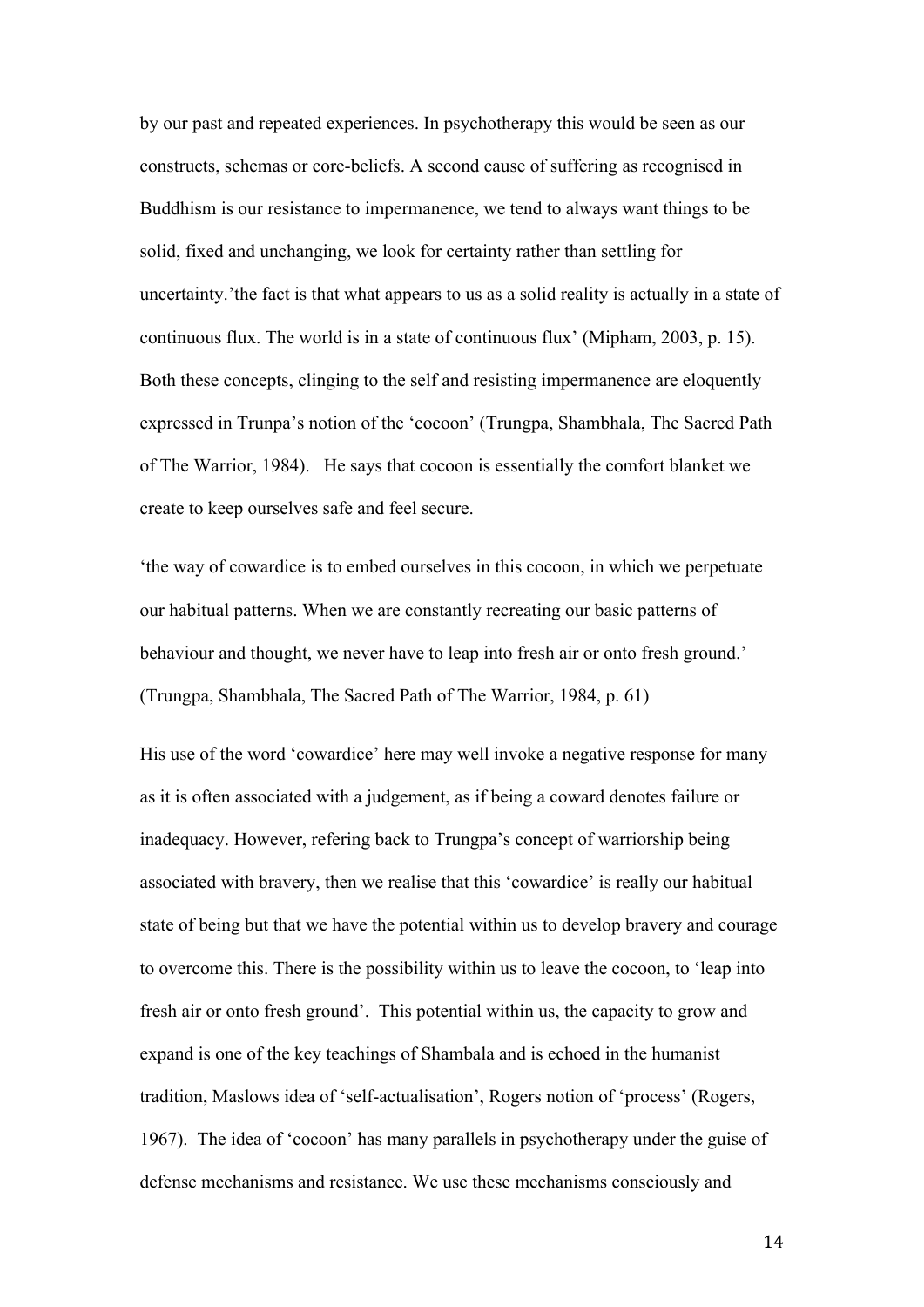by our past and repeated experiences. In psychotherapy this would be seen as our constructs, schemas or core-beliefs. A second cause of suffering as recognised in Buddhism is our resistance to impermanence, we tend to always want things to be solid, fixed and unchanging, we look for certainty rather than settling for uncertainty.'the fact is that what appears to us as a solid reality is actually in a state of continuous flux. The world is in a state of continuous flux' (Mipham, 2003, p. 15). Both these concepts, clinging to the self and resisting impermanence are eloquently expressed in Trunpa's notion of the 'cocoon' (Trungpa, Shambhala, The Sacred Path of The Warrior, 1984). He says that cocoon is essentially the comfort blanket we create to keep ourselves safe and feel secure.

'the way of cowardice is to embed ourselves in this cocoon, in which we perpetuate our habitual patterns. When we are constantly recreating our basic patterns of behaviour and thought, we never have to leap into fresh air or onto fresh ground.' (Trungpa, Shambhala, The Sacred Path of The Warrior, 1984, p. 61)

His use of the word 'cowardice' here may well invoke a negative response for many as it is often associated with a judgement, as if being a coward denotes failure or inadequacy. However, refering back to Trungpa's concept of warriorship being associated with bravery, then we realise that this 'cowardice' is really our habitual state of being but that we have the potential within us to develop bravery and courage to overcome this. There is the possibility within us to leave the cocoon, to 'leap into fresh air or onto fresh ground'. This potential within us, the capacity to grow and expand is one of the key teachings of Shambala and is echoed in the humanist tradition, Maslows idea of 'self-actualisation', Rogers notion of 'process' (Rogers, 1967). The idea of 'cocoon' has many parallels in psychotherapy under the guise of defense mechanisms and resistance. We use these mechanisms consciously and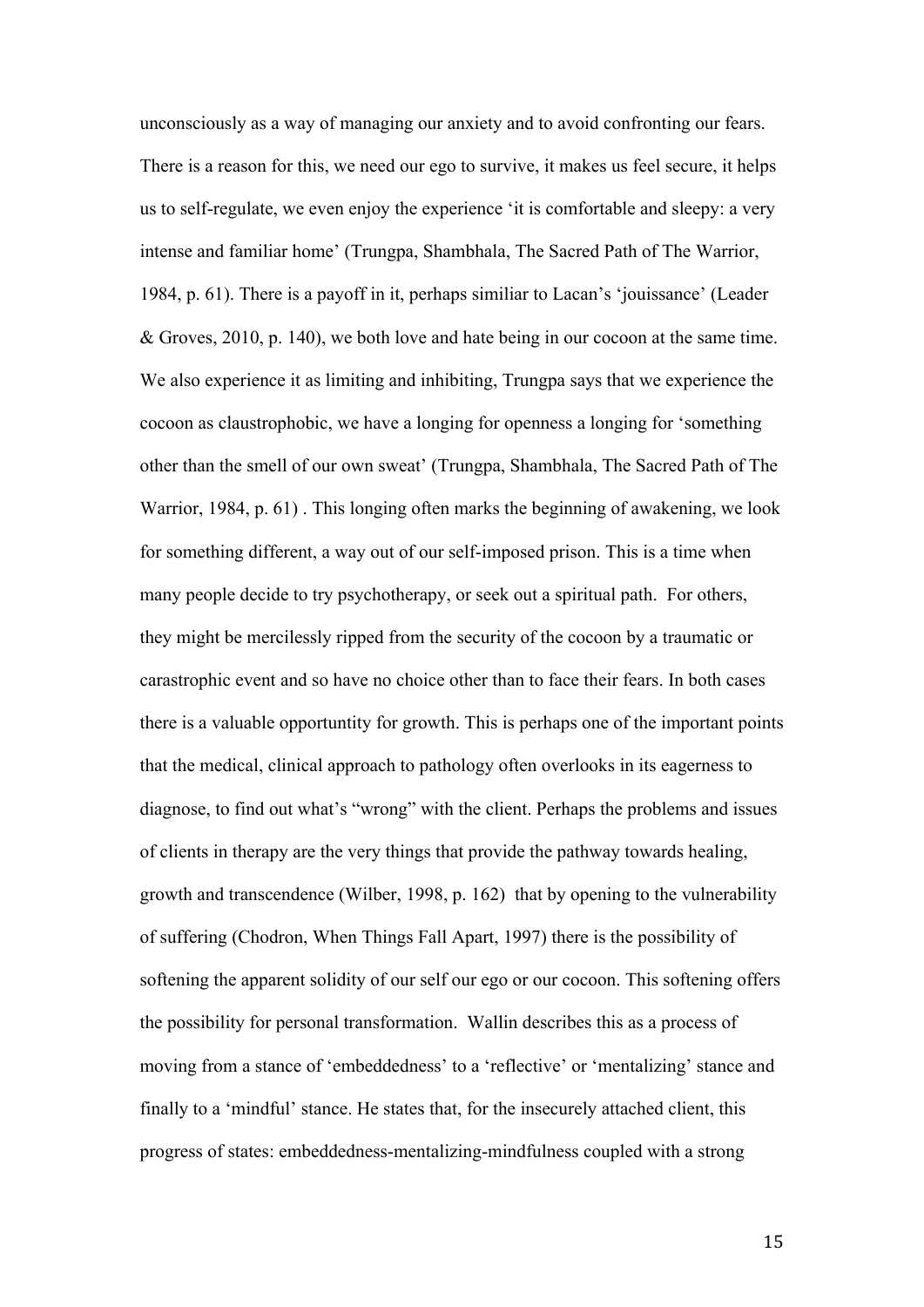unconsciously as a way of managing our anxiety and to avoid confronting our fears. There is a reason for this, we need our ego to survive, it makes us feel secure, it helps us to self-regulate, we even enjoy the experience 'it is comfortable and sleepy: a very intense and familiar home' (Trungpa, Shambhala, The Sacred Path of The Warrior, 1984, p. 61). There is a payoff in it, perhaps similiar to Lacan's 'jouissance' (Leader & Groves, 2010, p. 140), we both love and hate being in our cocoon at the same time. We also experience it as limiting and inhibiting, Trungpa says that we experience the cocoon as claustrophobic, we have a longing for openness a longing for 'something other than the smell of our own sweat' (Trungpa, Shambhala, The Sacred Path of The Warrior, 1984, p. 61) . This longing often marks the beginning of awakening, we look for something different, a way out of our self-imposed prison. This is a time when many people decide to try psychotherapy, or seek out a spiritual path. For others, they might be mercilessly ripped from the security of the cocoon by a traumatic or carastrophic event and so have no choice other than to face their fears. In both cases there is a valuable opportuntity for growth. This is perhaps one of the important points that the medical, clinical approach to pathology often overlooks in its eagerness to diagnose, to find out what's "wrong" with the client. Perhaps the problems and issues of clients in therapy are the very things that provide the pathway towards healing, growth and transcendence (Wilber, 1998, p. 162) that by opening to the vulnerability of suffering (Chodron, When Things Fall Apart, 1997) there is the possibility of softening the apparent solidity of our self our ego or our cocoon. This softening offers the possibility for personal transformation. Wallin describes this as a process of moving from a stance of 'embeddedness' to a 'reflective' or 'mentalizing' stance and finally to a 'mindful' stance. He states that, for the insecurely attached client, this progress of states: embeddedness-mentalizing-mindfulness coupled with a strong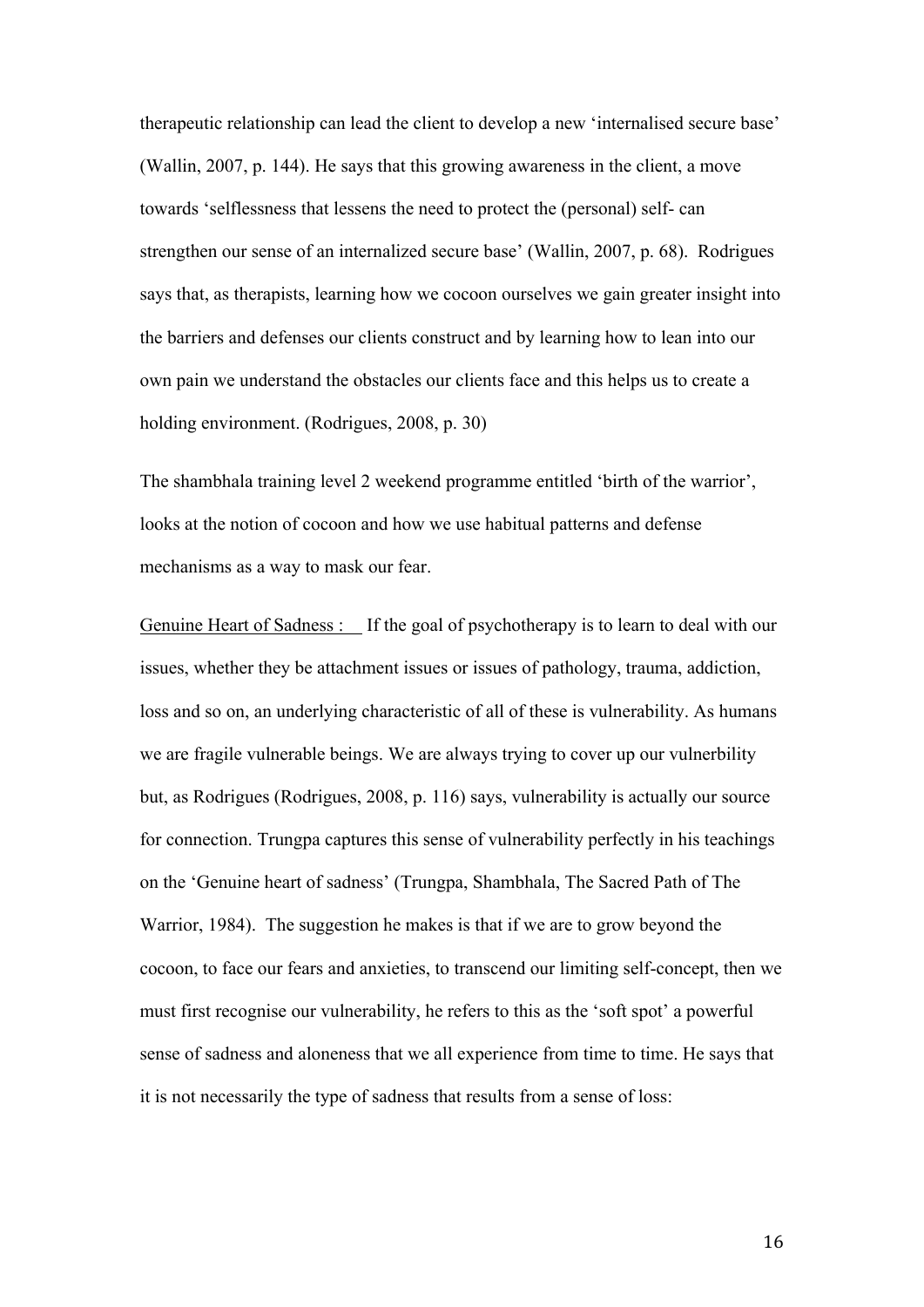therapeutic relationship can lead the client to develop a new 'internalised secure base' (Wallin, 2007, p. 144). He says that this growing awareness in the client, a move towards 'selflessness that lessens the need to protect the (personal) self- can strengthen our sense of an internalized secure base' (Wallin, 2007, p. 68). Rodrigues says that, as therapists, learning how we cocoon ourselves we gain greater insight into the barriers and defenses our clients construct and by learning how to lean into our own pain we understand the obstacles our clients face and this helps us to create a holding environment. (Rodrigues, 2008, p. 30)

The shambhala training level 2 weekend programme entitled 'birth of the warrior', looks at the notion of cocoon and how we use habitual patterns and defense mechanisms as a way to mask our fear.

Genuine Heart of Sadness : If the goal of psychotherapy is to learn to deal with our issues, whether they be attachment issues or issues of pathology, trauma, addiction, loss and so on, an underlying characteristic of all of these is vulnerability. As humans we are fragile vulnerable beings. We are always trying to cover up our vulnerbility but, as Rodrigues (Rodrigues, 2008, p. 116) says, vulnerability is actually our source for connection. Trungpa captures this sense of vulnerability perfectly in his teachings on the 'Genuine heart of sadness' (Trungpa, Shambhala, The Sacred Path of The Warrior, 1984). The suggestion he makes is that if we are to grow beyond the cocoon, to face our fears and anxieties, to transcend our limiting self-concept, then we must first recognise our vulnerability, he refers to this as the 'soft spot' a powerful sense of sadness and aloneness that we all experience from time to time. He says that it is not necessarily the type of sadness that results from a sense of loss: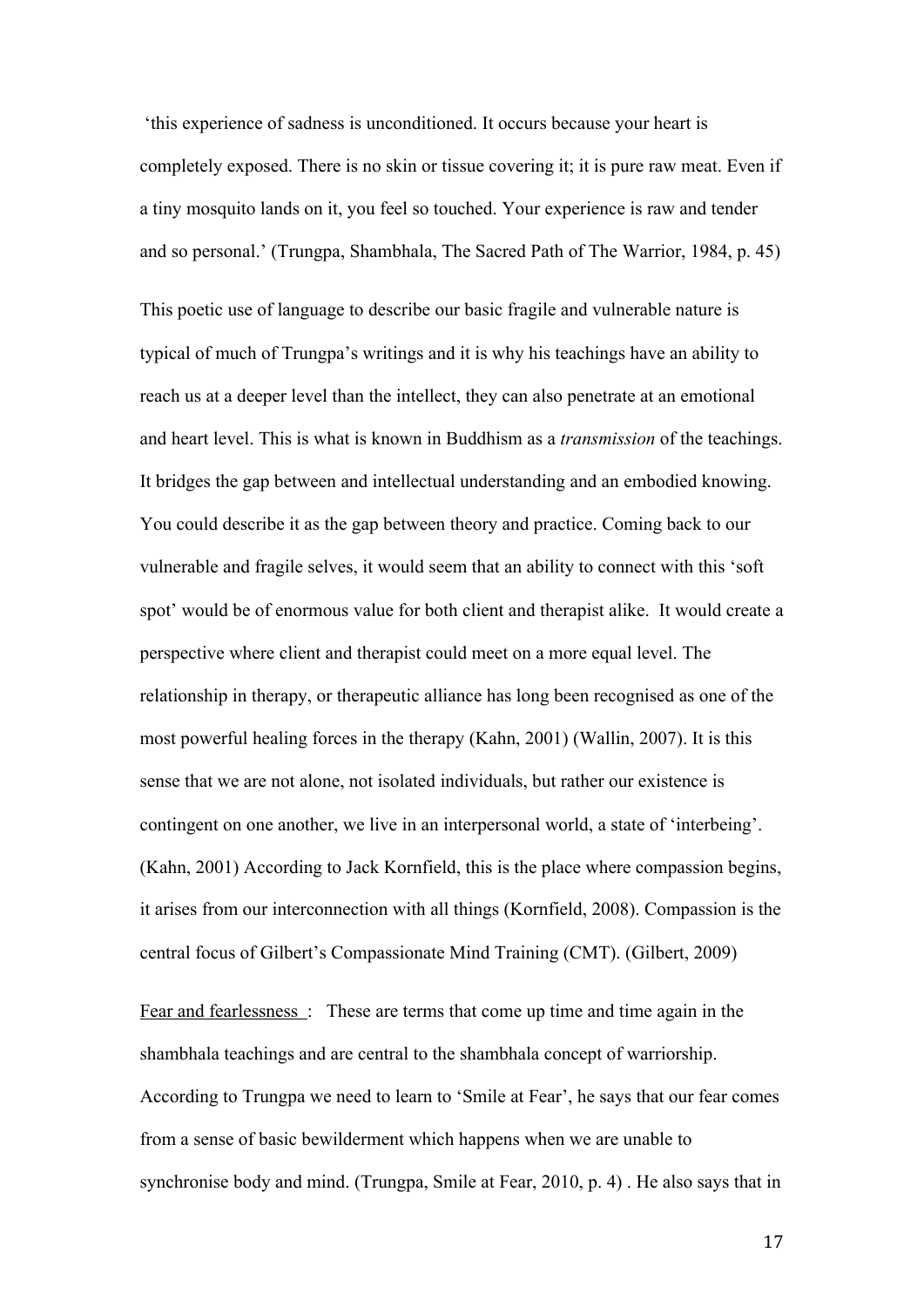'this experience of sadness is unconditioned. It occurs because your heart is completely exposed. There is no skin or tissue covering it; it is pure raw meat. Even if a tiny mosquito lands on it, you feel so touched. Your experience is raw and tender and so personal.' (Trungpa, Shambhala, The Sacred Path of The Warrior, 1984, p. 45)

This poetic use of language to describe our basic fragile and vulnerable nature is typical of much of Trungpa's writings and it is why his teachings have an ability to reach us at a deeper level than the intellect, they can also penetrate at an emotional and heart level. This is what is known in Buddhism as a *transmission* of the teachings. It bridges the gap between and intellectual understanding and an embodied knowing. You could describe it as the gap between theory and practice. Coming back to our vulnerable and fragile selves, it would seem that an ability to connect with this 'soft spot' would be of enormous value for both client and therapist alike. It would create a perspective where client and therapist could meet on a more equal level. The relationship in therapy, or therapeutic alliance has long been recognised as one of the most powerful healing forces in the therapy (Kahn, 2001) (Wallin, 2007). It is this sense that we are not alone, not isolated individuals, but rather our existence is contingent on one another, we live in an interpersonal world, a state of 'interbeing'. (Kahn, 2001) According to Jack Kornfield, this is the place where compassion begins, it arises from our interconnection with all things (Kornfield, 2008). Compassion is the central focus of Gilbert's Compassionate Mind Training (CMT). (Gilbert, 2009)

Fear and fearlessness : These are terms that come up time and time again in the shambhala teachings and are central to the shambhala concept of warriorship. According to Trungpa we need to learn to 'Smile at Fear', he says that our fear comes from a sense of basic bewilderment which happens when we are unable to synchronise body and mind. (Trungpa, Smile at Fear, 2010, p. 4) . He also says that in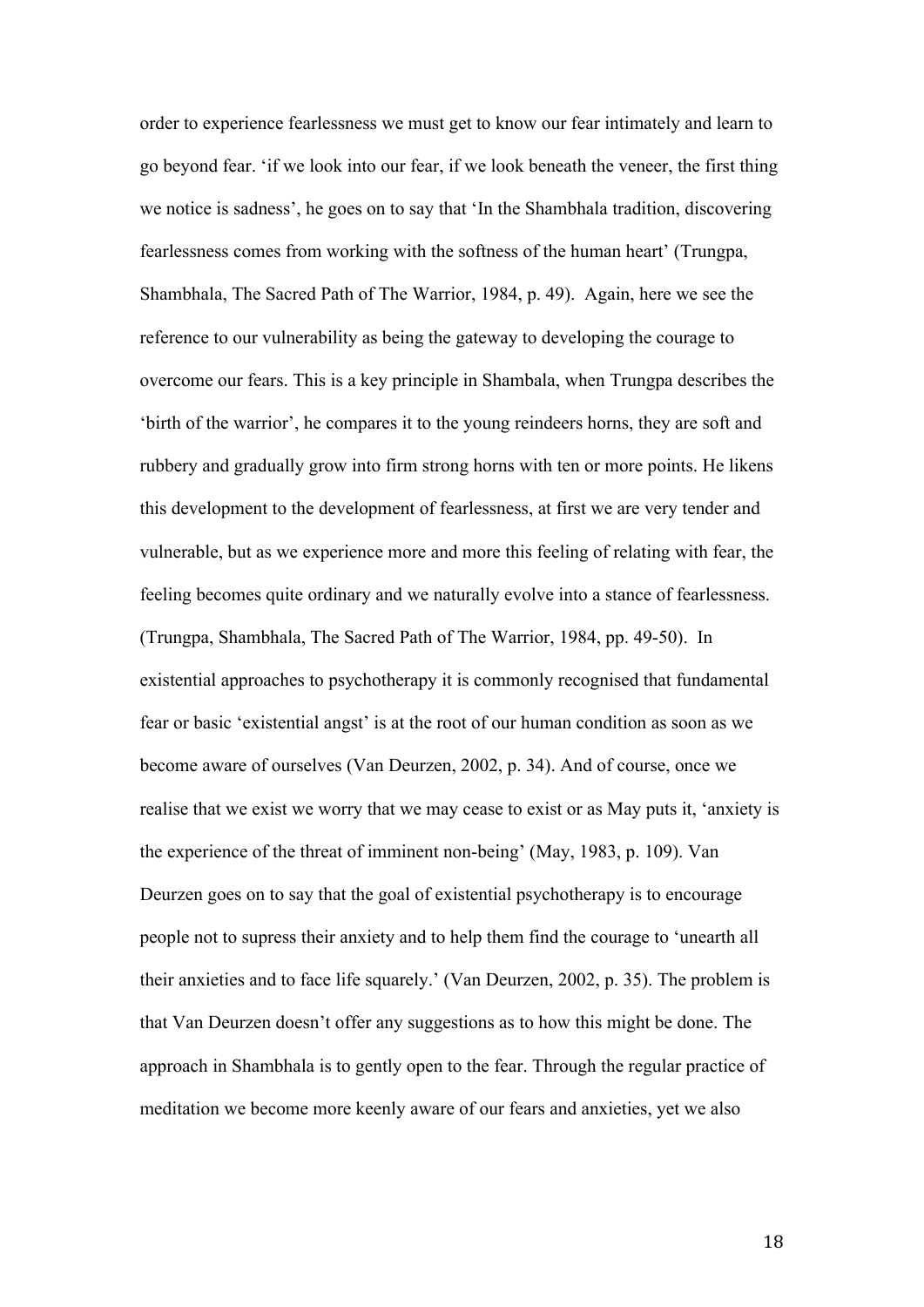order to experience fearlessness we must get to know our fear intimately and learn to go beyond fear. 'if we look into our fear, if we look beneath the veneer, the first thing we notice is sadness', he goes on to say that 'In the Shambhala tradition, discovering fearlessness comes from working with the softness of the human heart' (Trungpa, Shambhala, The Sacred Path of The Warrior, 1984, p. 49). Again, here we see the reference to our vulnerability as being the gateway to developing the courage to overcome our fears. This is a key principle in Shambala, when Trungpa describes the 'birth of the warrior', he compares it to the young reindeers horns, they are soft and rubbery and gradually grow into firm strong horns with ten or more points. He likens this development to the development of fearlessness, at first we are very tender and vulnerable, but as we experience more and more this feeling of relating with fear, the feeling becomes quite ordinary and we naturally evolve into a stance of fearlessness. (Trungpa, Shambhala, The Sacred Path of The Warrior, 1984, pp. 49-50). In existential approaches to psychotherapy it is commonly recognised that fundamental fear or basic 'existential angst' is at the root of our human condition as soon as we become aware of ourselves (Van Deurzen, 2002, p. 34). And of course, once we realise that we exist we worry that we may cease to exist or as May puts it, 'anxiety is the experience of the threat of imminent non-being' (May, 1983, p. 109). Van Deurzen goes on to say that the goal of existential psychotherapy is to encourage people not to supress their anxiety and to help them find the courage to 'unearth all their anxieties and to face life squarely.' (Van Deurzen, 2002, p. 35). The problem is that Van Deurzen doesn't offer any suggestions as to how this might be done. The approach in Shambhala is to gently open to the fear. Through the regular practice of meditation we become more keenly aware of our fears and anxieties, yet we also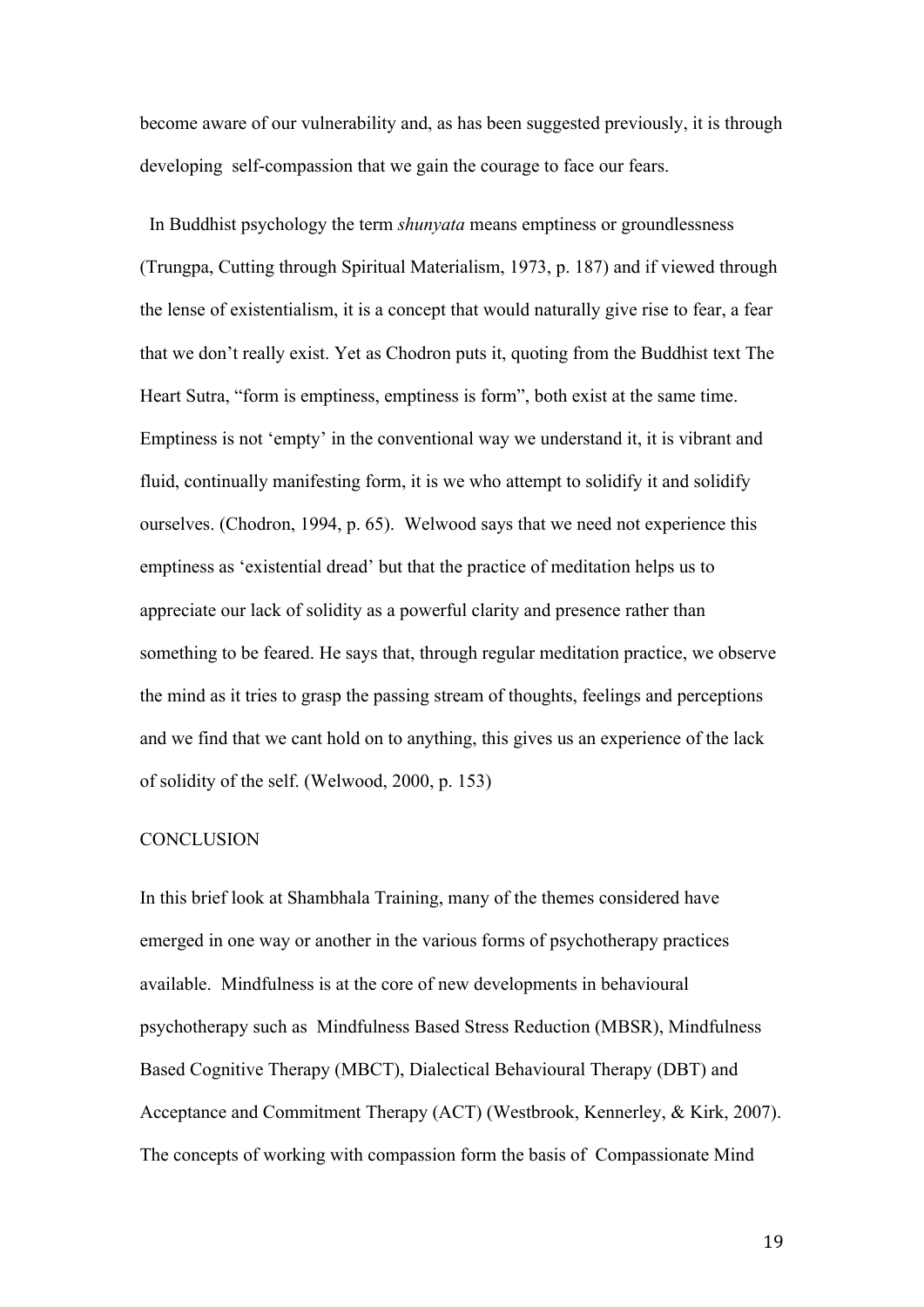become aware of our vulnerability and, as has been suggested previously, it is through developing self-compassion that we gain the courage to face our fears.

 In Buddhist psychology the term *shunyata* means emptiness or groundlessness (Trungpa, Cutting through Spiritual Materialism, 1973, p. 187) and if viewed through the lense of existentialism, it is a concept that would naturally give rise to fear, a fear that we don't really exist. Yet as Chodron puts it, quoting from the Buddhist text The Heart Sutra, "form is emptiness, emptiness is form", both exist at the same time. Emptiness is not 'empty' in the conventional way we understand it, it is vibrant and fluid, continually manifesting form, it is we who attempt to solidify it and solidify ourselves. (Chodron, 1994, p. 65). Welwood says that we need not experience this emptiness as 'existential dread' but that the practice of meditation helps us to appreciate our lack of solidity as a powerful clarity and presence rather than something to be feared. He says that, through regular meditation practice, we observe the mind as it tries to grasp the passing stream of thoughts, feelings and perceptions and we find that we cant hold on to anything, this gives us an experience of the lack of solidity of the self. (Welwood, 2000, p. 153)

#### **CONCLUSION**

In this brief look at Shambhala Training, many of the themes considered have emerged in one way or another in the various forms of psychotherapy practices available. Mindfulness is at the core of new developments in behavioural psychotherapy such as Mindfulness Based Stress Reduction (MBSR), Mindfulness Based Cognitive Therapy (MBCT), Dialectical Behavioural Therapy (DBT) and Acceptance and Commitment Therapy (ACT) (Westbrook, Kennerley, & Kirk, 2007). The concepts of working with compassion form the basis of Compassionate Mind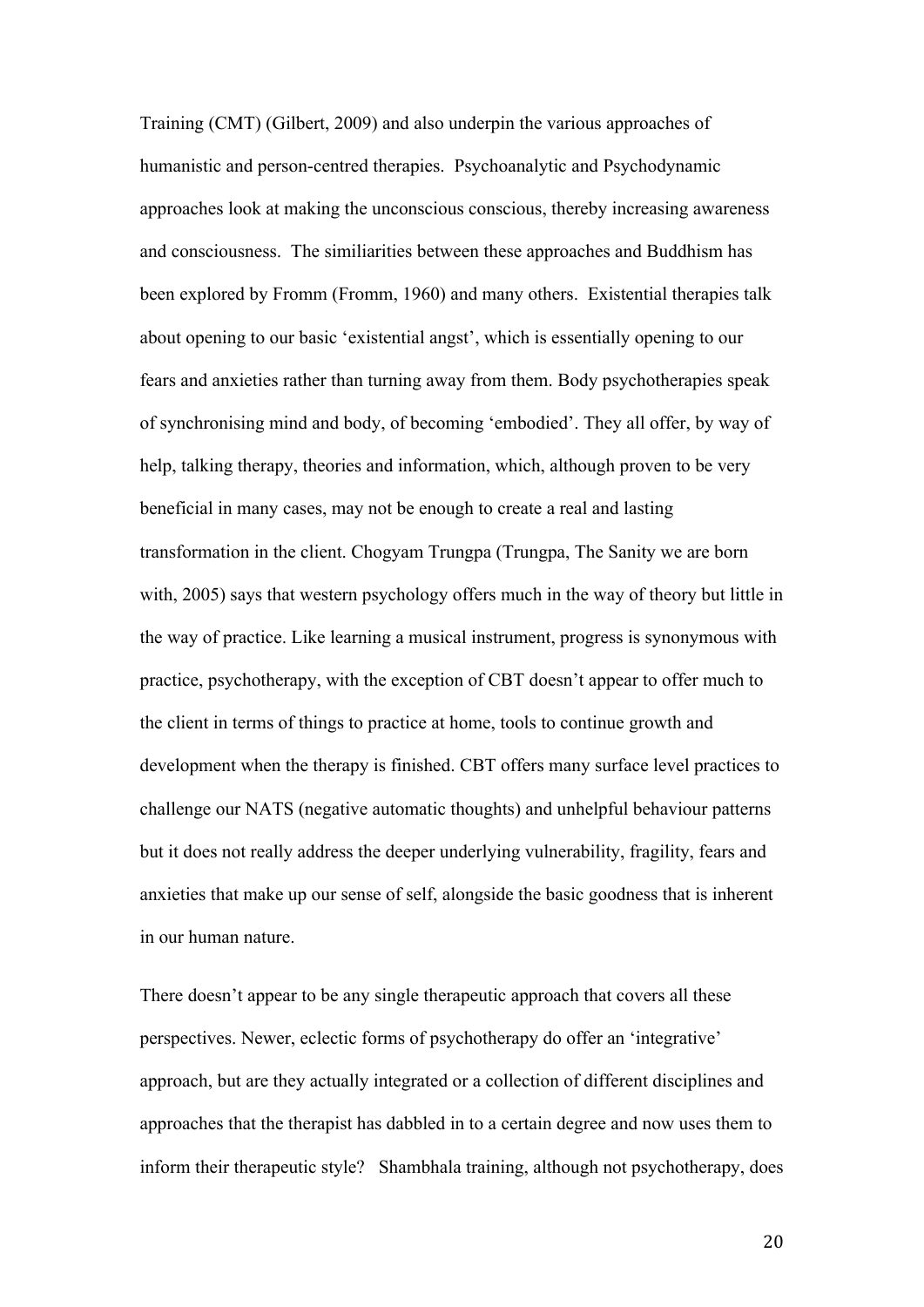Training (CMT) (Gilbert, 2009) and also underpin the various approaches of humanistic and person-centred therapies. Psychoanalytic and Psychodynamic approaches look at making the unconscious conscious, thereby increasing awareness and consciousness. The similiarities between these approaches and Buddhism has been explored by Fromm (Fromm, 1960) and many others. Existential therapies talk about opening to our basic 'existential angst', which is essentially opening to our fears and anxieties rather than turning away from them. Body psychotherapies speak of synchronising mind and body, of becoming 'embodied'. They all offer, by way of help, talking therapy, theories and information, which, although proven to be very beneficial in many cases, may not be enough to create a real and lasting transformation in the client. Chogyam Trungpa (Trungpa, The Sanity we are born with, 2005) says that western psychology offers much in the way of theory but little in the way of practice. Like learning a musical instrument, progress is synonymous with practice, psychotherapy, with the exception of CBT doesn't appear to offer much to the client in terms of things to practice at home, tools to continue growth and development when the therapy is finished. CBT offers many surface level practices to challenge our NATS (negative automatic thoughts) and unhelpful behaviour patterns but it does not really address the deeper underlying vulnerability, fragility, fears and anxieties that make up our sense of self, alongside the basic goodness that is inherent in our human nature.

There doesn't appear to be any single therapeutic approach that covers all these perspectives. Newer, eclectic forms of psychotherapy do offer an 'integrative' approach, but are they actually integrated or a collection of different disciplines and approaches that the therapist has dabbled in to a certain degree and now uses them to inform their therapeutic style? Shambhala training, although not psychotherapy, does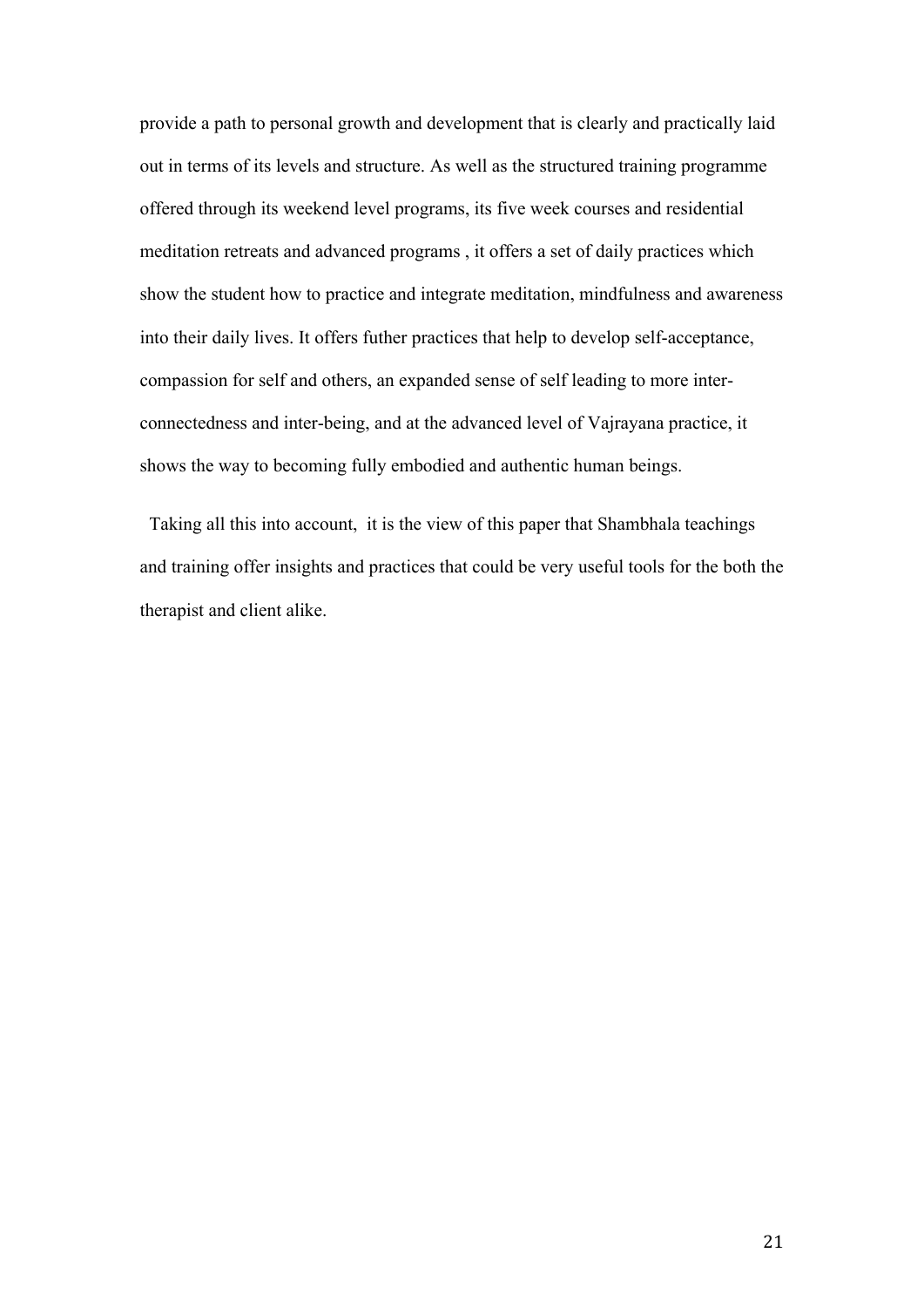provide a path to personal growth and development that is clearly and practically laid out in terms of its levels and structure. As well as the structured training programme offered through its weekend level programs, its five week courses and residential meditation retreats and advanced programs , it offers a set of daily practices which show the student how to practice and integrate meditation, mindfulness and awareness into their daily lives. It offers futher practices that help to develop self-acceptance, compassion for self and others, an expanded sense of self leading to more interconnectedness and inter-being, and at the advanced level of Vajrayana practice, it shows the way to becoming fully embodied and authentic human beings.

 Taking all this into account, it is the view of this paper that Shambhala teachings and training offer insights and practices that could be very useful tools for the both the therapist and client alike.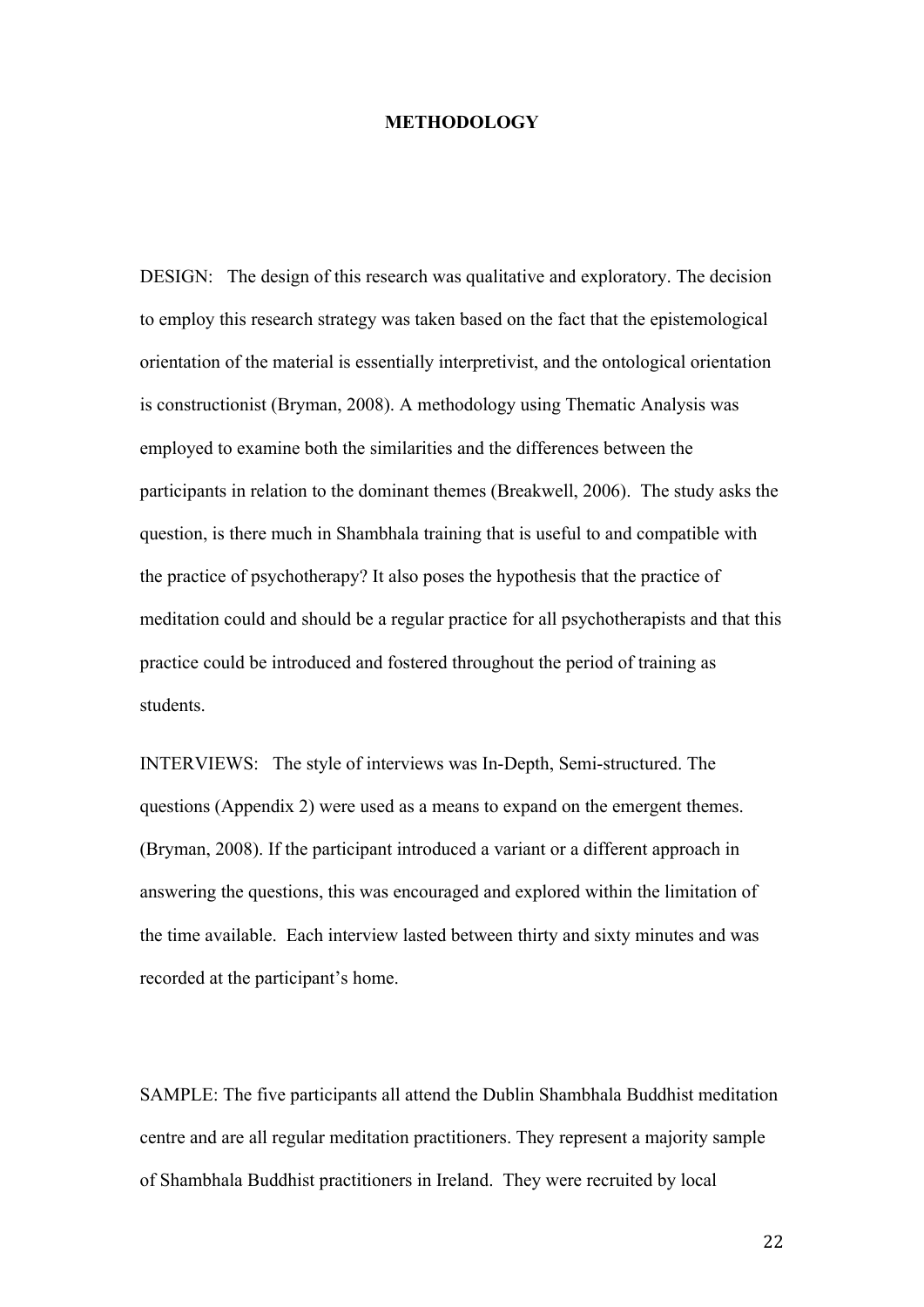#### **METHODOLOGY**

DESIGN: The design of this research was qualitative and exploratory. The decision to employ this research strategy was taken based on the fact that the epistemological orientation of the material is essentially interpretivist, and the ontological orientation is constructionist (Bryman, 2008). A methodology using Thematic Analysis was employed to examine both the similarities and the differences between the participants in relation to the dominant themes (Breakwell, 2006). The study asks the question, is there much in Shambhala training that is useful to and compatible with the practice of psychotherapy? It also poses the hypothesis that the practice of meditation could and should be a regular practice for all psychotherapists and that this practice could be introduced and fostered throughout the period of training as students.

INTERVIEWS: The style of interviews was In-Depth, Semi-structured. The questions (Appendix 2) were used as a means to expand on the emergent themes. (Bryman, 2008). If the participant introduced a variant or a different approach in answering the questions, this was encouraged and explored within the limitation of the time available. Each interview lasted between thirty and sixty minutes and was recorded at the participant's home.

SAMPLE: The five participants all attend the Dublin Shambhala Buddhist meditation centre and are all regular meditation practitioners. They represent a majority sample of Shambhala Buddhist practitioners in Ireland. They were recruited by local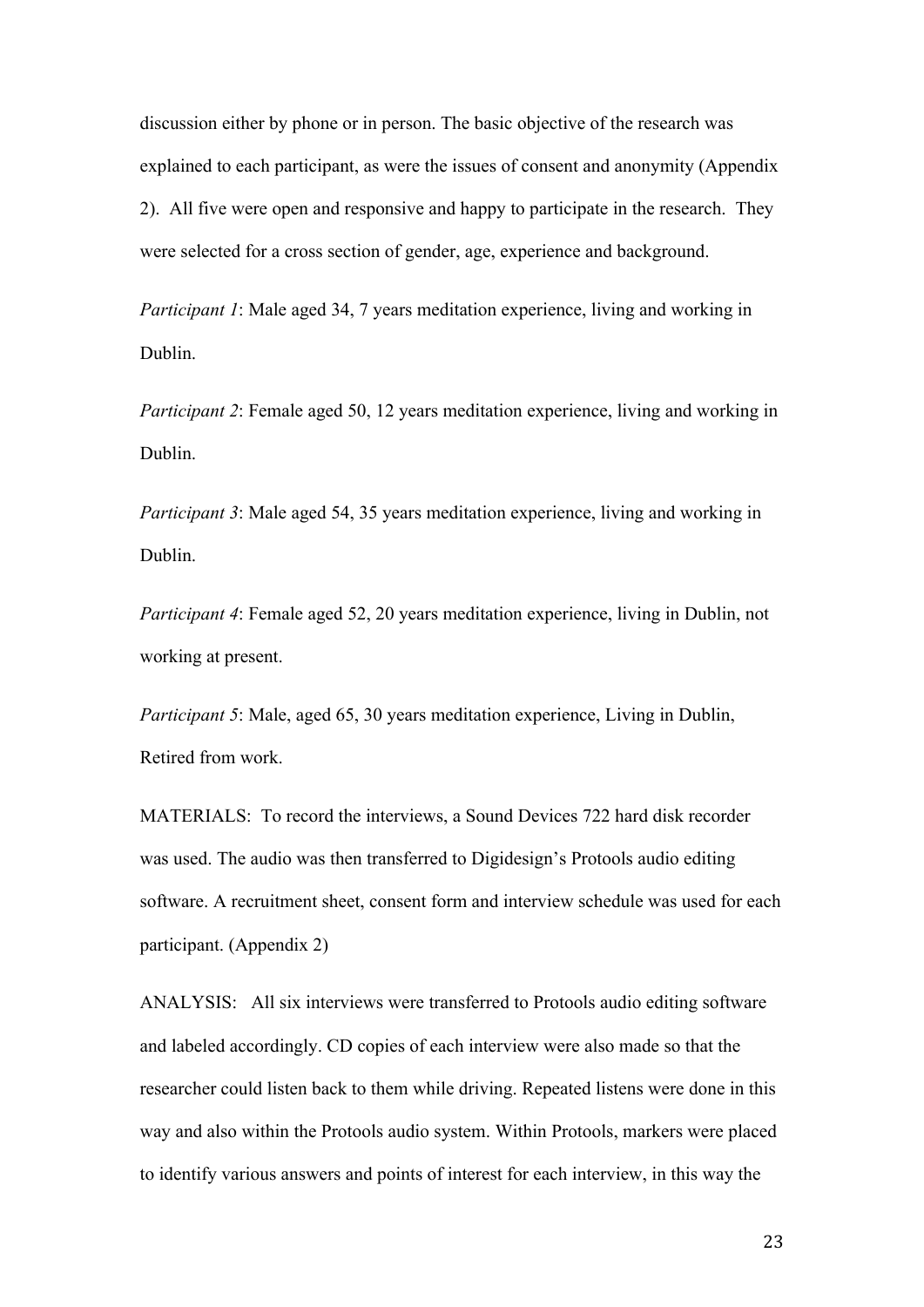discussion either by phone or in person. The basic objective of the research was explained to each participant, as were the issues of consent and anonymity (Appendix 2). All five were open and responsive and happy to participate in the research. They were selected for a cross section of gender, age, experience and background.

*Participant 1*: Male aged 34, 7 years meditation experience, living and working in Dublin.

*Participant 2*: Female aged 50, 12 years meditation experience, living and working in Dublin.

*Participant 3*: Male aged 54, 35 years meditation experience, living and working in Dublin.

*Participant 4*: Female aged 52, 20 years meditation experience, living in Dublin, not working at present.

*Participant 5*: Male, aged 65, 30 years meditation experience, Living in Dublin, Retired from work.

MATERIALS: To record the interviews, a Sound Devices 722 hard disk recorder was used. The audio was then transferred to Digidesign's Protools audio editing software. A recruitment sheet, consent form and interview schedule was used for each participant. (Appendix 2)

ANALYSIS: All six interviews were transferred to Protools audio editing software and labeled accordingly. CD copies of each interview were also made so that the researcher could listen back to them while driving. Repeated listens were done in this way and also within the Protools audio system. Within Protools, markers were placed to identify various answers and points of interest for each interview, in this way the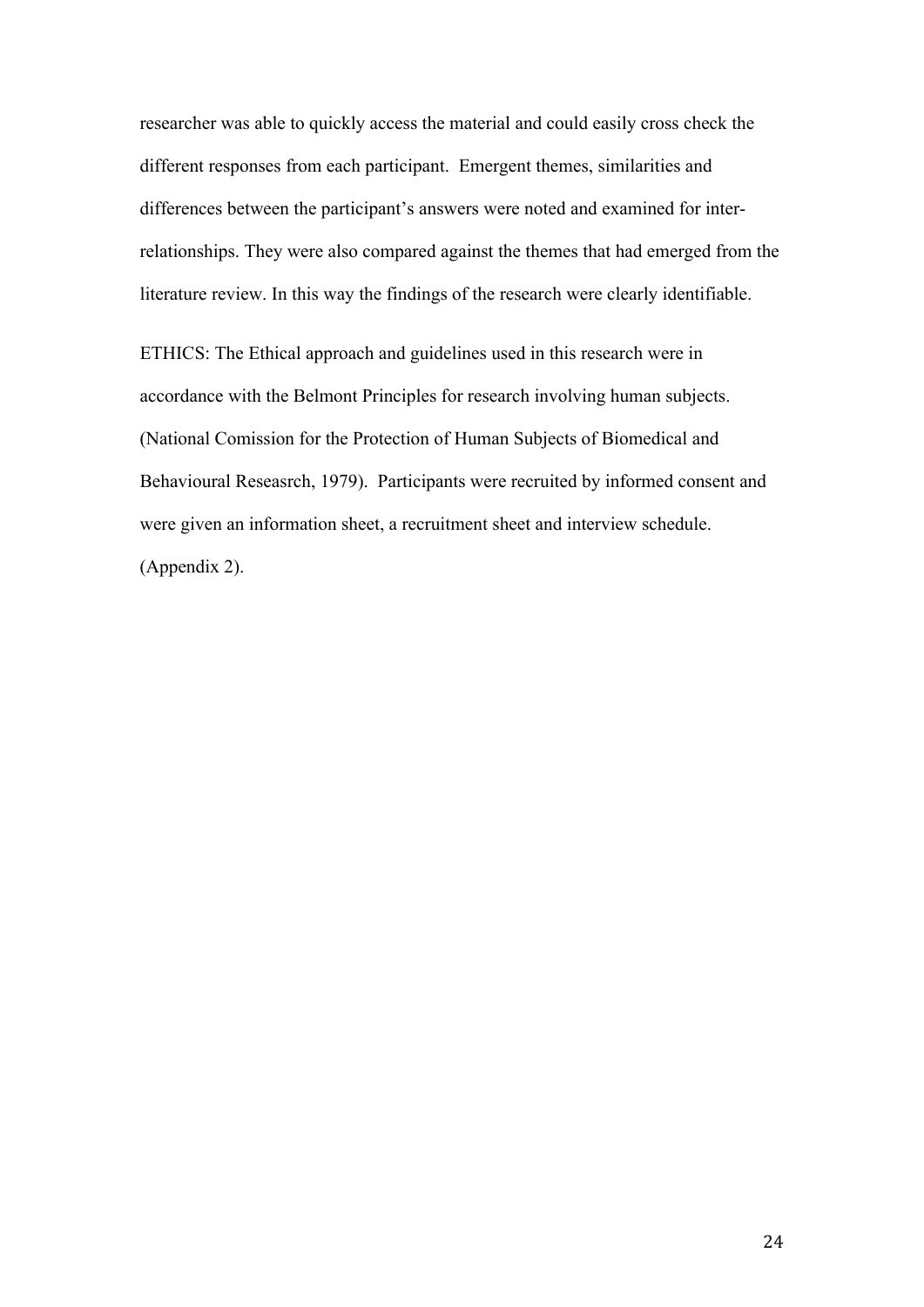researcher was able to quickly access the material and could easily cross check the different responses from each participant. Emergent themes, similarities and differences between the participant's answers were noted and examined for interrelationships. They were also compared against the themes that had emerged from the literature review. In this way the findings of the research were clearly identifiable.

ETHICS: The Ethical approach and guidelines used in this research were in accordance with the Belmont Principles for research involving human subjects. (National Comission for the Protection of Human Subjects of Biomedical and Behavioural Reseasrch, 1979). Participants were recruited by informed consent and were given an information sheet, a recruitment sheet and interview schedule. (Appendix 2).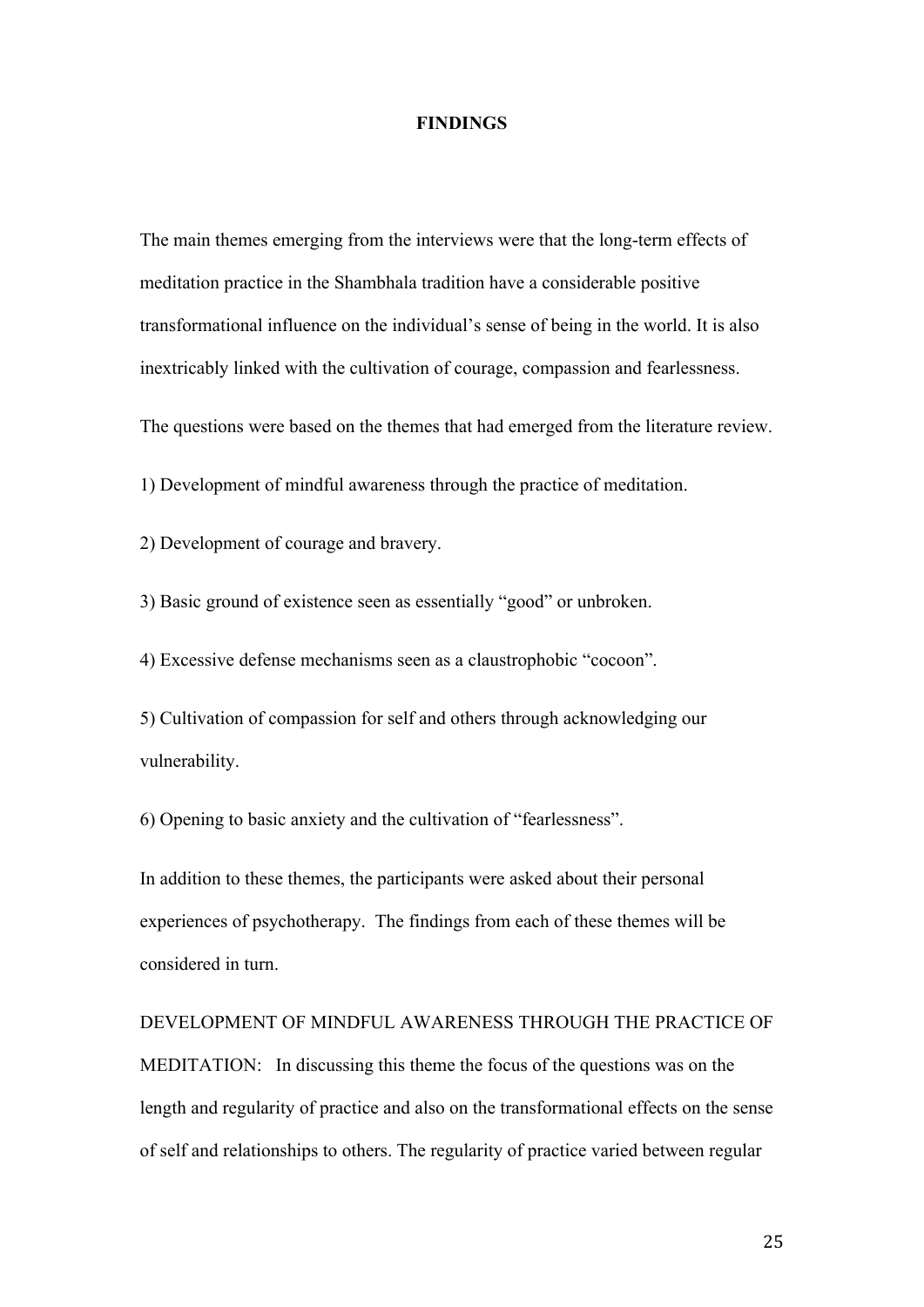#### **FINDINGS**

The main themes emerging from the interviews were that the long-term effects of meditation practice in the Shambhala tradition have a considerable positive transformational influence on the individual's sense of being in the world. It is also inextricably linked with the cultivation of courage, compassion and fearlessness.

The questions were based on the themes that had emerged from the literature review.

1) Development of mindful awareness through the practice of meditation.

2) Development of courage and bravery.

3) Basic ground of existence seen as essentially "good" or unbroken.

4) Excessive defense mechanisms seen as a claustrophobic "cocoon".

5) Cultivation of compassion for self and others through acknowledging our vulnerability.

6) Opening to basic anxiety and the cultivation of "fearlessness".

In addition to these themes, the participants were asked about their personal experiences of psychotherapy. The findings from each of these themes will be considered in turn.

# DEVELOPMENT OF MINDFUL AWARENESS THROUGH THE PRACTICE OF MEDITATION: In discussing this theme the focus of the questions was on the length and regularity of practice and also on the transformational effects on the sense of self and relationships to others. The regularity of practice varied between regular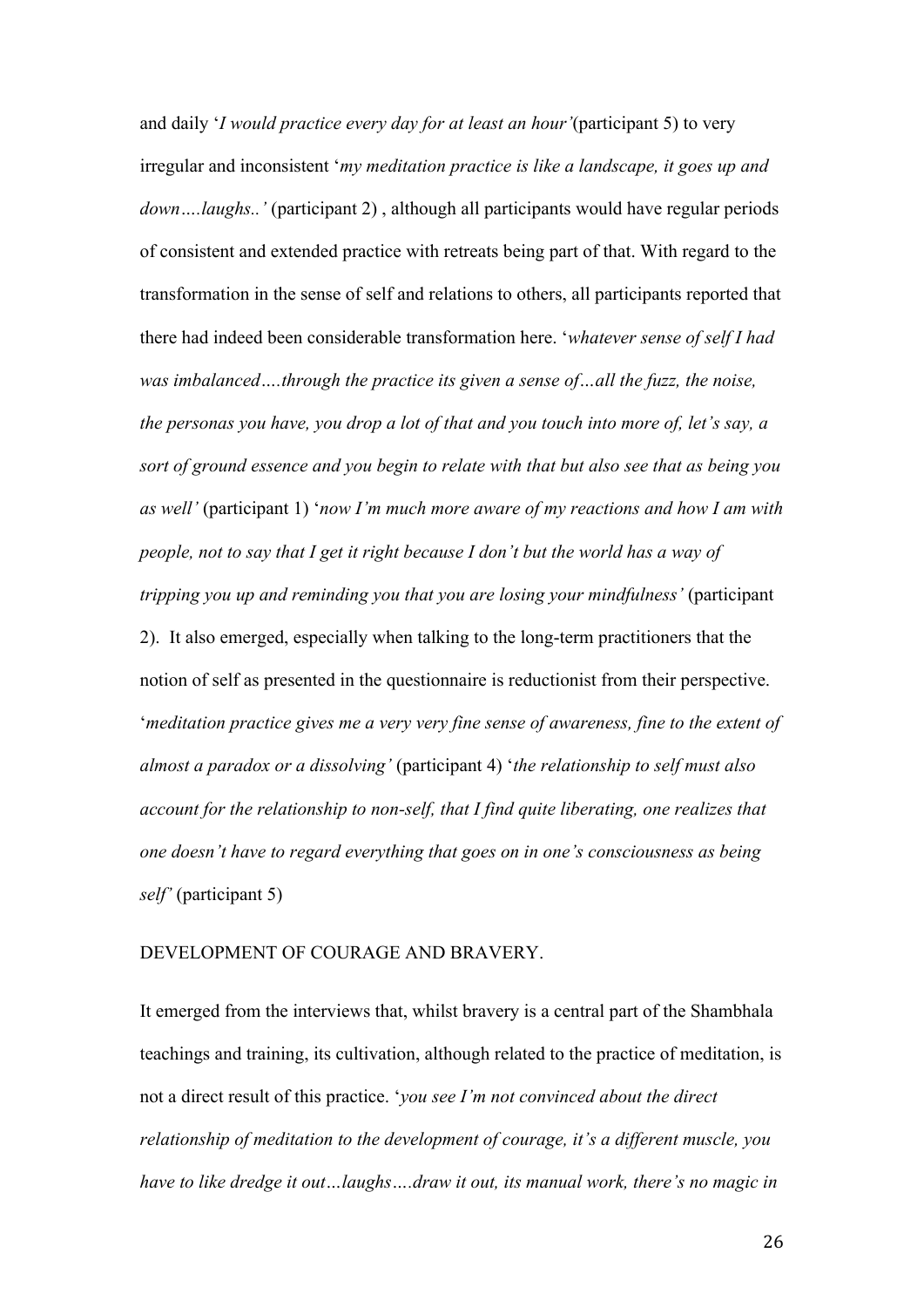and daily '*I would practice every day for at least an hour'*(participant 5) to very irregular and inconsistent '*my meditation practice is like a landscape, it goes up and down….laughs..'* (participant 2) , although all participants would have regular periods of consistent and extended practice with retreats being part of that. With regard to the transformation in the sense of self and relations to others, all participants reported that there had indeed been considerable transformation here. '*whatever sense of self I had was imbalanced….through the practice its given a sense of…all the fuzz, the noise, the personas you have, you drop a lot of that and you touch into more of, let's say, a sort of ground essence and you begin to relate with that but also see that as being you as well'* (participant 1) '*now I'm much more aware of my reactions and how I am with people, not to say that I get it right because I don't but the world has a way of tripping you up and reminding you that you are losing your mindfulness'* (participant 2). It also emerged, especially when talking to the long-term practitioners that the notion of self as presented in the questionnaire is reductionist from their perspective. '*meditation practice gives me a very very fine sense of awareness, fine to the extent of almost a paradox or a dissolving'* (participant 4) '*the relationship to self must also account for the relationship to non-self, that I find quite liberating, one realizes that one doesn't have to regard everything that goes on in one's consciousness as being self'* (participant 5)

#### DEVELOPMENT OF COURAGE AND BRAVERY.

It emerged from the interviews that, whilst bravery is a central part of the Shambhala teachings and training, its cultivation, although related to the practice of meditation, is not a direct result of this practice. '*you see I'm not convinced about the direct relationship of meditation to the development of courage, it's a different muscle, you have to like dredge it out…laughs….draw it out, its manual work, there's no magic in*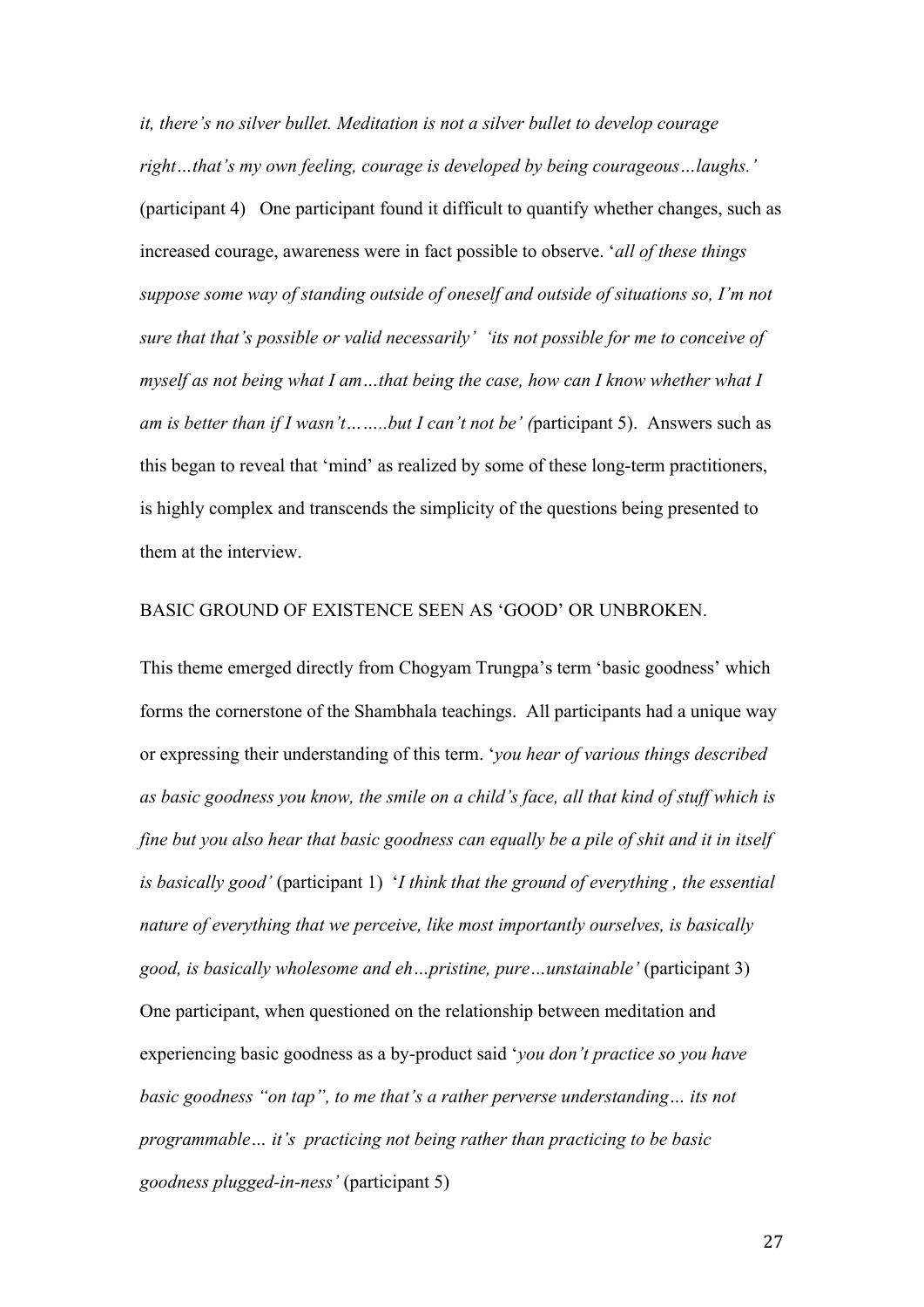*it, there's no silver bullet. Meditation is not a silver bullet to develop courage right…that's my own feeling, courage is developed by being courageous…laughs.'* (participant 4) One participant found it difficult to quantify whether changes, such as increased courage, awareness were in fact possible to observe. '*all of these things suppose some way of standing outside of oneself and outside of situations so, I'm not sure that that's possible or valid necessarily' 'its not possible for me to conceive of myself as not being what I am…that being the case, how can I know whether what I am is better than if I wasn't……..but I can't not be' (*participant 5). Answers such as this began to reveal that 'mind' as realized by some of these long-term practitioners, is highly complex and transcends the simplicity of the questions being presented to them at the interview.

#### BASIC GROUND OF EXISTENCE SEEN AS 'GOOD' OR UNBROKEN.

This theme emerged directly from Chogyam Trungpa's term 'basic goodness' which forms the cornerstone of the Shambhala teachings. All participants had a unique way or expressing their understanding of this term. '*you hear of various things described as basic goodness you know, the smile on a child's face, all that kind of stuff which is fine but you also hear that basic goodness can equally be a pile of shit and it in itself is basically good'* (participant 1) '*I think that the ground of everything , the essential nature of everything that we perceive, like most importantly ourselves, is basically good, is basically wholesome and eh…pristine, pure…unstainable'* (participant 3) One participant, when questioned on the relationship between meditation and experiencing basic goodness as a by-product said '*you don't practice so you have basic goodness "on tap", to me that's a rather perverse understanding… its not programmable… it's practicing not being rather than practicing to be basic goodness plugged-in-ness'* (participant 5)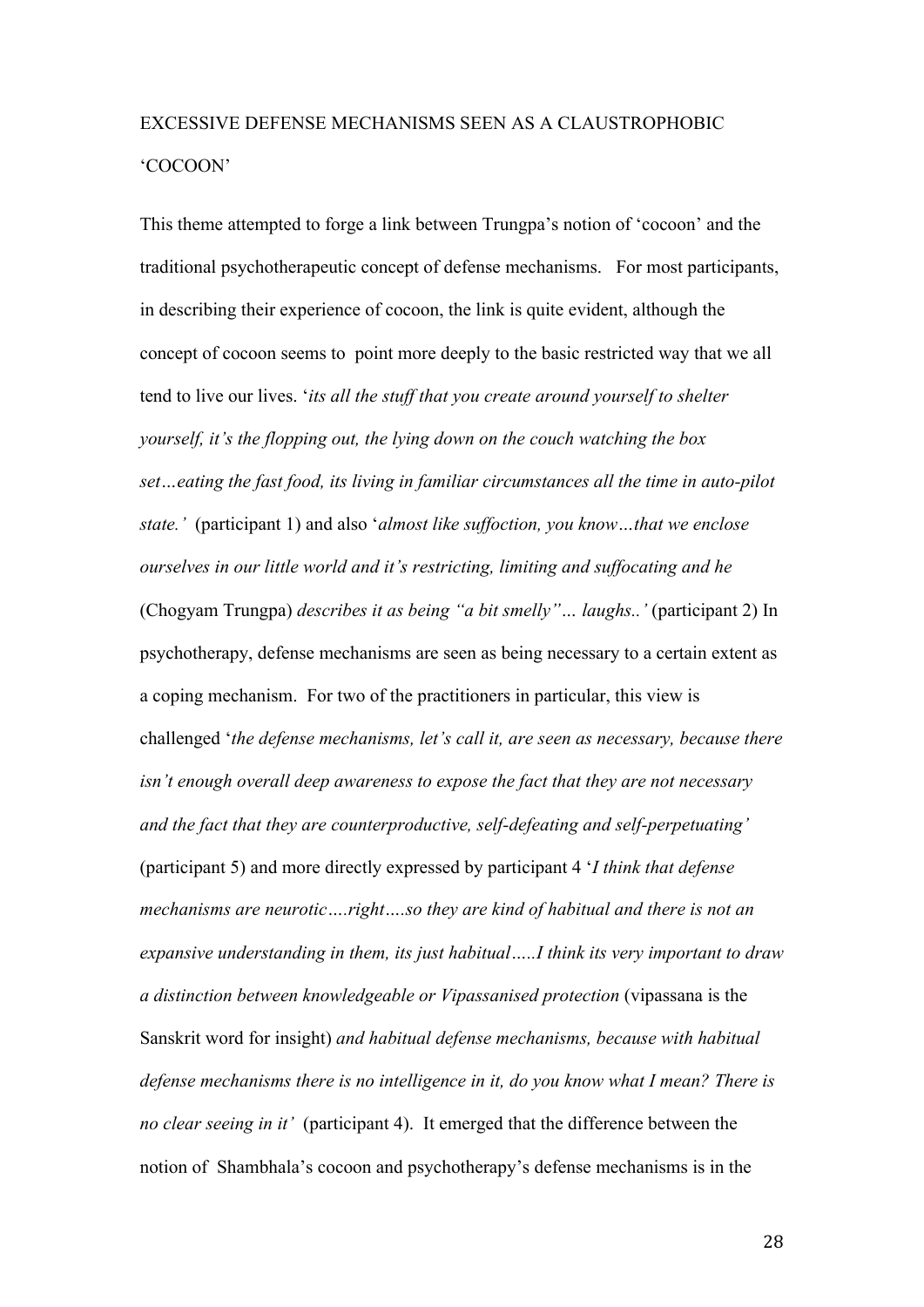## EXCESSIVE DEFENSE MECHANISMS SEEN AS A CLAUSTROPHOBIC 'COCOON'

This theme attempted to forge a link between Trungpa's notion of 'cocoon' and the traditional psychotherapeutic concept of defense mechanisms. For most participants, in describing their experience of cocoon, the link is quite evident, although the concept of cocoon seems to point more deeply to the basic restricted way that we all tend to live our lives. '*its all the stuff that you create around yourself to shelter yourself, it's the flopping out, the lying down on the couch watching the box set…eating the fast food, its living in familiar circumstances all the time in auto-pilot state.'* (participant 1) and also '*almost like suffoction, you know…that we enclose ourselves in our little world and it's restricting, limiting and suffocating and he*  (Chogyam Trungpa) *describes it as being "a bit smelly"… laughs..'* (participant 2) In psychotherapy, defense mechanisms are seen as being necessary to a certain extent as a coping mechanism. For two of the practitioners in particular, this view is challenged '*the defense mechanisms, let's call it, are seen as necessary, because there isn't enough overall deep awareness to expose the fact that they are not necessary and the fact that they are counterproductive, self-defeating and self-perpetuating'*  (participant 5) and more directly expressed by participant 4 '*I think that defense mechanisms are neurotic….right….so they are kind of habitual and there is not an expansive understanding in them, its just habitual…..I think its very important to draw a distinction between knowledgeable or Vipassanised protection* (vipassana is the Sanskrit word for insight) *and habitual defense mechanisms, because with habitual defense mechanisms there is no intelligence in it, do you know what I mean? There is no clear seeing in it'* (participant 4). It emerged that the difference between the notion of Shambhala's cocoon and psychotherapy's defense mechanisms is in the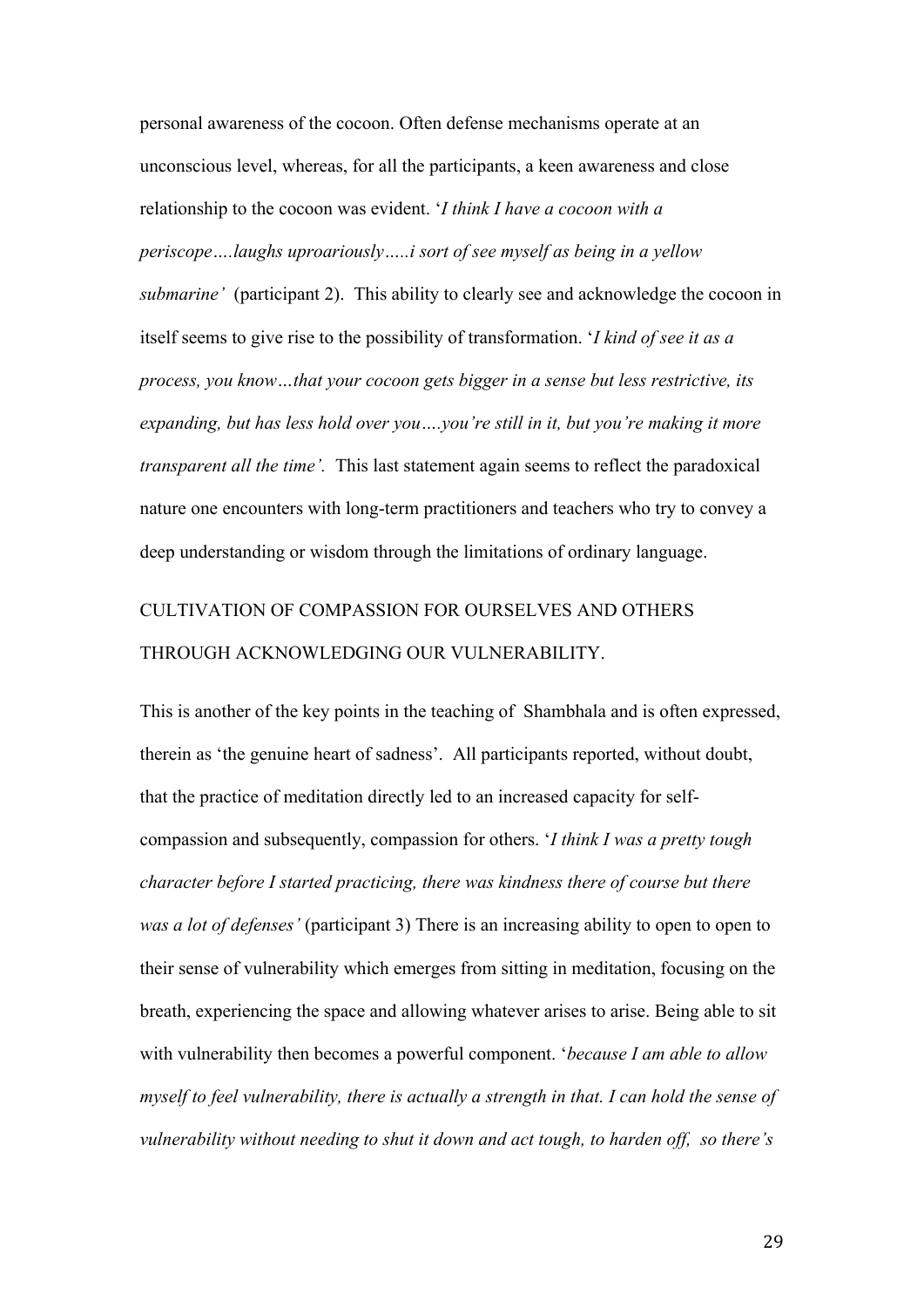personal awareness of the cocoon. Often defense mechanisms operate at an unconscious level, whereas, for all the participants, a keen awareness and close relationship to the cocoon was evident. '*I think I have a cocoon with a periscope….laughs uproariously…..i sort of see myself as being in a yellow submarine'* (participant 2). This ability to clearly see and acknowledge the cocoon in itself seems to give rise to the possibility of transformation. '*I kind of see it as a process, you know…that your cocoon gets bigger in a sense but less restrictive, its expanding, but has less hold over you….you're still in it, but you're making it more transparent all the time'.* This last statement again seems to reflect the paradoxical nature one encounters with long-term practitioners and teachers who try to convey a deep understanding or wisdom through the limitations of ordinary language.

## CULTIVATION OF COMPASSION FOR OURSELVES AND OTHERS THROUGH ACKNOWLEDGING OUR VULNERABILITY.

This is another of the key points in the teaching of Shambhala and is often expressed, therein as 'the genuine heart of sadness'. All participants reported, without doubt, that the practice of meditation directly led to an increased capacity for selfcompassion and subsequently, compassion for others. '*I think I was a pretty tough character before I started practicing, there was kindness there of course but there was a lot of defenses'* (participant 3) There is an increasing ability to open to open to their sense of vulnerability which emerges from sitting in meditation, focusing on the breath, experiencing the space and allowing whatever arises to arise. Being able to sit with vulnerability then becomes a powerful component. '*because I am able to allow myself to feel vulnerability, there is actually a strength in that. I can hold the sense of vulnerability without needing to shut it down and act tough, to harden off, so there's*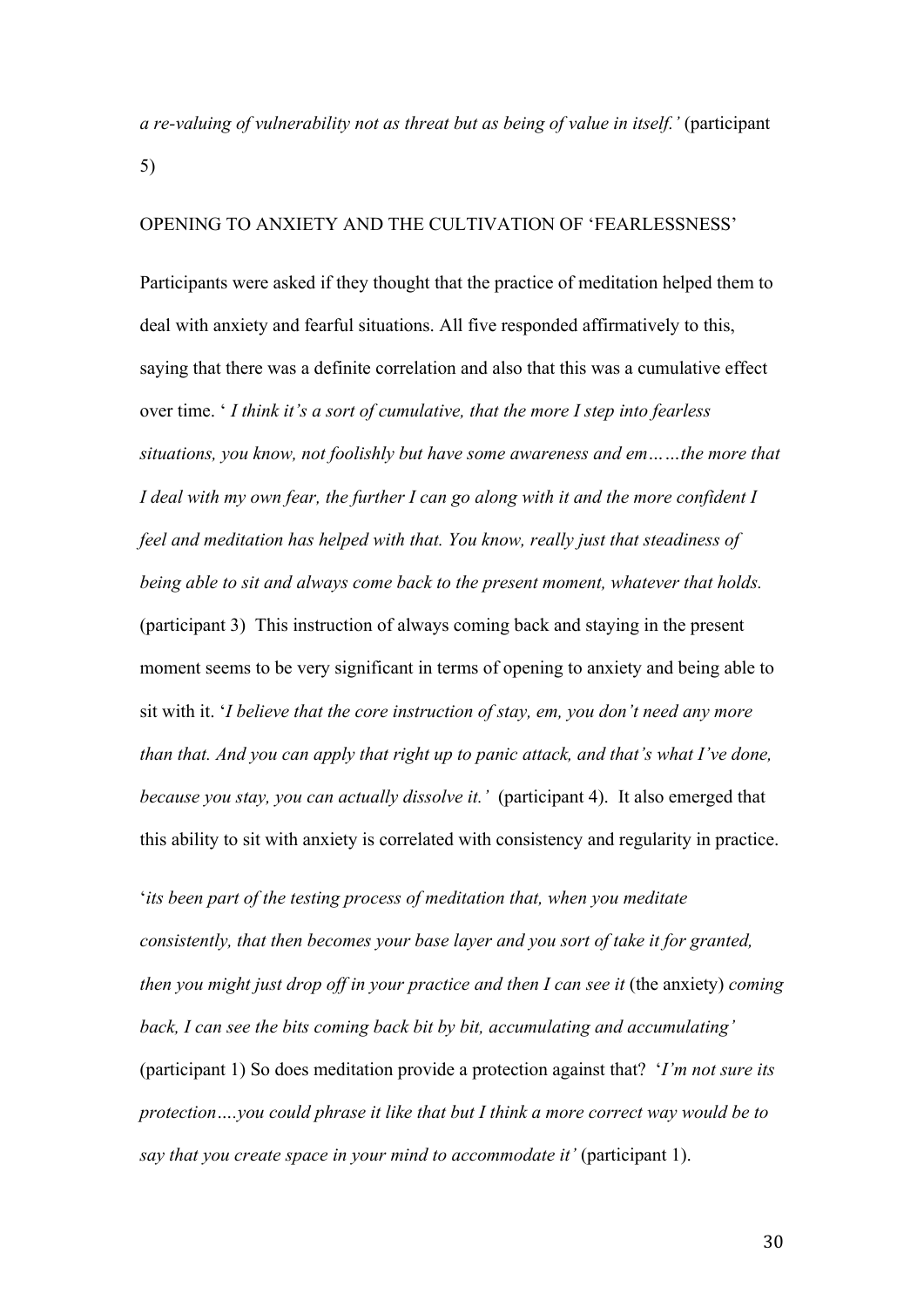*a re-valuing of vulnerability not as threat but as being of value in itself.'* (participant 5)

#### OPENING TO ANXIETY AND THE CULTIVATION OF 'FEARLESSNESS'

Participants were asked if they thought that the practice of meditation helped them to deal with anxiety and fearful situations. All five responded affirmatively to this, saying that there was a definite correlation and also that this was a cumulative effect over time. ' *I think it's a sort of cumulative, that the more I step into fearless situations, you know, not foolishly but have some awareness and em……the more that I deal with my own fear, the further I can go along with it and the more confident I feel and meditation has helped with that. You know, really just that steadiness of being able to sit and always come back to the present moment, whatever that holds.* (participant 3) This instruction of always coming back and staying in the present moment seems to be very significant in terms of opening to anxiety and being able to sit with it. '*I believe that the core instruction of stay, em, you don't need any more than that. And you can apply that right up to panic attack, and that's what I've done, because you stay, you can actually dissolve it.'* (participant 4). It also emerged that this ability to sit with anxiety is correlated with consistency and regularity in practice.

'*its been part of the testing process of meditation that, when you meditate consistently, that then becomes your base layer and you sort of take it for granted, then you might just drop off in your practice and then I can see it (the anxiety) coming back, I can see the bits coming back bit by bit, accumulating and accumulating'* (participant 1) So does meditation provide a protection against that? '*I'm not sure its protection….you could phrase it like that but I think a more correct way would be to say that you create space in your mind to accommodate it'* (participant 1).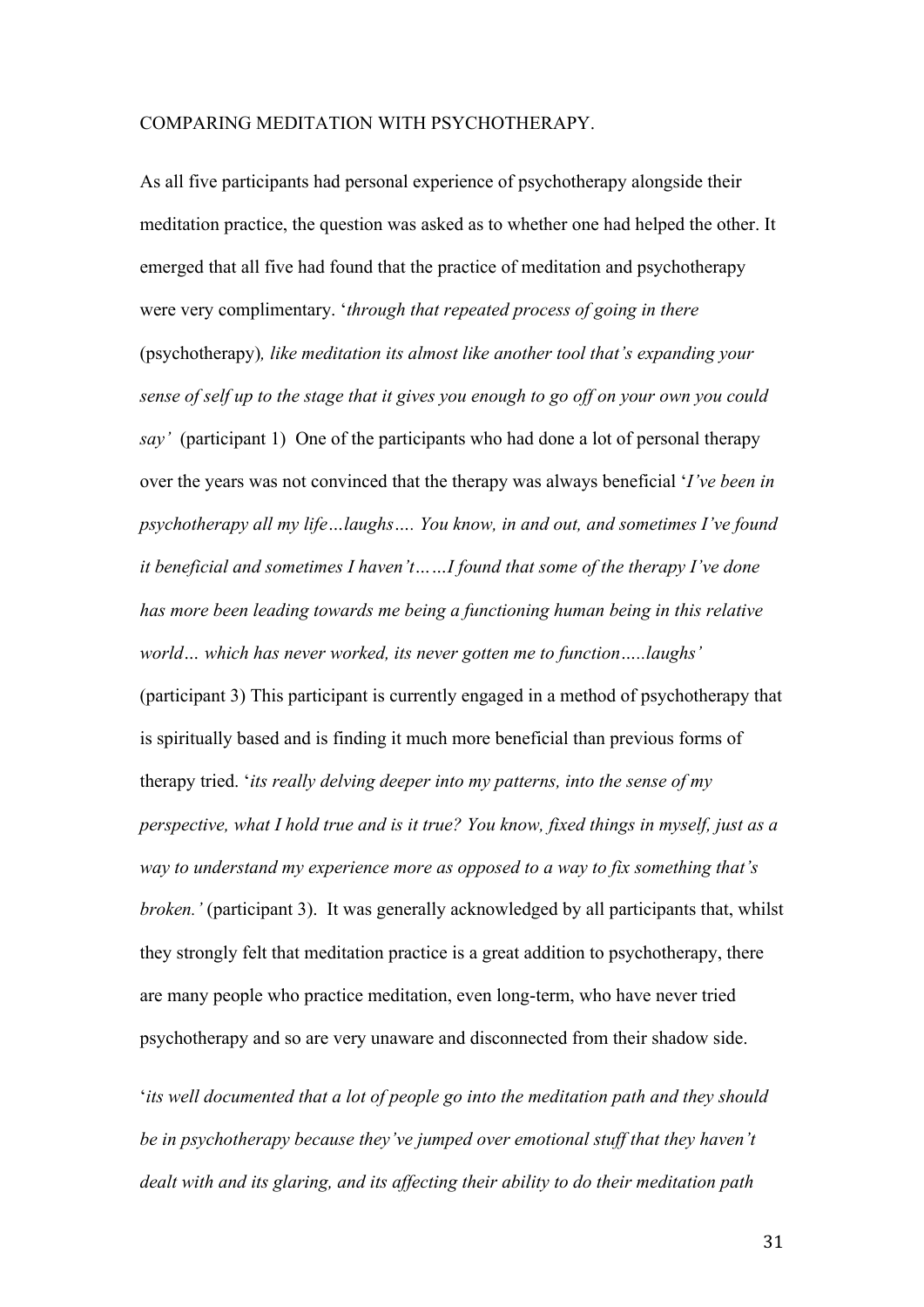#### COMPARING MEDITATION WITH PSYCHOTHERAPY.

As all five participants had personal experience of psychotherapy alongside their meditation practice, the question was asked as to whether one had helped the other. It emerged that all five had found that the practice of meditation and psychotherapy were very complimentary. '*through that repeated process of going in there* (psychotherapy)*, like meditation its almost like another tool that's expanding your sense of self up to the stage that it gives you enough to go off on your own you could say'* (participant 1) One of the participants who had done a lot of personal therapy over the years was not convinced that the therapy was always beneficial '*I've been in psychotherapy all my life…laughs…. You know, in and out, and sometimes I've found it beneficial and sometimes I haven't……I found that some of the therapy I've done has more been leading towards me being a functioning human being in this relative world… which has never worked, its never gotten me to function…..laughs'*  (participant 3) This participant is currently engaged in a method of psychotherapy that is spiritually based and is finding it much more beneficial than previous forms of therapy tried. '*its really delving deeper into my patterns, into the sense of my perspective, what I hold true and is it true? You know, fixed things in myself, just as a way to understand my experience more as opposed to a way to fix something that's broken.'* (participant 3). It was generally acknowledged by all participants that, whilst they strongly felt that meditation practice is a great addition to psychotherapy, there are many people who practice meditation, even long-term, who have never tried psychotherapy and so are very unaware and disconnected from their shadow side.

'*its well documented that a lot of people go into the meditation path and they should be in psychotherapy because they've jumped over emotional stuff that they haven't dealt with and its glaring, and its affecting their ability to do their meditation path*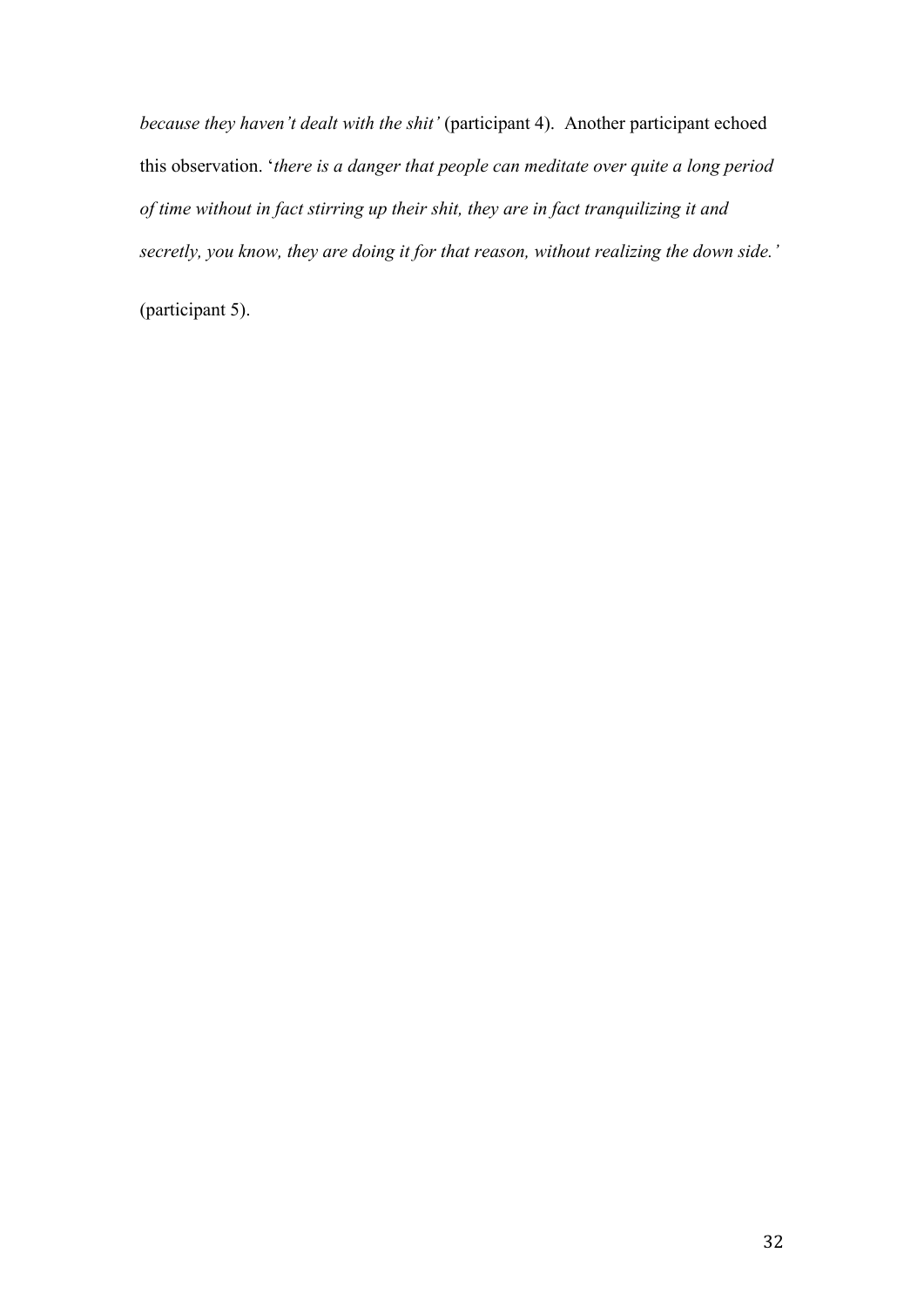*because they haven't dealt with the shit'* (participant 4). Another participant echoed this observation. '*there is a danger that people can meditate over quite a long period of time without in fact stirring up their shit, they are in fact tranquilizing it and secretly, you know, they are doing it for that reason, without realizing the down side.'*

(participant 5).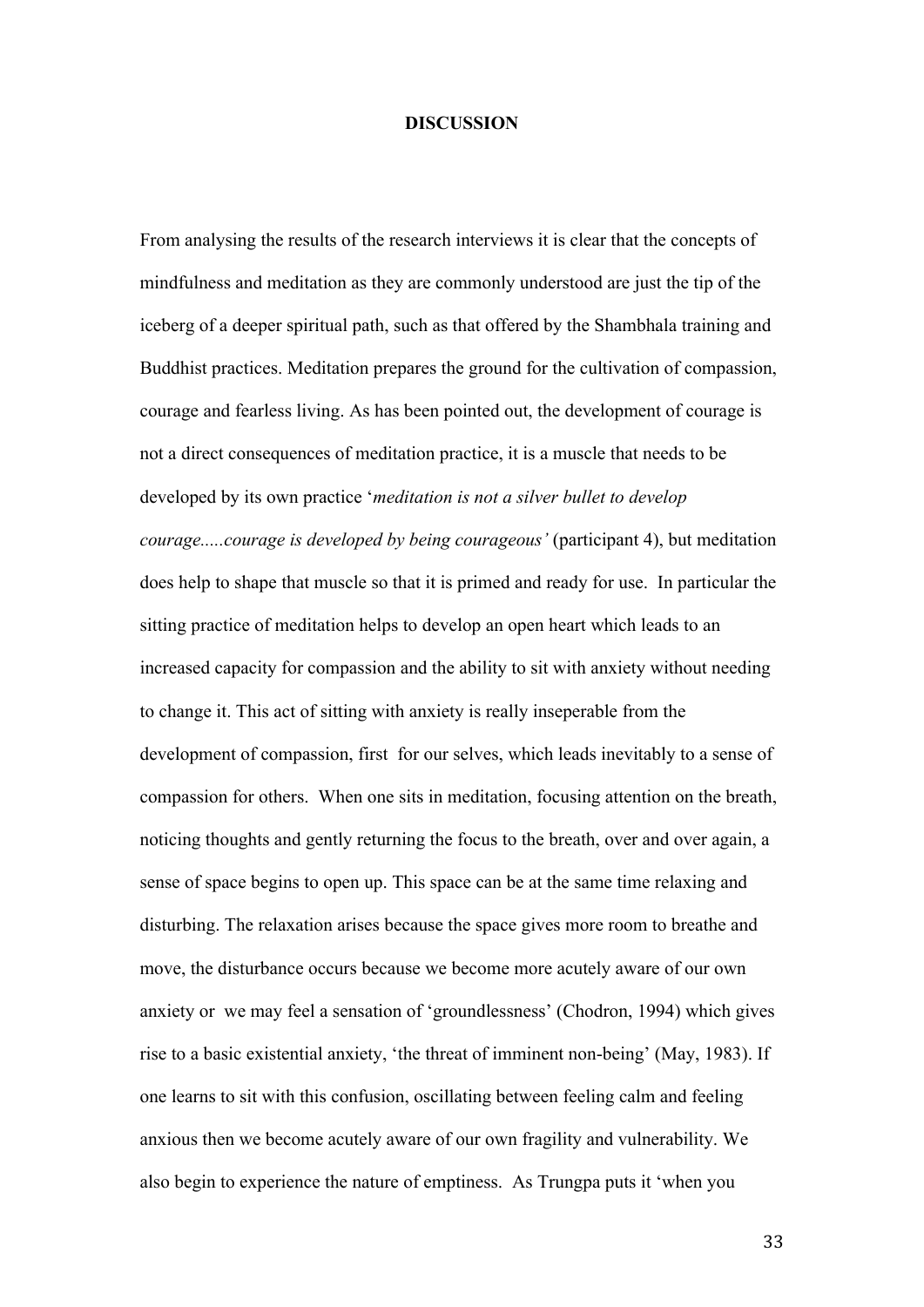#### **DISCUSSION**

From analysing the results of the research interviews it is clear that the concepts of mindfulness and meditation as they are commonly understood are just the tip of the iceberg of a deeper spiritual path, such as that offered by the Shambhala training and Buddhist practices. Meditation prepares the ground for the cultivation of compassion, courage and fearless living. As has been pointed out, the development of courage is not a direct consequences of meditation practice, it is a muscle that needs to be developed by its own practice '*meditation is not a silver bullet to develop courage.....courage is developed by being courageous'* (participant 4), but meditation does help to shape that muscle so that it is primed and ready for use. In particular the sitting practice of meditation helps to develop an open heart which leads to an increased capacity for compassion and the ability to sit with anxiety without needing to change it. This act of sitting with anxiety is really inseperable from the development of compassion, first for our selves, which leads inevitably to a sense of compassion for others. When one sits in meditation, focusing attention on the breath, noticing thoughts and gently returning the focus to the breath, over and over again, a sense of space begins to open up. This space can be at the same time relaxing and disturbing. The relaxation arises because the space gives more room to breathe and move, the disturbance occurs because we become more acutely aware of our own anxiety or we may feel a sensation of 'groundlessness' (Chodron, 1994) which gives rise to a basic existential anxiety, 'the threat of imminent non-being' (May, 1983). If one learns to sit with this confusion, oscillating between feeling calm and feeling anxious then we become acutely aware of our own fragility and vulnerability. We also begin to experience the nature of emptiness. As Trungpa puts it 'when you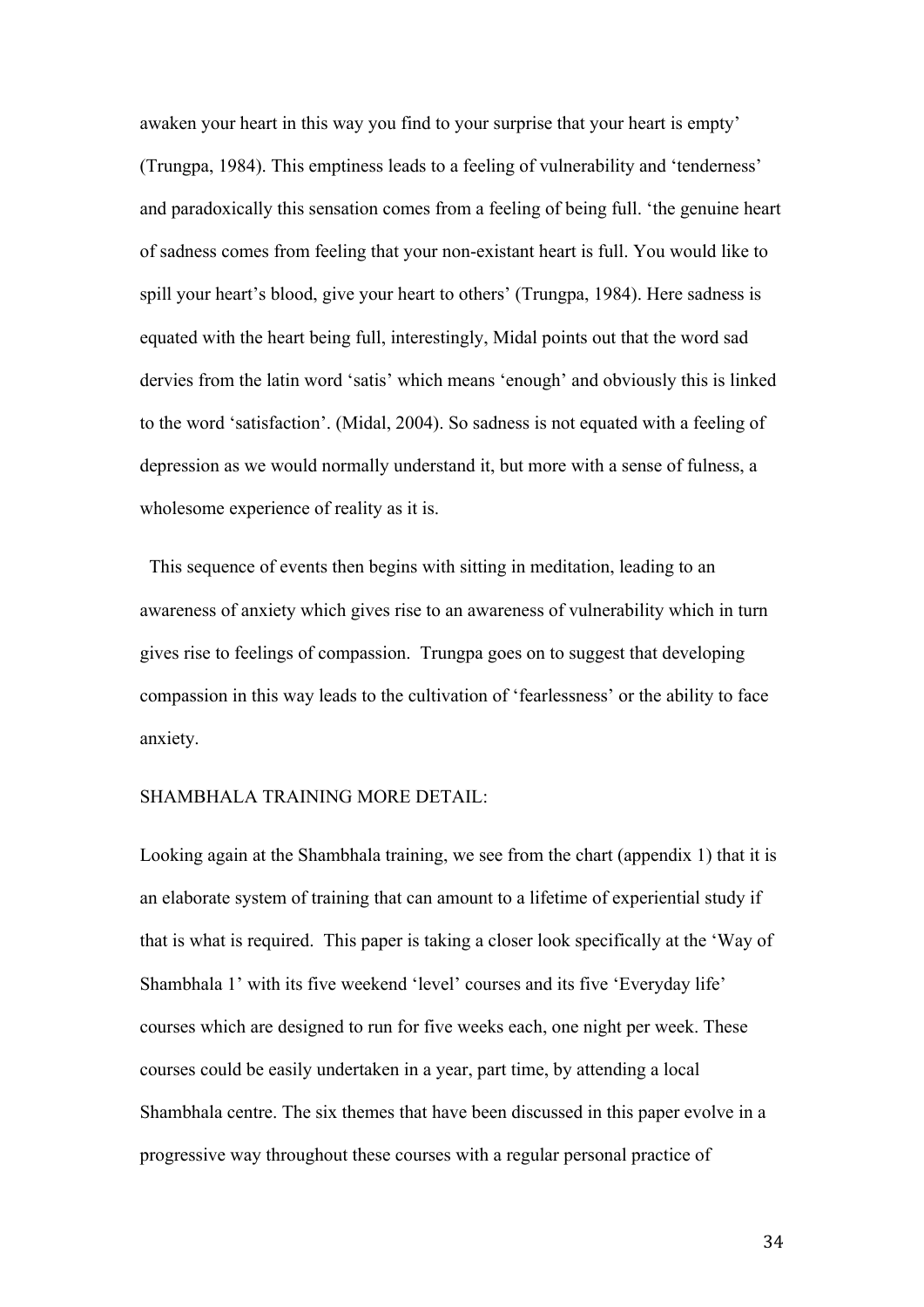awaken your heart in this way you find to your surprise that your heart is empty' (Trungpa, 1984). This emptiness leads to a feeling of vulnerability and 'tenderness' and paradoxically this sensation comes from a feeling of being full. 'the genuine heart of sadness comes from feeling that your non-existant heart is full. You would like to spill your heart's blood, give your heart to others' (Trungpa, 1984). Here sadness is equated with the heart being full, interestingly, Midal points out that the word sad dervies from the latin word 'satis' which means 'enough' and obviously this is linked to the word 'satisfaction'. (Midal, 2004). So sadness is not equated with a feeling of depression as we would normally understand it, but more with a sense of fulness, a wholesome experience of reality as it is.

 This sequence of events then begins with sitting in meditation, leading to an awareness of anxiety which gives rise to an awareness of vulnerability which in turn gives rise to feelings of compassion. Trungpa goes on to suggest that developing compassion in this way leads to the cultivation of 'fearlessness' or the ability to face anxiety.

#### SHAMBHALA TRAINING MORE DETAIL:

Looking again at the Shambhala training, we see from the chart (appendix 1) that it is an elaborate system of training that can amount to a lifetime of experiential study if that is what is required. This paper is taking a closer look specifically at the 'Way of Shambhala 1' with its five weekend 'level' courses and its five 'Everyday life' courses which are designed to run for five weeks each, one night per week. These courses could be easily undertaken in a year, part time, by attending a local Shambhala centre. The six themes that have been discussed in this paper evolve in a progressive way throughout these courses with a regular personal practice of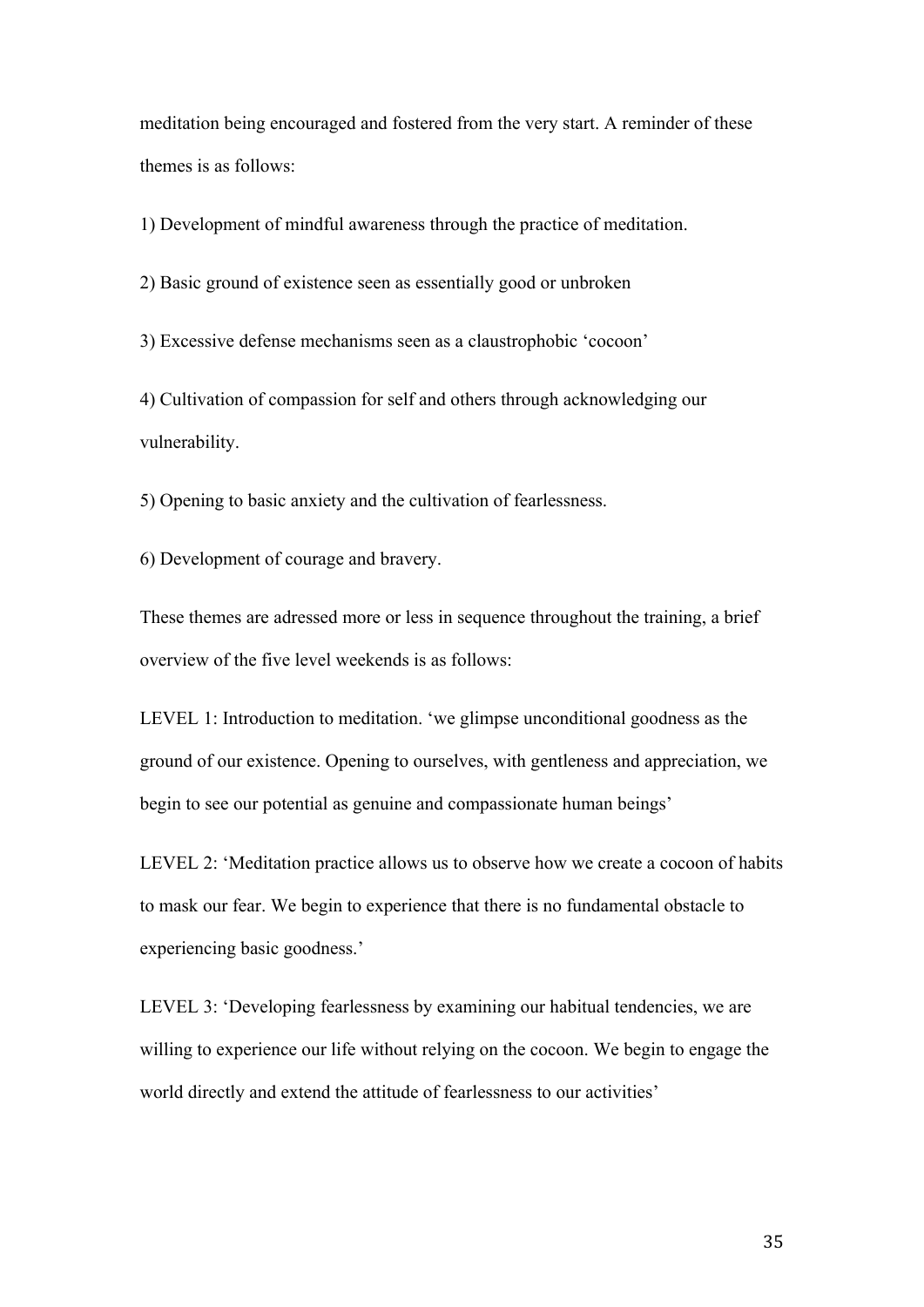meditation being encouraged and fostered from the very start. A reminder of these themes is as follows:

1) Development of mindful awareness through the practice of meditation.

2) Basic ground of existence seen as essentially good or unbroken

3) Excessive defense mechanisms seen as a claustrophobic 'cocoon'

4) Cultivation of compassion for self and others through acknowledging our vulnerability.

5) Opening to basic anxiety and the cultivation of fearlessness.

6) Development of courage and bravery.

These themes are adressed more or less in sequence throughout the training, a brief overview of the five level weekends is as follows:

LEVEL 1: Introduction to meditation. 'we glimpse unconditional goodness as the ground of our existence. Opening to ourselves, with gentleness and appreciation, we begin to see our potential as genuine and compassionate human beings'

LEVEL 2: 'Meditation practice allows us to observe how we create a cocoon of habits to mask our fear. We begin to experience that there is no fundamental obstacle to experiencing basic goodness.'

LEVEL 3: 'Developing fearlessness by examining our habitual tendencies, we are willing to experience our life without relying on the cocoon. We begin to engage the world directly and extend the attitude of fearlessness to our activities'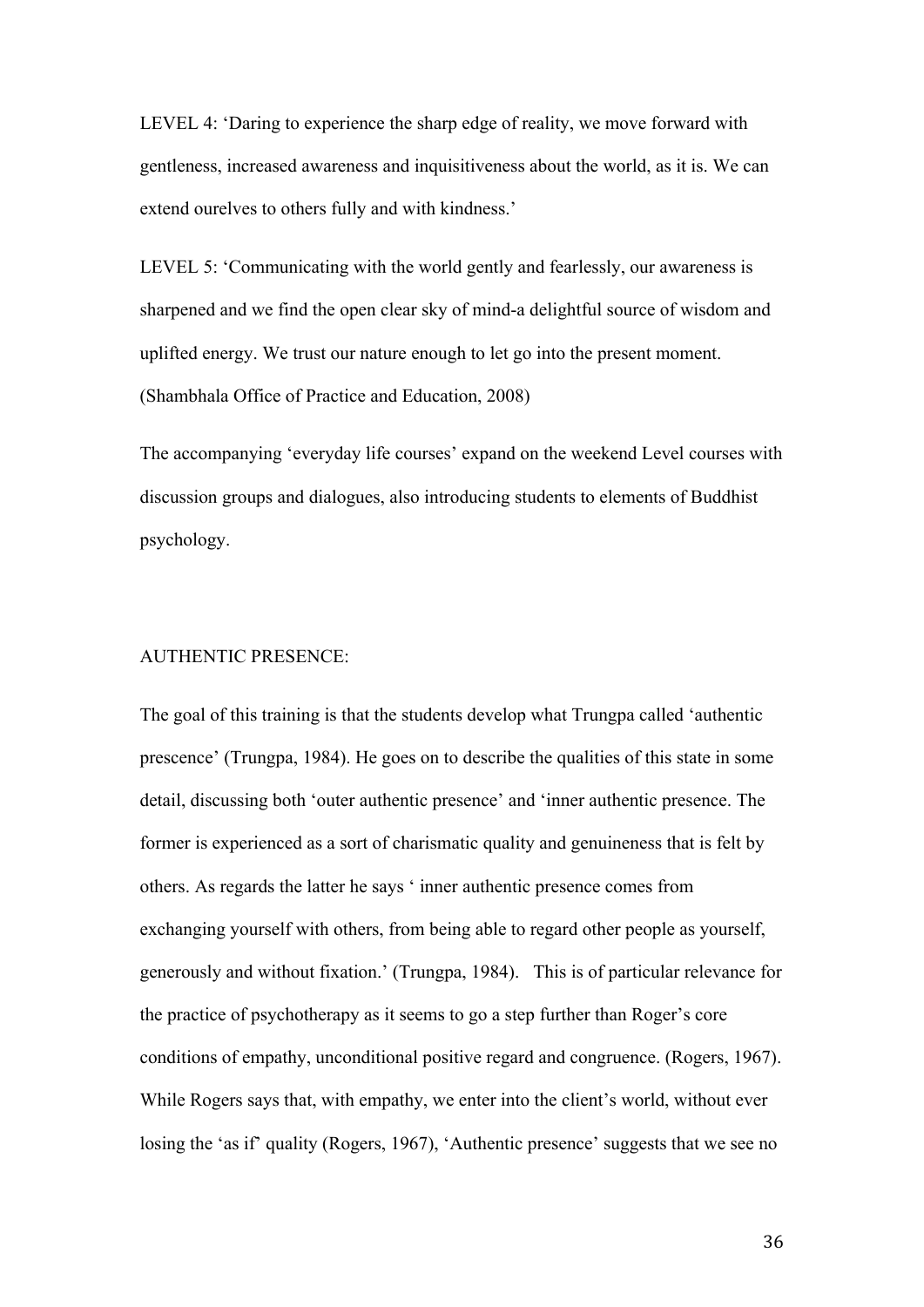LEVEL 4: 'Daring to experience the sharp edge of reality, we move forward with gentleness, increased awareness and inquisitiveness about the world, as it is. We can extend ourelves to others fully and with kindness.'

LEVEL 5: 'Communicating with the world gently and fearlessly, our awareness is sharpened and we find the open clear sky of mind-a delightful source of wisdom and uplifted energy. We trust our nature enough to let go into the present moment. (Shambhala Office of Practice and Education, 2008)

The accompanying 'everyday life courses' expand on the weekend Level courses with discussion groups and dialogues, also introducing students to elements of Buddhist psychology.

#### AUTHENTIC PRESENCE:

The goal of this training is that the students develop what Trungpa called 'authentic prescence' (Trungpa, 1984). He goes on to describe the qualities of this state in some detail, discussing both 'outer authentic presence' and 'inner authentic presence. The former is experienced as a sort of charismatic quality and genuineness that is felt by others. As regards the latter he says ' inner authentic presence comes from exchanging yourself with others, from being able to regard other people as yourself, generously and without fixation.' (Trungpa, 1984). This is of particular relevance for the practice of psychotherapy as it seems to go a step further than Roger's core conditions of empathy, unconditional positive regard and congruence. (Rogers, 1967). While Rogers says that, with empathy, we enter into the client's world, without ever losing the 'as if' quality (Rogers, 1967), 'Authentic presence' suggests that we see no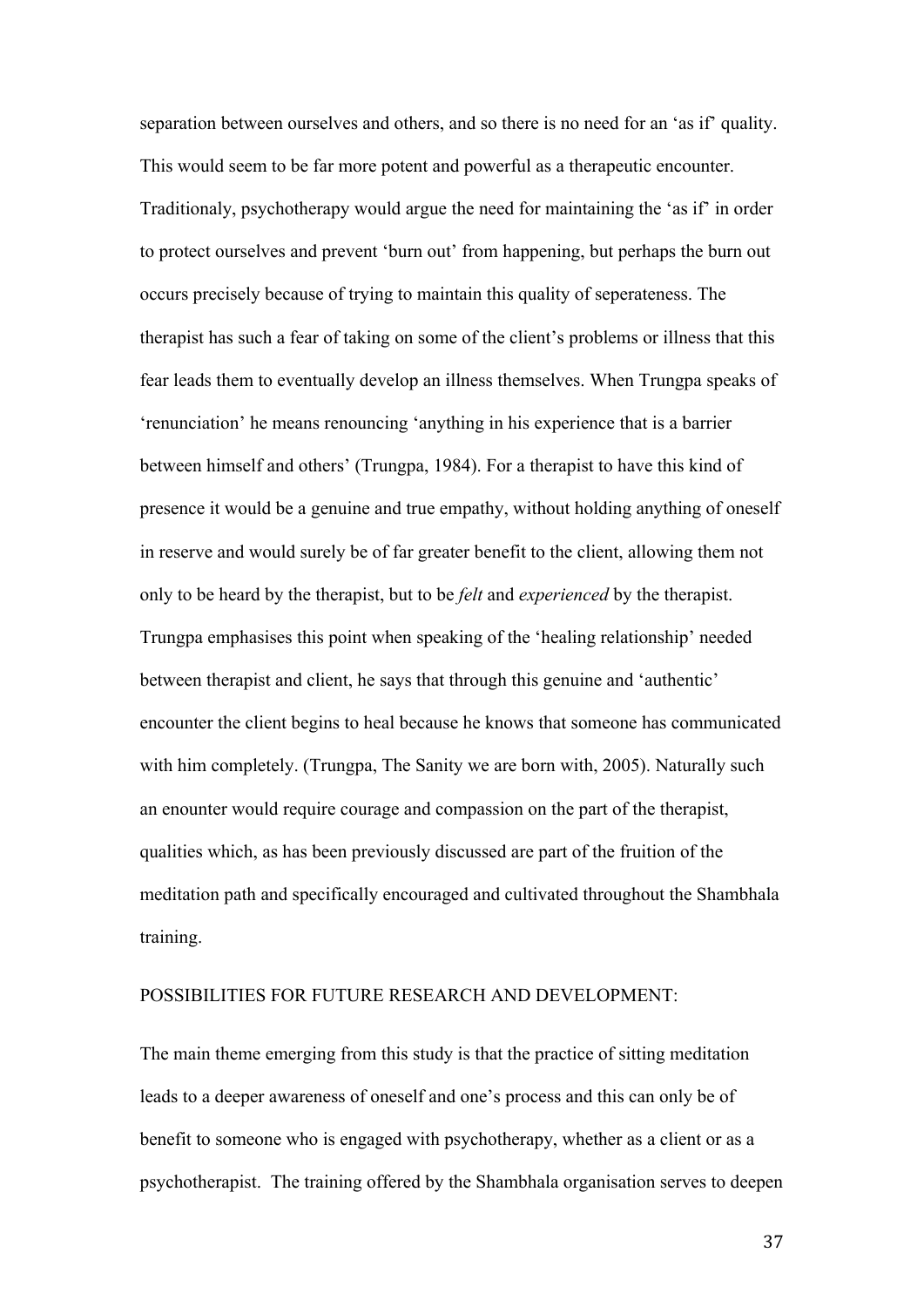separation between ourselves and others, and so there is no need for an 'as if' quality. This would seem to be far more potent and powerful as a therapeutic encounter. Traditionaly, psychotherapy would argue the need for maintaining the 'as if' in order to protect ourselves and prevent 'burn out' from happening, but perhaps the burn out occurs precisely because of trying to maintain this quality of seperateness. The therapist has such a fear of taking on some of the client's problems or illness that this fear leads them to eventually develop an illness themselves. When Trungpa speaks of 'renunciation' he means renouncing 'anything in his experience that is a barrier between himself and others' (Trungpa, 1984). For a therapist to have this kind of presence it would be a genuine and true empathy, without holding anything of oneself in reserve and would surely be of far greater benefit to the client, allowing them not only to be heard by the therapist, but to be *felt* and *experienced* by the therapist. Trungpa emphasises this point when speaking of the 'healing relationship' needed between therapist and client, he says that through this genuine and 'authentic' encounter the client begins to heal because he knows that someone has communicated with him completely. (Trungpa, The Sanity we are born with, 2005). Naturally such an enounter would require courage and compassion on the part of the therapist, qualities which, as has been previously discussed are part of the fruition of the meditation path and specifically encouraged and cultivated throughout the Shambhala training.

#### POSSIBILITIES FOR FUTURE RESEARCH AND DEVELOPMENT:

The main theme emerging from this study is that the practice of sitting meditation leads to a deeper awareness of oneself and one's process and this can only be of benefit to someone who is engaged with psychotherapy, whether as a client or as a psychotherapist. The training offered by the Shambhala organisation serves to deepen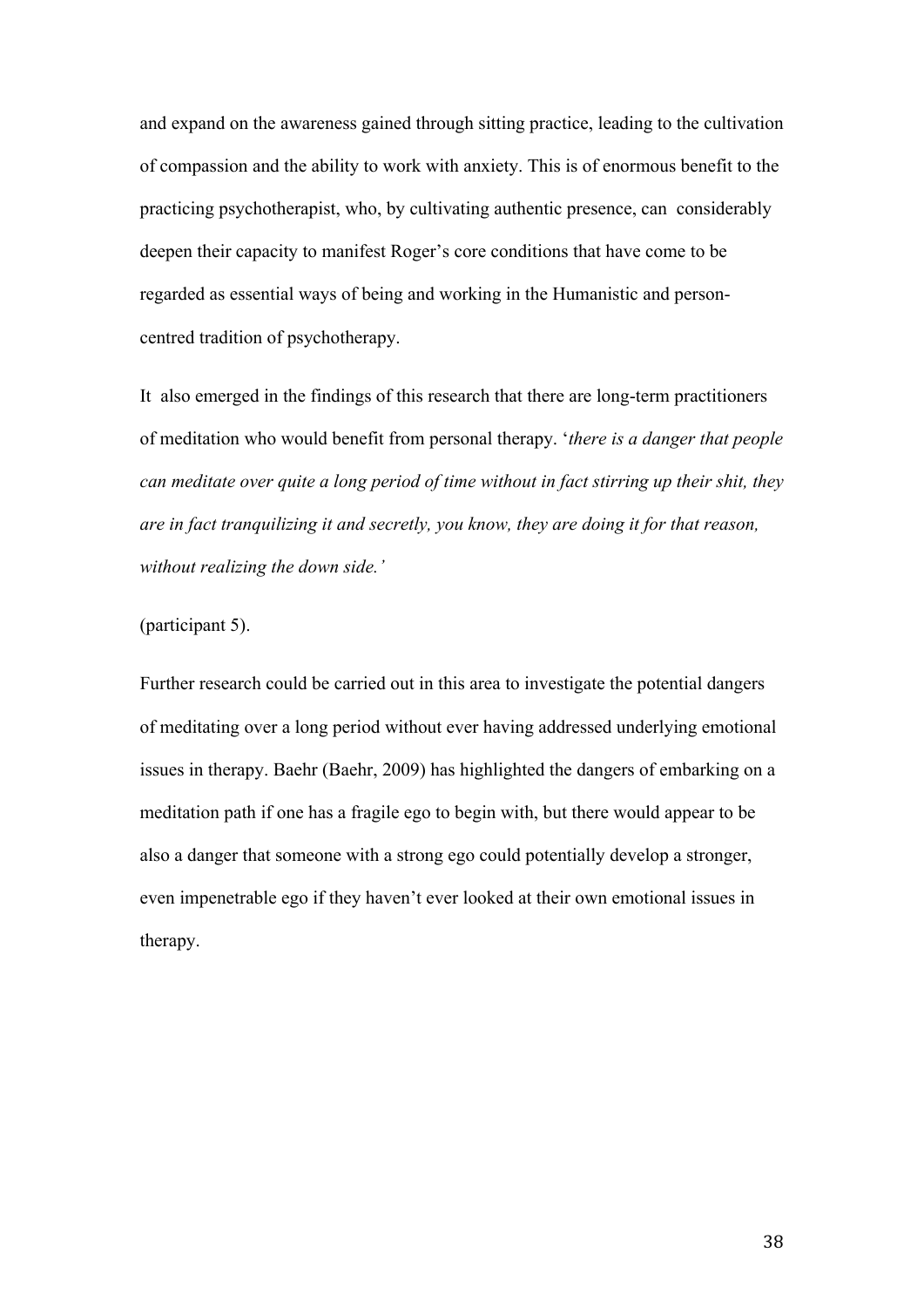and expand on the awareness gained through sitting practice, leading to the cultivation of compassion and the ability to work with anxiety. This is of enormous benefit to the practicing psychotherapist, who, by cultivating authentic presence, can considerably deepen their capacity to manifest Roger's core conditions that have come to be regarded as essential ways of being and working in the Humanistic and personcentred tradition of psychotherapy.

It also emerged in the findings of this research that there are long-term practitioners of meditation who would benefit from personal therapy. '*there is a danger that people can meditate over quite a long period of time without in fact stirring up their shit, they are in fact tranquilizing it and secretly, you know, they are doing it for that reason, without realizing the down side.'*

#### (participant 5).

Further research could be carried out in this area to investigate the potential dangers of meditating over a long period without ever having addressed underlying emotional issues in therapy. Baehr (Baehr, 2009) has highlighted the dangers of embarking on a meditation path if one has a fragile ego to begin with, but there would appear to be also a danger that someone with a strong ego could potentially develop a stronger, even impenetrable ego if they haven't ever looked at their own emotional issues in therapy.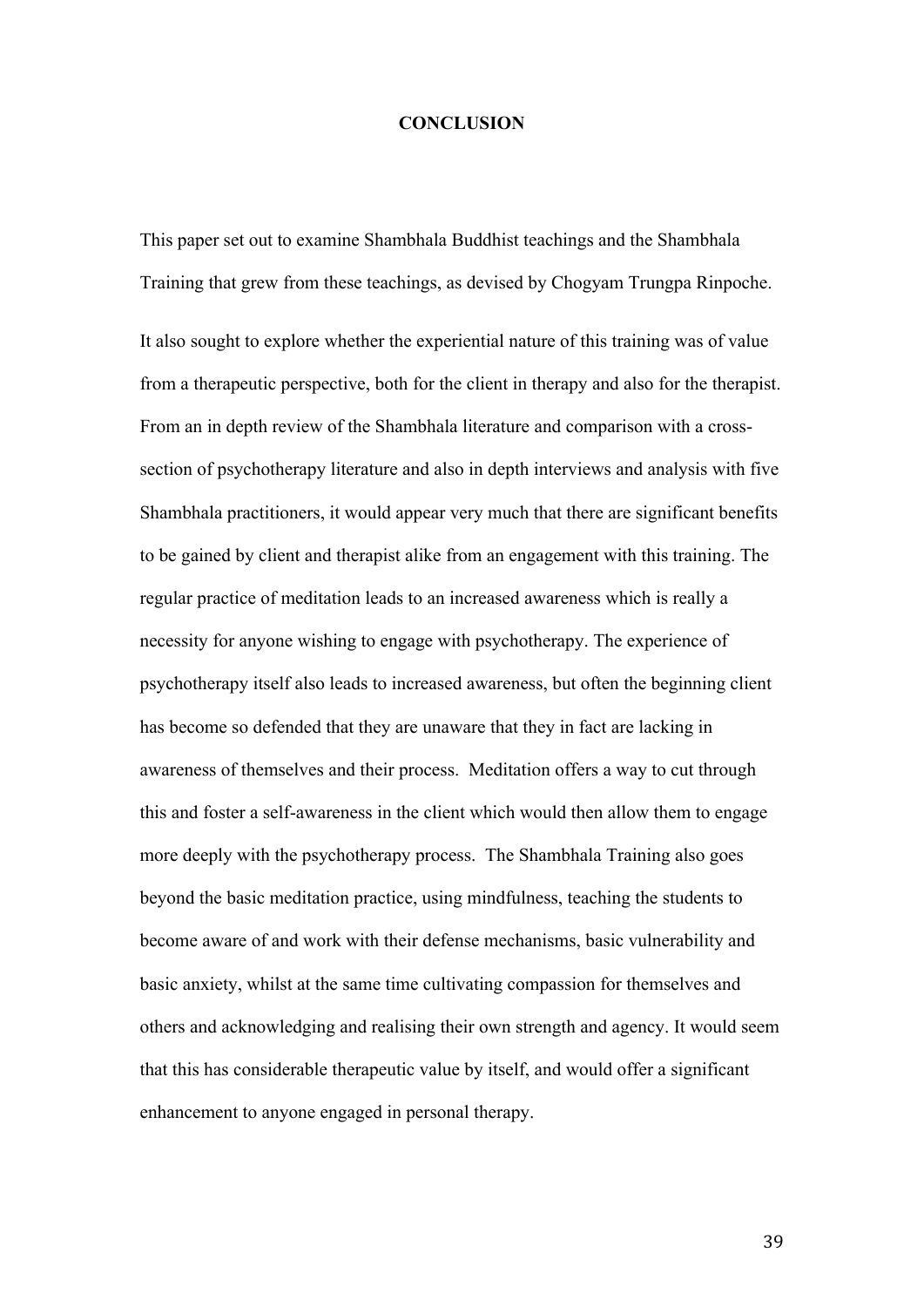#### **CONCLUSION**

This paper set out to examine Shambhala Buddhist teachings and the Shambhala Training that grew from these teachings, as devised by Chogyam Trungpa Rinpoche.

It also sought to explore whether the experiential nature of this training was of value from a therapeutic perspective, both for the client in therapy and also for the therapist. From an in depth review of the Shambhala literature and comparison with a crosssection of psychotherapy literature and also in depth interviews and analysis with five Shambhala practitioners, it would appear very much that there are significant benefits to be gained by client and therapist alike from an engagement with this training. The regular practice of meditation leads to an increased awareness which is really a necessity for anyone wishing to engage with psychotherapy. The experience of psychotherapy itself also leads to increased awareness, but often the beginning client has become so defended that they are unaware that they in fact are lacking in awareness of themselves and their process. Meditation offers a way to cut through this and foster a self-awareness in the client which would then allow them to engage more deeply with the psychotherapy process. The Shambhala Training also goes beyond the basic meditation practice, using mindfulness, teaching the students to become aware of and work with their defense mechanisms, basic vulnerability and basic anxiety, whilst at the same time cultivating compassion for themselves and others and acknowledging and realising their own strength and agency. It would seem that this has considerable therapeutic value by itself, and would offer a significant enhancement to anyone engaged in personal therapy.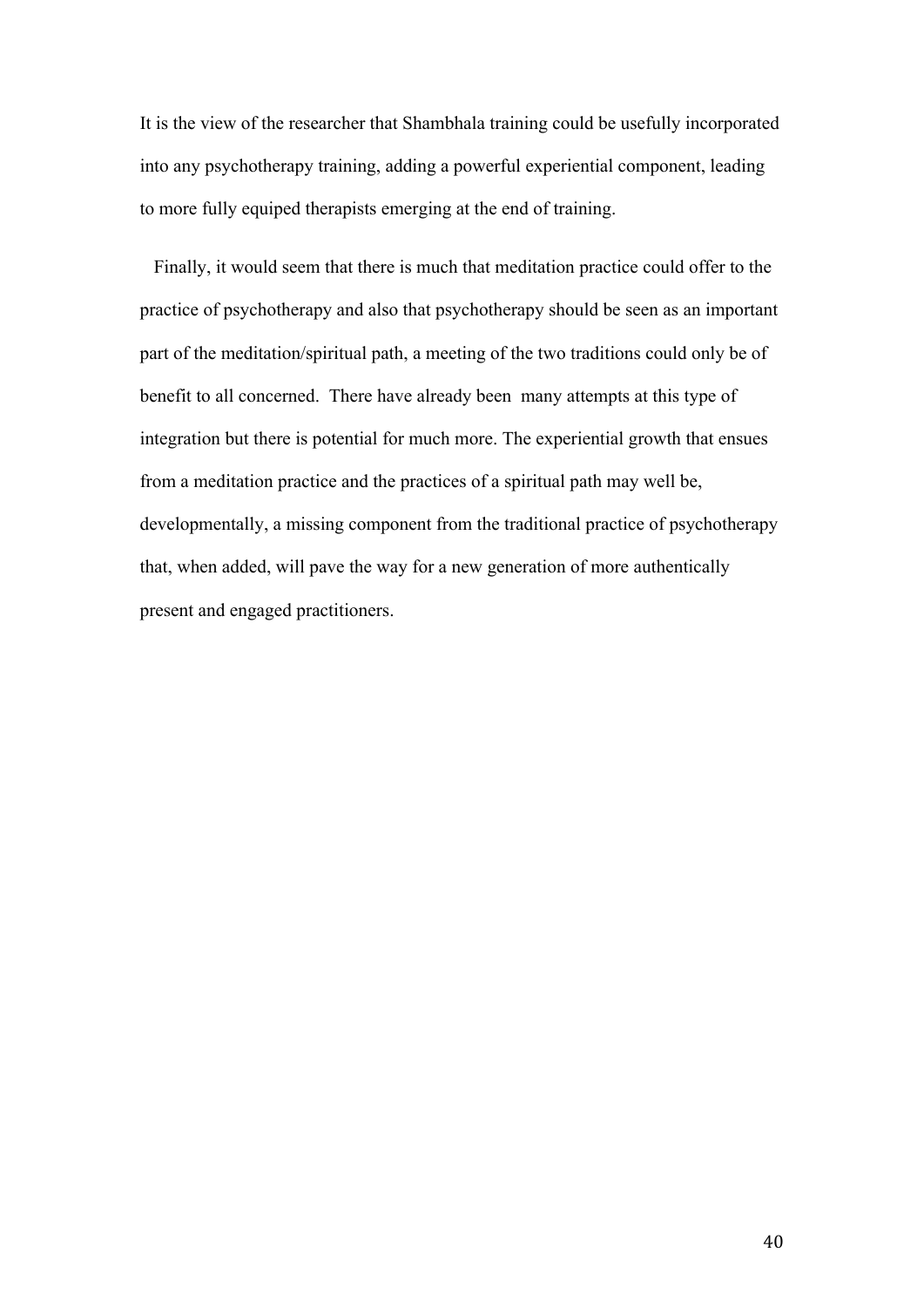It is the view of the researcher that Shambhala training could be usefully incorporated into any psychotherapy training, adding a powerful experiential component, leading to more fully equiped therapists emerging at the end of training.

 Finally, it would seem that there is much that meditation practice could offer to the practice of psychotherapy and also that psychotherapy should be seen as an important part of the meditation/spiritual path, a meeting of the two traditions could only be of benefit to all concerned. There have already been many attempts at this type of integration but there is potential for much more. The experiential growth that ensues from a meditation practice and the practices of a spiritual path may well be, developmentally, a missing component from the traditional practice of psychotherapy that, when added, will pave the way for a new generation of more authentically present and engaged practitioners.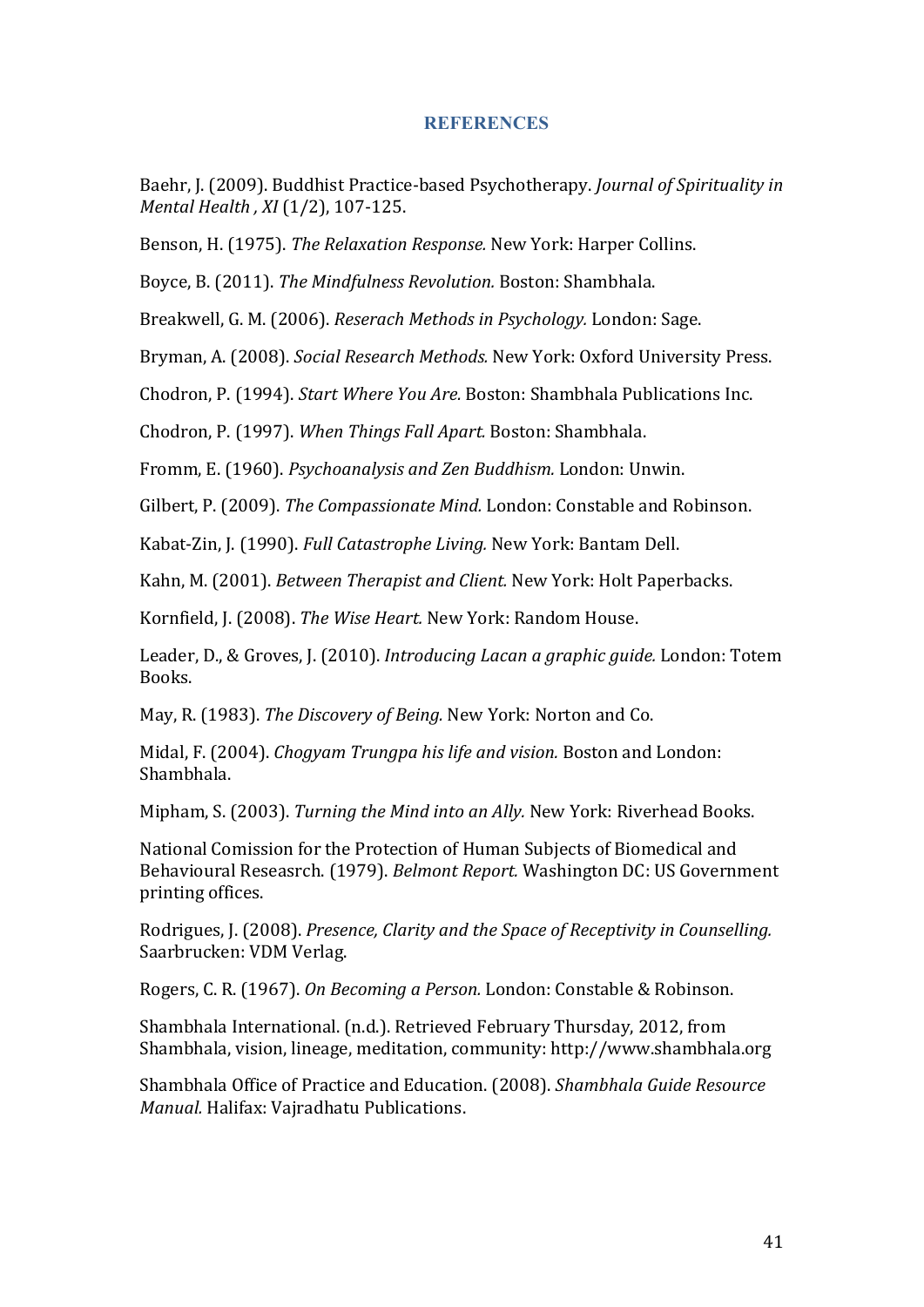#### **REFERENCES**

Baehr, I. (2009). Buddhist Practice-based Psychotherapy. *Journal of Spirituality in Mental Health*, *XI*(1/2), 107-125.

Benson, H. (1975). *The Relaxation Response.* New York: Harper Collins.

Boyce, B. (2011). *The Mindfulness Revolution*. Boston: Shambhala.

Breakwell, G. M. (2006). *Reserach Methods in Psychology.* London: Sage.

Bryman, A. (2008). *Social Research Methods.* New York: Oxford University Press.

Chodron, P. (1994). *Start Where You Are.* Boston: Shambhala Publications Inc.

Chodron, P. (1997). When Things Fall Apart. Boston: Shambhala.

Fromm, E. (1960). *Psychoanalysis and Zen Buddhism.* London: Unwin.

Gilbert, P. (2009). *The Compassionate Mind.* London: Constable and Robinson.

Kabat-Zin, J. (1990). *Full Catastrophe Living.* New York: Bantam Dell.

Kahn, M. (2001). *Between Therapist and Client.* New York: Holt Paperbacks.

Kornfield, J. (2008). *The Wise Heart.* New York: Random House.

Leader, D., & Groves, J. (2010). *Introducing Lacan a graphic guide*. London: Totem Books.

May, R. (1983). *The Discovery of Being.* New York: Norton and Co.

Midal, F. (2004). *Chogyam Trungpa his life and vision*. Boston and London: Shambhala.

Mipham, S. (2003). *Turning the Mind into an Ally.* New York: Riverhead Books.

National Comission for the Protection of Human Subjects of Biomedical and Behavioural Reseasrch. (1979). *Belmont Report.* Washington DC: US Government printing offices.

Rodrigues, J. (2008). *Presence, Clarity and the Space of Receptivity in Counselling.* Saarbrucken: VDM Verlag.

Rogers, C. R. (1967). *On Becoming a Person.* London: Constable & Robinson.

Shambhala International. (n.d.). Retrieved February Thursday, 2012, from Shambhala, vision, lineage, meditation, community: http://www.shambhala.org

Shambhala Office of Practice and Education. (2008). *Shambhala Guide Resource Manual.* Halifax: Vajradhatu Publications.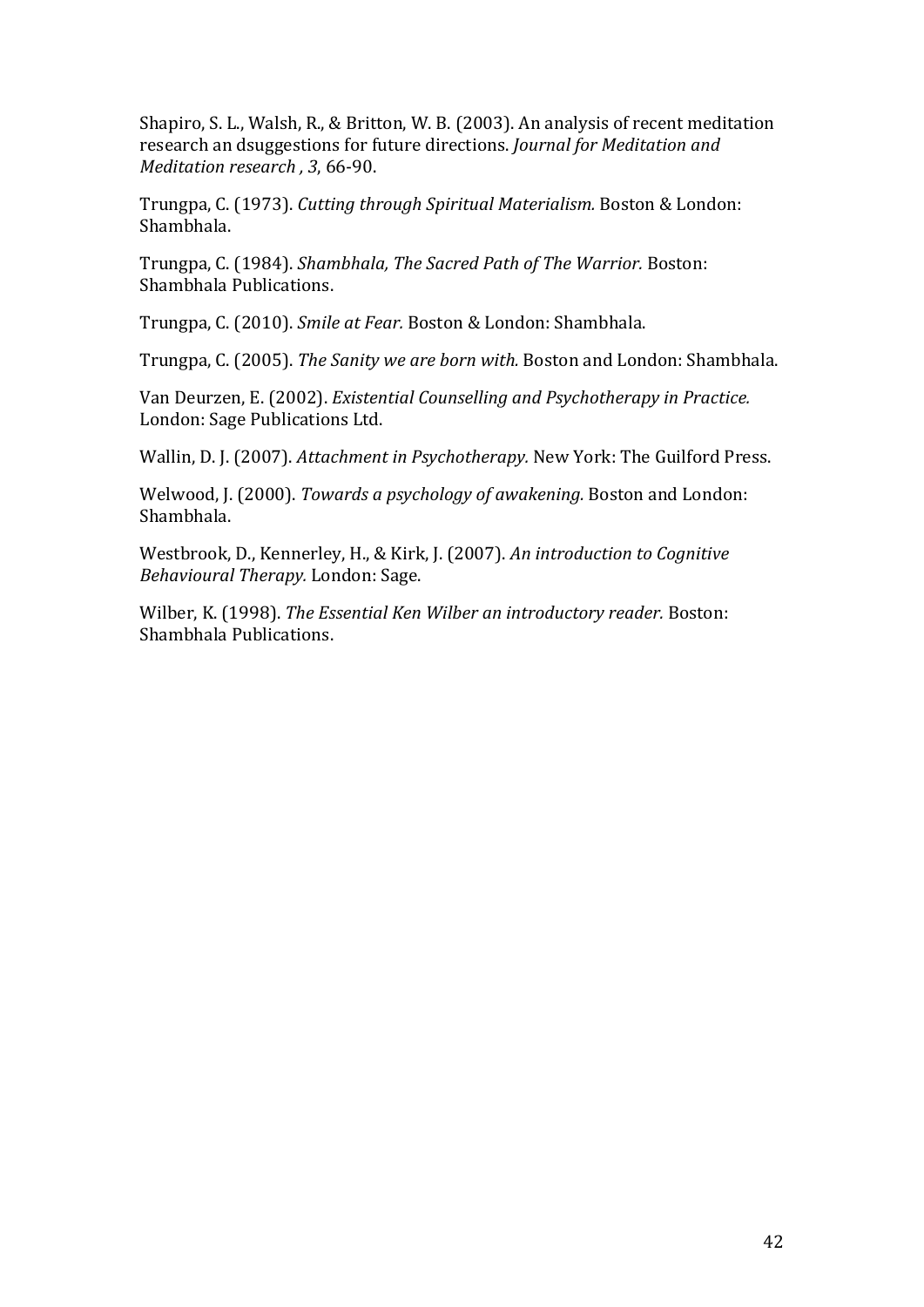Shapiro, S. L., Walsh, R., & Britton, W. B. (2003). An analysis of recent meditation research an dsuggestions for future directions. *Journal for Meditation and Meditation research* , 3, 66-90.

Trungpa, C. (1973). *Cutting through Spiritual Materialism.* Boston & London: Shambhala.

Trungpa, C. (1984). *Shambhala, The Sacred Path of The Warrior.* Boston: Shambhala Publications.

Trungpa, C. (2010). Smile at Fear. Boston & London: Shambhala.

Trungpa, C. (2005). *The Sanity we are born with.* Boston and London: Shambhala.

Van Deurzen, E. (2002). *Existential Counselling and Psychotherapy in Practice.* London: Sage Publications Ltd.

Wallin, D. J. (2007). *Attachment in Psychotherapy.* New York: The Guilford Press.

Welwood, J. (2000). *Towards a psychology of awakening.* Boston and London: Shambhala.

Westbrook, D., Kennerley, H., & Kirk, J. (2007). An introduction to Cognitive *Behavioural Therapy.* London: Sage.

Wilber, K. (1998). *The Essential Ken Wilber an introductory reader.* Boston: Shambhala Publications.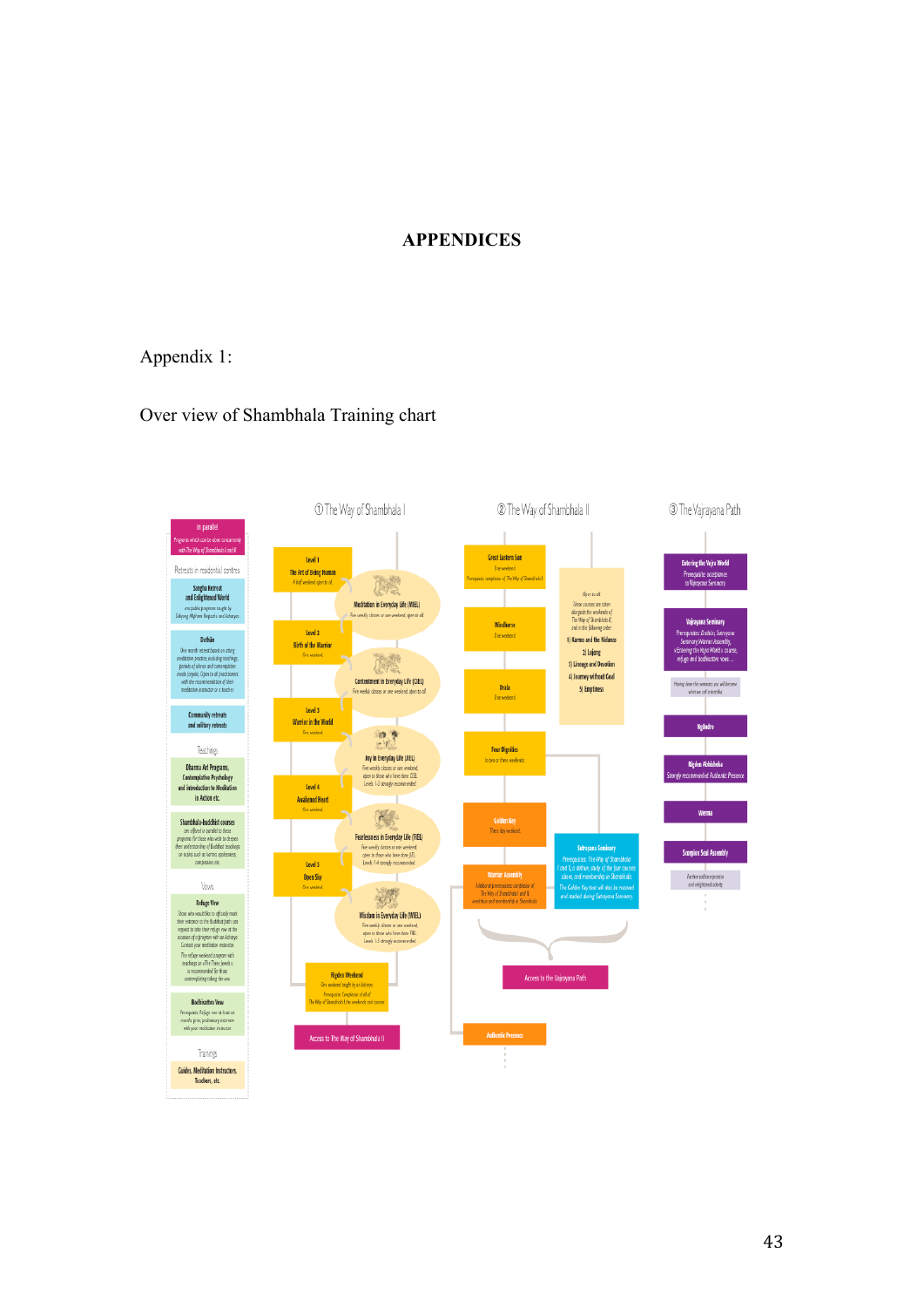#### **APPENDICES**

### Appendix 1:

#### Over view of Shambhala Training chart

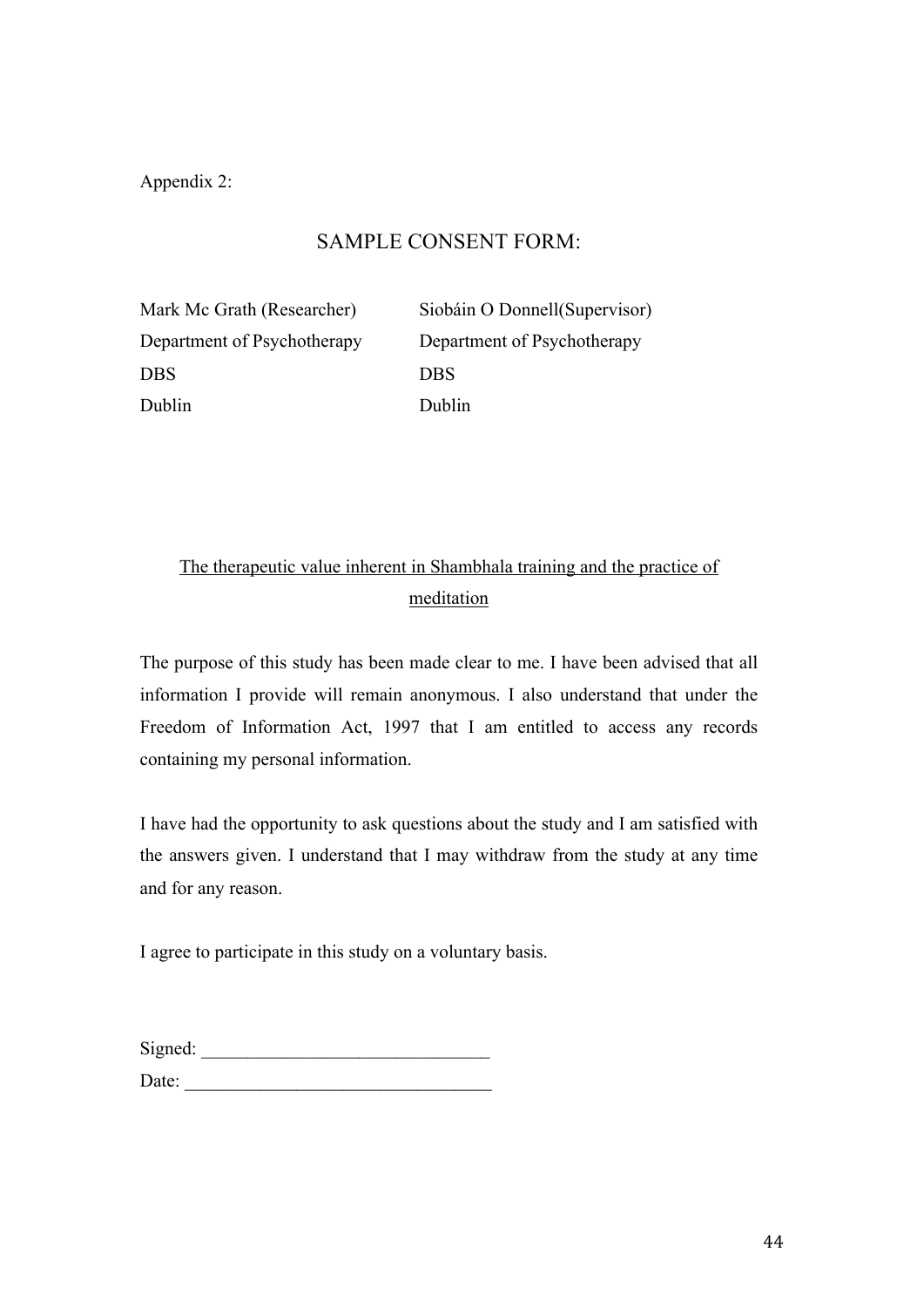Appendix 2:

## SAMPLE CONSENT FORM:

DBS DBS Dublin Dublin Dublin

Mark Mc Grath (Researcher) Siobáin O Donnell(Supervisor) Department of Psychotherapy Department of Psychotherapy

## The therapeutic value inherent in Shambhala training and the practice of meditation

The purpose of this study has been made clear to me. I have been advised that all information I provide will remain anonymous. I also understand that under the Freedom of Information Act, 1997 that I am entitled to access any records containing my personal information.

I have had the opportunity to ask questions about the study and I am satisfied with the answers given. I understand that I may withdraw from the study at any time and for any reason.

I agree to participate in this study on a voluntary basis.

| Signed: |  |  |  |
|---------|--|--|--|
| Date:   |  |  |  |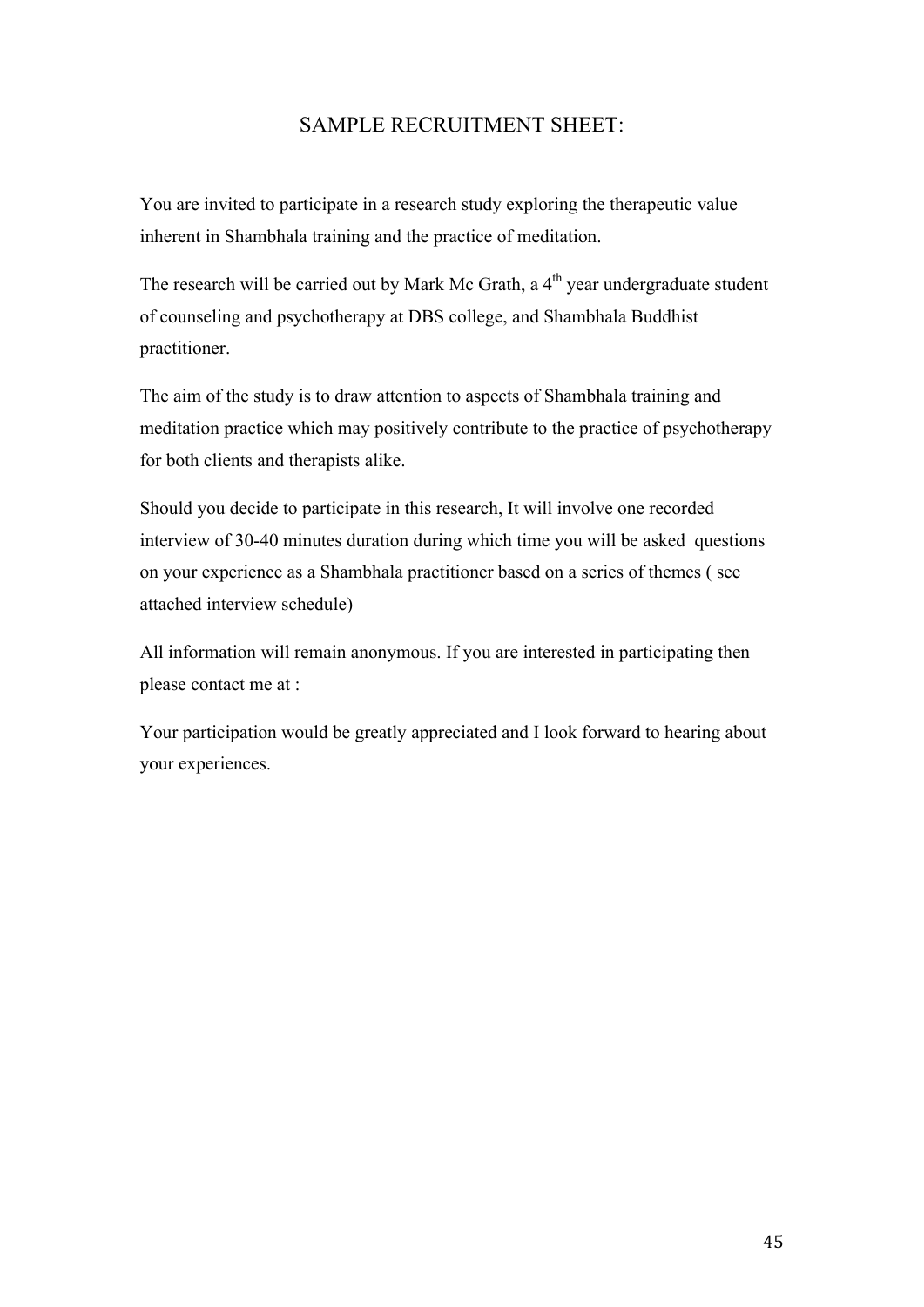## SAMPLE RECRUITMENT SHEET:

You are invited to participate in a research study exploring the therapeutic value inherent in Shambhala training and the practice of meditation.

The research will be carried out by Mark Mc Grath, a  $4<sup>th</sup>$  year undergraduate student of counseling and psychotherapy at DBS college, and Shambhala Buddhist practitioner.

The aim of the study is to draw attention to aspects of Shambhala training and meditation practice which may positively contribute to the practice of psychotherapy for both clients and therapists alike.

Should you decide to participate in this research, It will involve one recorded interview of 30-40 minutes duration during which time you will be asked questions on your experience as a Shambhala practitioner based on a series of themes ( see attached interview schedule)

All information will remain anonymous. If you are interested in participating then please contact me at :

Your participation would be greatly appreciated and I look forward to hearing about your experiences.